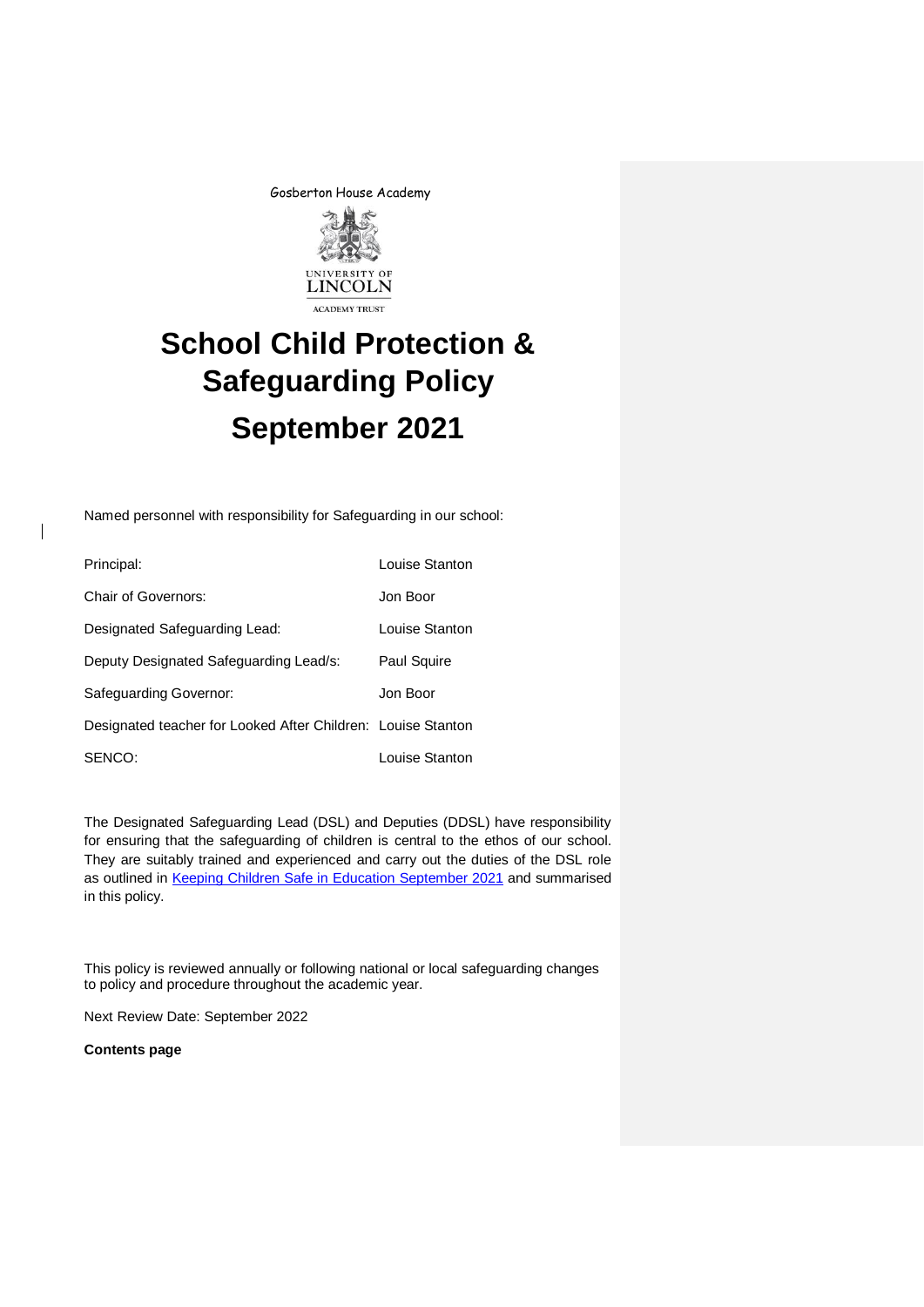Gosberton House Academy



# **School Child Protection & Safeguarding Policy September 2021**

Named personnel with responsibility for Safeguarding in our school:

| Principal:                                                   | Louise Stanton     |
|--------------------------------------------------------------|--------------------|
| Chair of Governors:                                          | Jon Boor           |
| Designated Safeguarding Lead:                                | Louise Stanton     |
| Deputy Designated Safeguarding Lead/s:                       | <b>Paul Squire</b> |
| Safeguarding Governor:                                       | Jon Boor           |
| Designated teacher for Looked After Children: Louise Stanton |                    |
| SENCO:                                                       | Louise Stanton     |

The Designated Safeguarding Lead (DSL) and Deputies (DDSL) have responsibility for ensuring that the safeguarding of children is central to the ethos of our school. They are suitably trained and experienced and carry out the duties of the DSL role as outlined in [Keeping Children Safe in Education September 2021](https://www.gov.uk/government/publications/keeping-children-safe-in-education--2) and summarised in this policy.

This policy is reviewed annually or following national or local safeguarding changes to policy and procedure throughout the academic year.

Next Review Date: September 2022

**Contents page**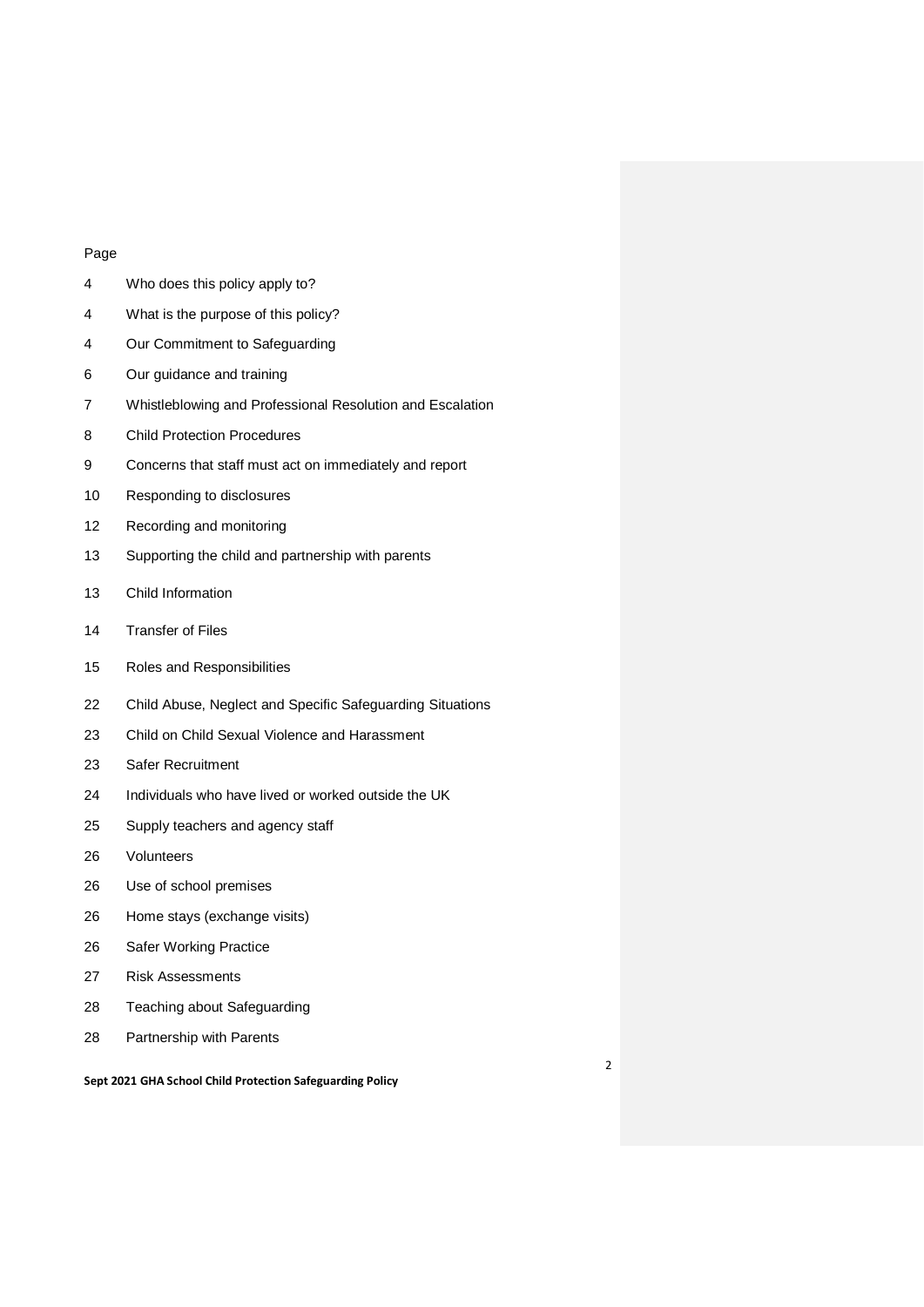# Page

- Who does this policy apply to?
- What is the purpose of this policy?
- Our Commitment to Safeguarding
- Our guidance and training
- Whistleblowing and Professional Resolution and Escalation
- Child Protection Procedures
- Concerns that staff must act on immediately and report
- Responding to disclosures
- Recording and monitoring
- Supporting the child and partnership with parents
- Child Information
- Transfer of Files
- Roles and Responsibilities
- Child Abuse, Neglect and Specific Safeguarding Situations
- Child on Child Sexual Violence and Harassment
- Safer Recruitment
- Individuals who have lived or worked outside the UK
- Supply teachers and agency staff
- Volunteers
- Use of school premises
- Home stays (exchange visits)
- Safer Working Practice
- Risk Assessments
- Teaching about Safeguarding
- Partnership with Parents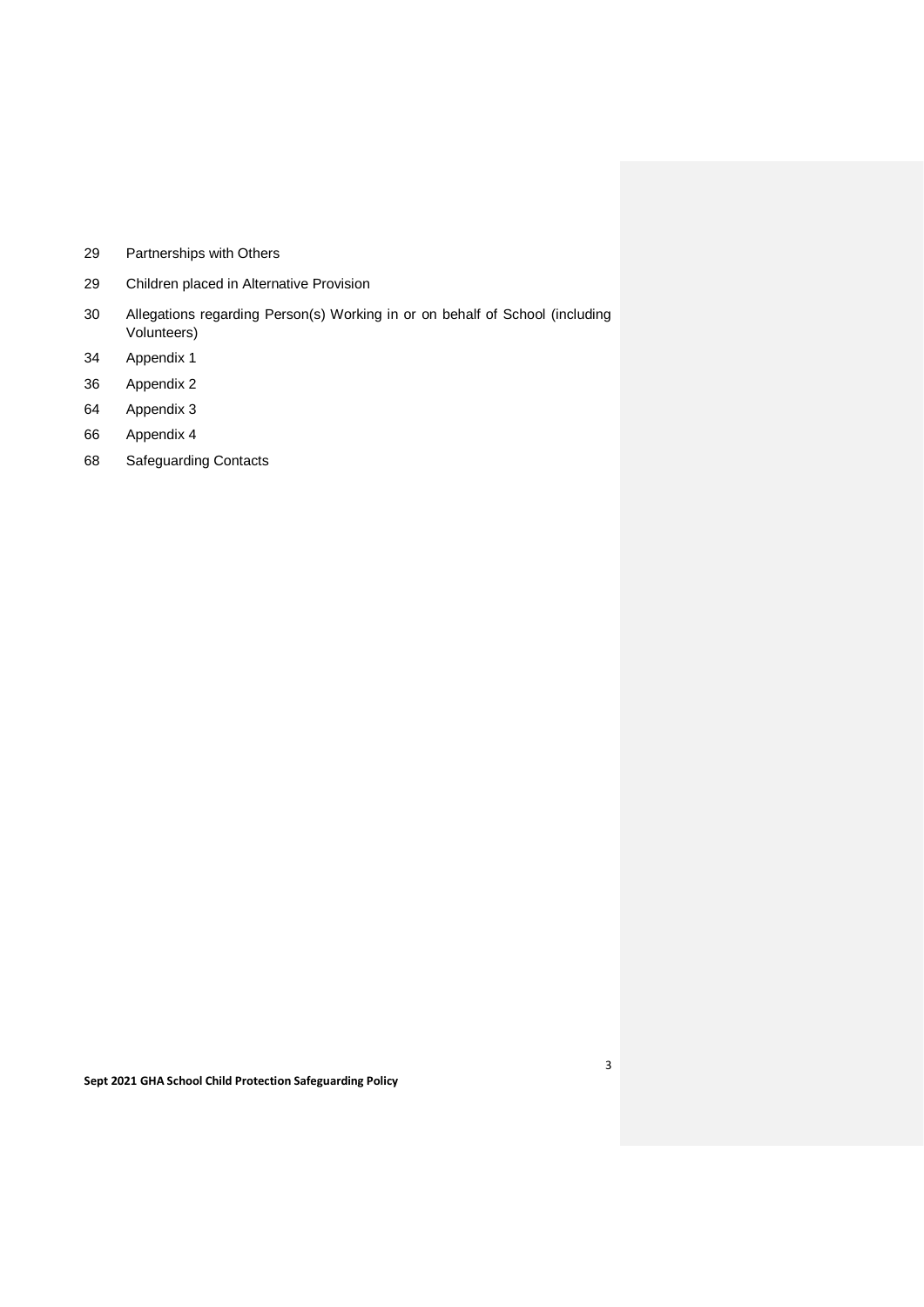- Partnerships with Others
- Children placed in Alternative Provision
- Allegations regarding Person(s) Working in or on behalf of School (including Volunteers)
- Appendix 1
- Appendix 2
- Appendix 3
- Appendix 4
- Safeguarding Contacts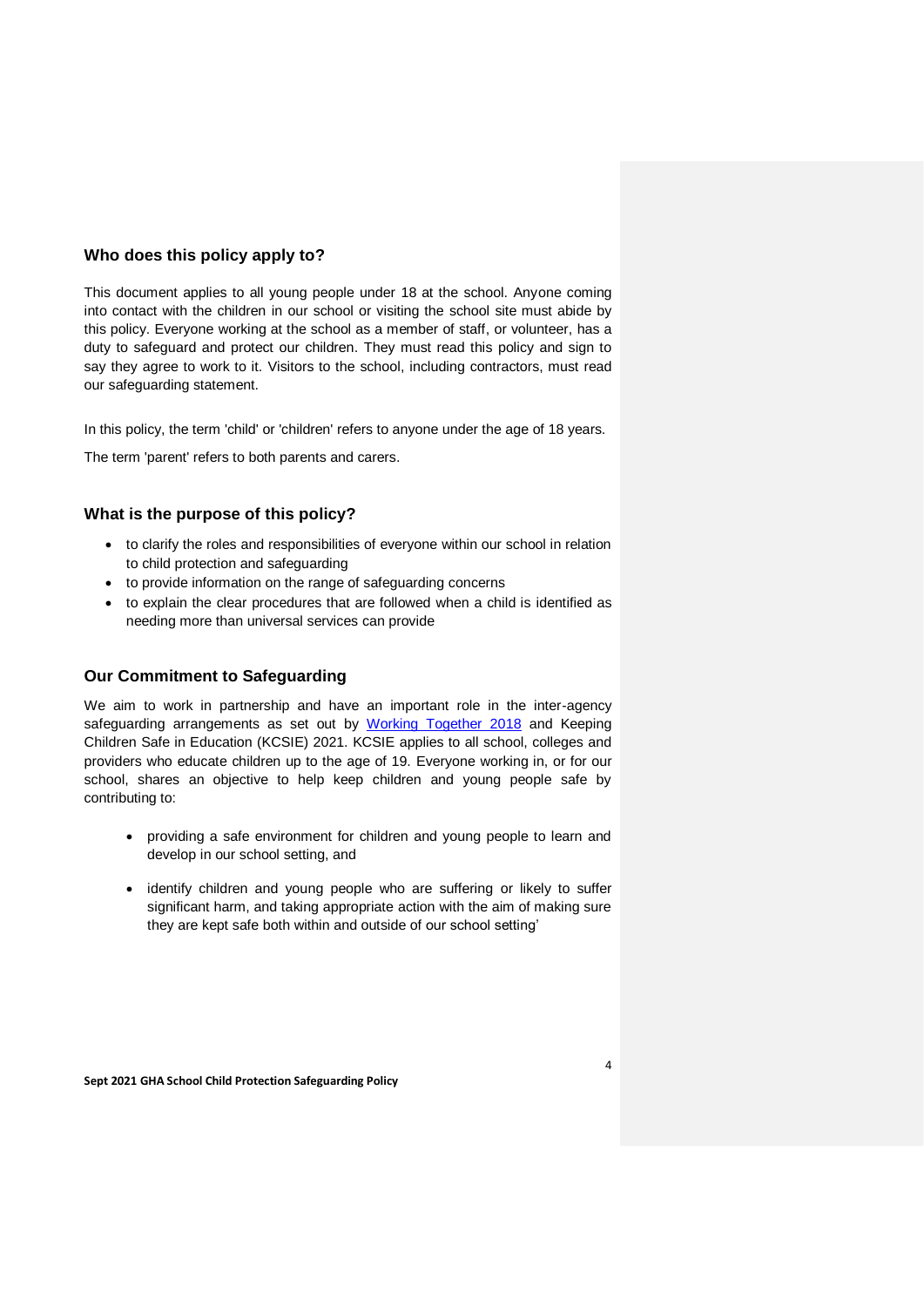# **Who does this policy apply to?**

This document applies to all young people under 18 at the school. Anyone coming into contact with the children in our school or visiting the school site must abide by this policy. Everyone working at the school as a member of staff, or volunteer, has a duty to safeguard and protect our children. They must read this policy and sign to say they agree to work to it. Visitors to the school, including contractors, must read our safeguarding statement.

In this policy, the term 'child' or 'children' refers to anyone under the age of 18 years.

The term 'parent' refers to both parents and carers.

# **What is the purpose of this policy?**

- to clarify the roles and responsibilities of everyone within our school in relation to child protection and safeguarding
- to provide information on the range of safeguarding concerns
- to explain the clear procedures that are followed when a child is identified as needing more than universal services can provide

# **Our Commitment to Safeguarding**

We aim to work in partnership and have an important role in the inter-agency safeguarding arrangements as set out by [Working Together 2018](https://www.gov.uk/government/publications/working-together-to-safeguard-children--2) and Keeping Children Safe in Education (KCSIE) 2021. KCSIE applies to all school, colleges and providers who educate children up to the age of 19. Everyone working in, or for our school, shares an objective to help keep children and young people safe by contributing to:

- providing a safe environment for children and young people to learn and develop in our school setting, and
- identify children and young people who are suffering or likely to suffer significant harm, and taking appropriate action with the aim of making sure they are kept safe both within and outside of our school setting'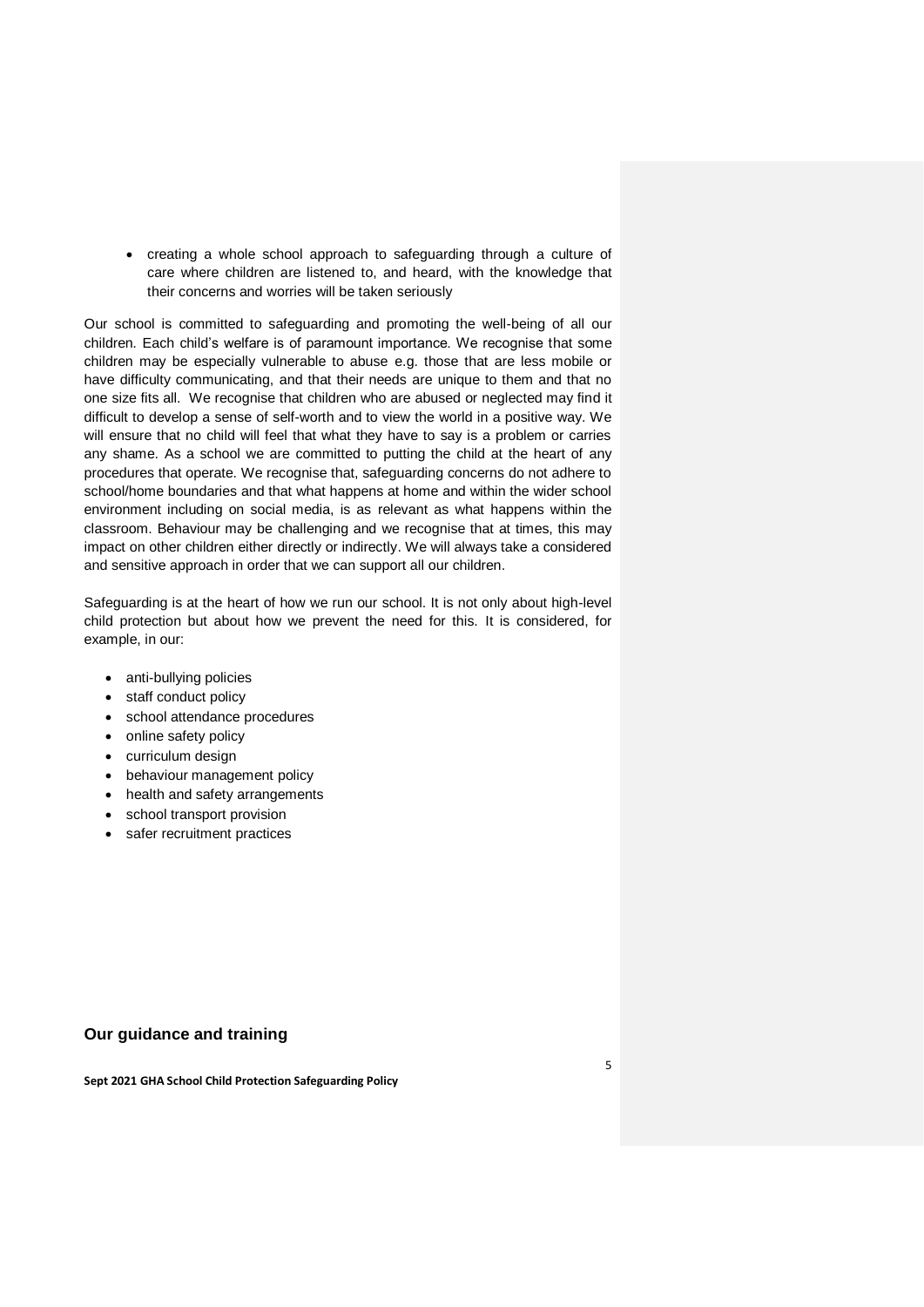• creating a whole school approach to safeguarding through a culture of care where children are listened to, and heard, with the knowledge that their concerns and worries will be taken seriously

Our school is committed to safeguarding and promoting the well-being of all our children*.* Each child's welfare is of paramount importance. We recognise that some children may be especially vulnerable to abuse e.g. those that are less mobile or have difficulty communicating, and that their needs are unique to them and that no one size fits all. We recognise that children who are abused or neglected may find it difficult to develop a sense of self-worth and to view the world in a positive way. We will ensure that no child will feel that what they have to say is a problem or carries any shame. As a school we are committed to putting the child at the heart of any procedures that operate. We recognise that, safeguarding concerns do not adhere to school/home boundaries and that what happens at home and within the wider school environment including on social media, is as relevant as what happens within the classroom. Behaviour may be challenging and we recognise that at times, this may impact on other children either directly or indirectly. We will always take a considered and sensitive approach in order that we can support all our children.

Safeguarding is at the heart of how we run our school. It is not only about high-level child protection but about how we prevent the need for this. It is considered, for example, in our:

- anti-bullying policies
- staff conduct policy
- school attendance procedures
- online safety policy
- curriculum design
- behaviour management policy
- health and safety arrangements
- school transport provision
- safer recruitment practices

# **Our guidance and training**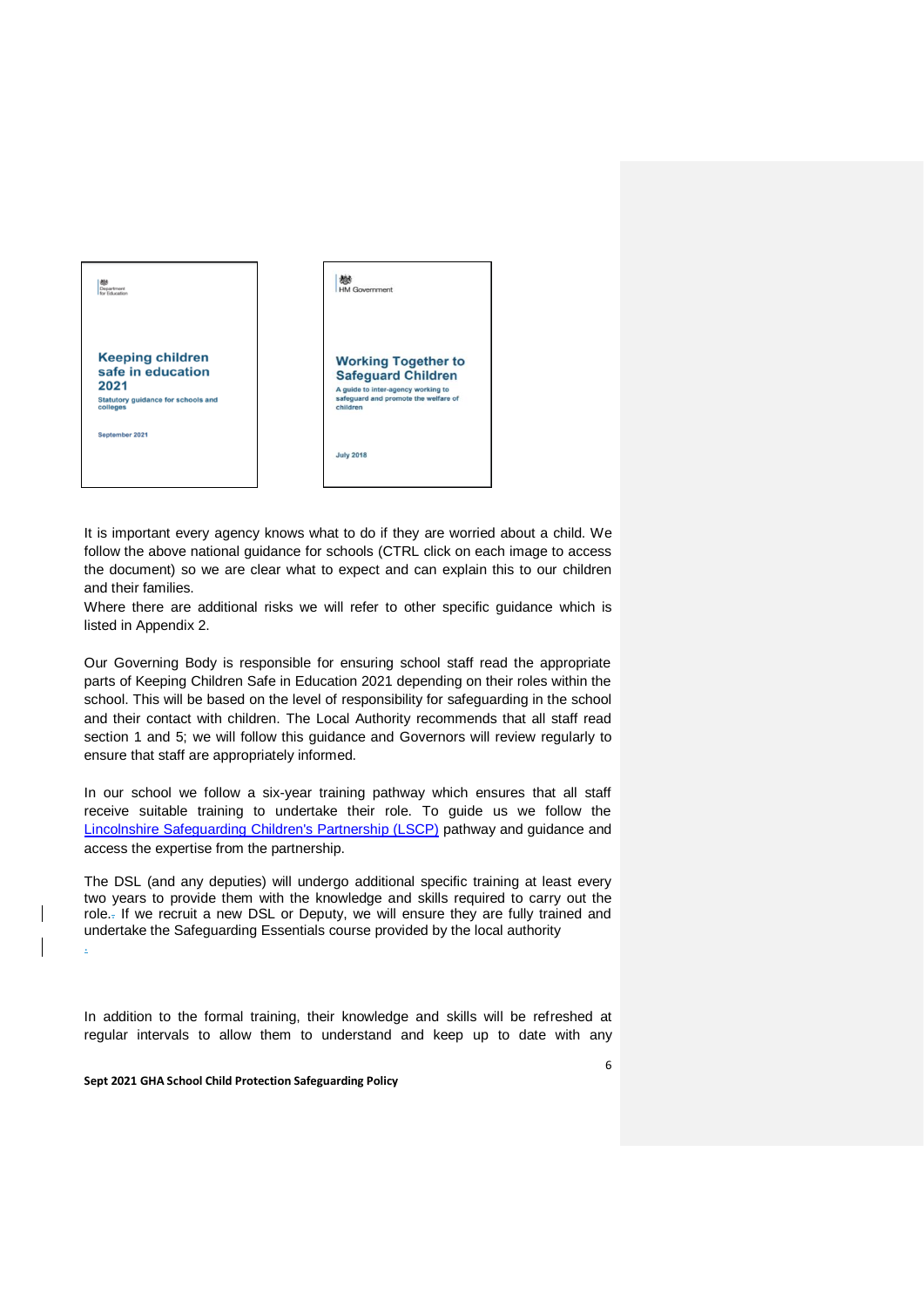

It is important every agency knows what to do if they are worried about a child. We follow the above national guidance for schools (CTRL click on each image to access the document) so we are clear what to expect and can explain this to our children and their families.

Where there are additional risks we will refer to other specific guidance which is listed in Appendix 2.

Our Governing Body is responsible for ensuring school staff read the appropriate parts of Keeping Children Safe in Education 2021 depending on their roles within the school. This will be based on the level of responsibility for safeguarding in the school and their contact with children. The Local Authority recommends that all staff read section 1 and 5; we will follow this guidance and Governors will review regularly to ensure that staff are appropriately informed.

In our school we follow a six-year training pathway which ensures that all staff receive suitable training to undertake their role. To guide us we follow the [Lincolnshire Safeguarding Children's Partnership \(LSCP\)](https://www.lincolnshire.gov.uk/safeguarding/lscp) pathway and guidance and access the expertise from the partnership.

The DSL (and any deputies) will undergo additional specific training at least every two years to provide them with the knowledge and skills required to carry out the role.. If we recruit a new DSL or Deputy, we will ensure they are fully trained and undertake the Safeguarding Essentials course provided by the local authority .

In addition to the formal training, their knowledge and skills will be refreshed at regular intervals to allow them to understand and keep up to date with any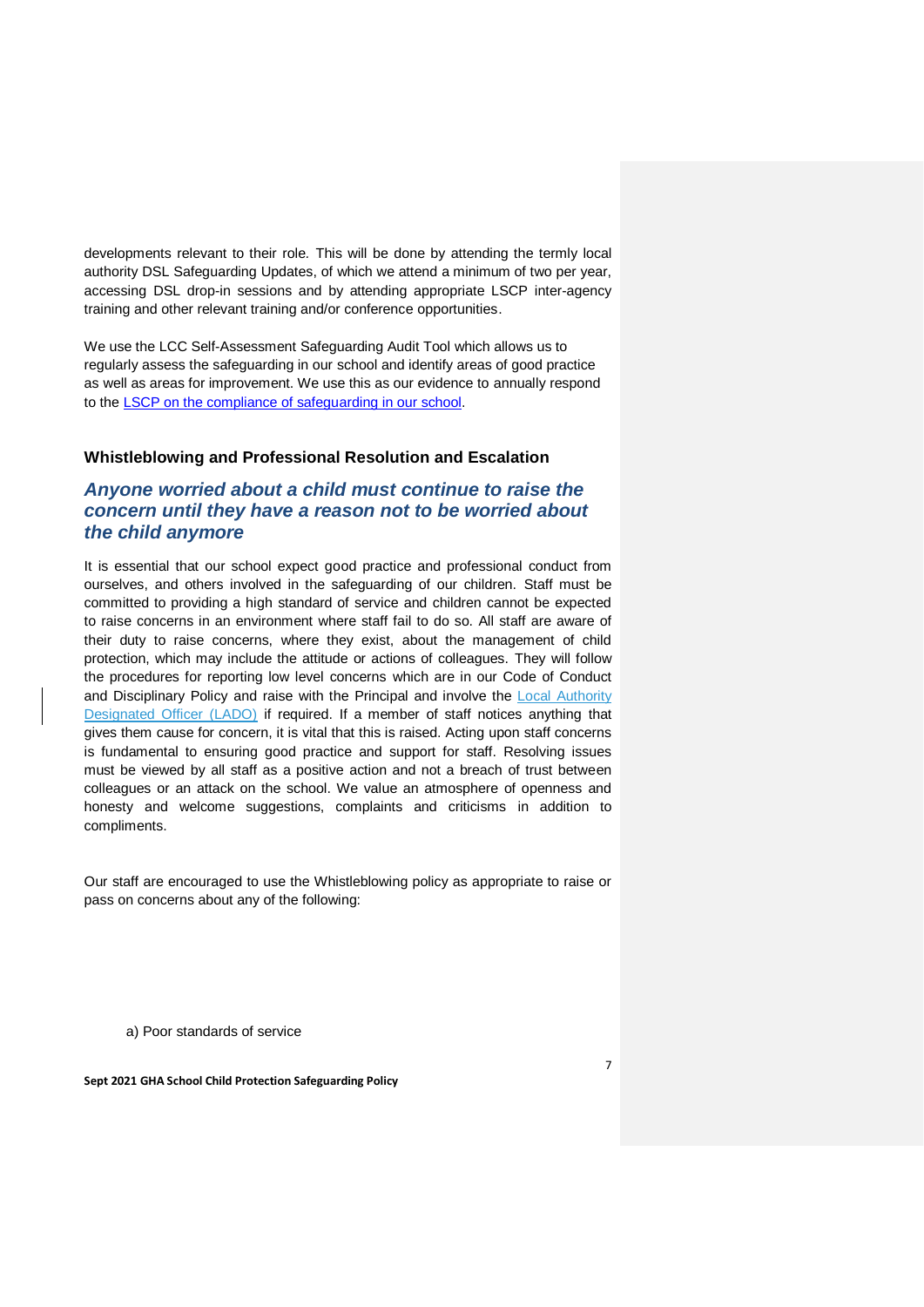developments relevant to their role*.* This will be done by attending the termly local authority DSL Safeguarding Updates, of which we attend a minimum of two per year, accessing DSL drop-in sessions and by attending appropriate LSCP inter-agency training and other relevant training and/or conference opportunities.

We use the LCC Self-Assessment Safeguarding Audit Tool which allows us to regularly assess the safeguarding in our school and identify areas of good practice as well as areas for improvement. We use this as our evidence to annually respond to the [LSCP on the compliance of safeguarding in our school.](https://lincolnshirescb.proceduresonline.com/pdfs/lscp_sch_sg_checklist.pdf)

## **Whistleblowing and Professional Resolution and Escalation**

# *Anyone worried about a child must continue to raise the concern until they have a reason not to be worried about the child anymore*

It is essential that our school expect good practice and professional conduct from ourselves, and others involved in the safeguarding of our children. Staff must be committed to providing a high standard of service and children cannot be expected to raise concerns in an environment where staff fail to do so. All staff are aware of their duty to raise concerns, where they exist, about the management of child protection, which may include the attitude or actions of colleagues. They will follow the procedures for reporting low level concerns which are in our Code of Conduct and Disciplinary Policy and raise with the Principal and involve the [Local Authority](https://www.lincolnshire.gov.uk/safeguarding/lscp/7)  [Designated Officer \(LADO\)](https://www.lincolnshire.gov.uk/safeguarding/lscp/7) if required. If a member of staff notices anything that gives them cause for concern, it is vital that this is raised. Acting upon staff concerns is fundamental to ensuring good practice and support for staff. Resolving issues must be viewed by all staff as a positive action and not a breach of trust between colleagues or an attack on the school. We value an atmosphere of openness and honesty and welcome suggestions, complaints and criticisms in addition to compliments.

Our staff are encouraged to use the Whistleblowing policy as appropriate to raise or pass on concerns about any of the following:

a) Poor standards of service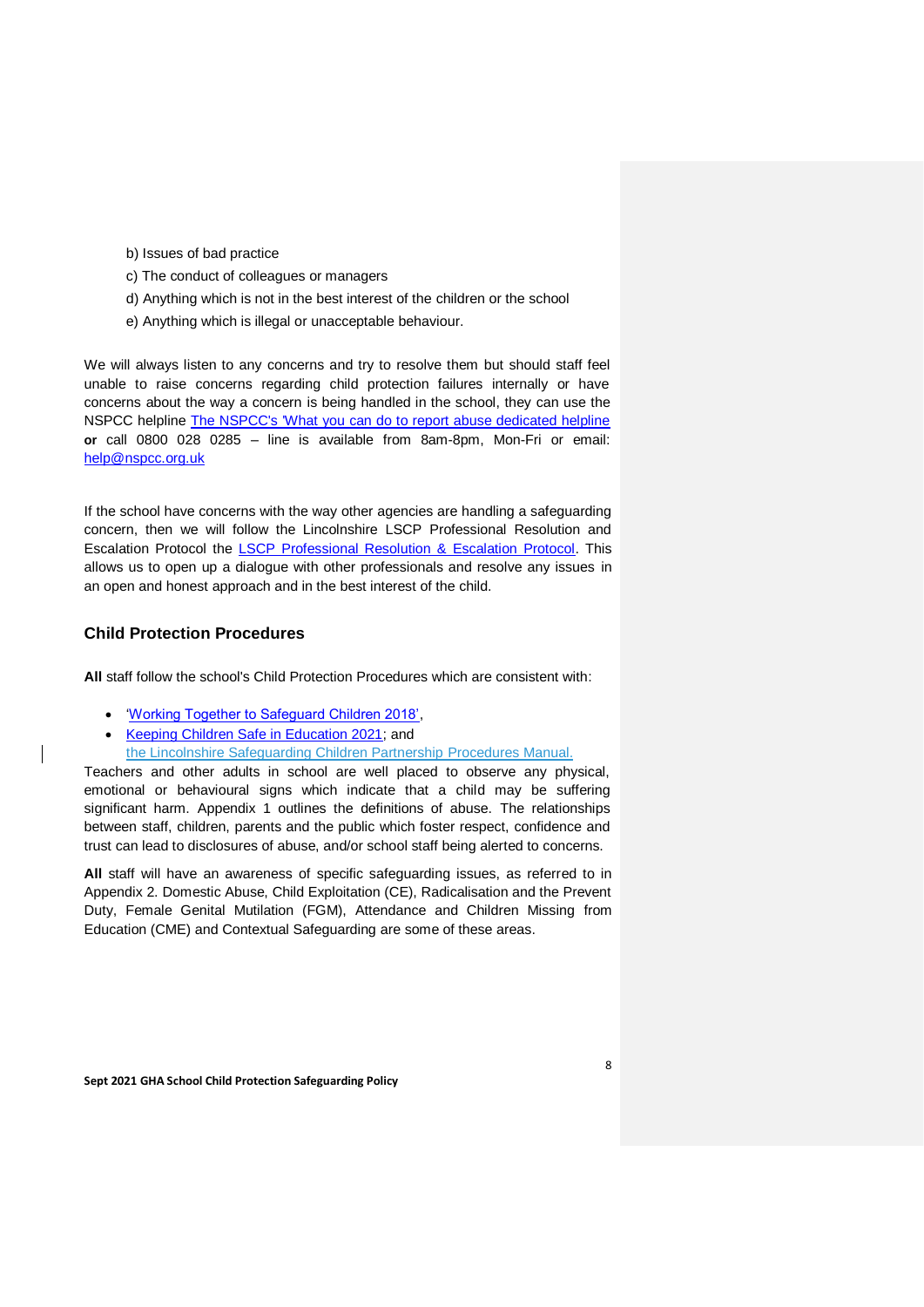- b) Issues of bad practice
- c) The conduct of colleagues or managers
- d) Anything which is not in the best interest of the children or the school
- e) Anything which is illegal or unacceptable behaviour.

We will always listen to any concerns and try to resolve them but should staff feel unable to raise concerns regarding child protection failures internally or have concerns about the way a concern is being handled in the school, they can use the NSPCC helpline [The NSPCC's 'What you can do to report abuse dedicated helpline](https://www.nspcc.org.uk/what-you-can-do/report-abuse/dedicated-helplines/whistleblowing-advice-line/) **or** call 0800 028 0285 – line is available from 8am-8pm, Mon-Fri or email: [help@nspcc.org.uk](mailto:help@nspcc.org.uk)

If the school have concerns with the way other agencies are handling a safeguarding concern, then we will follow the Lincolnshire LSCP Professional Resolution and Escalation Protocol the [LSCP Professional Resolution & Escalation Protocol.](https://lincolnshirescb.proceduresonline.com/chapters/pr_prof_resolution.html) This allows us to open up a dialogue with other professionals and resolve any issues in an open and honest approach and in the best interest of the child.

# **Child Protection Procedures**

**All** staff follow the school's Child Protection Procedures which are consistent with:

- ['Working Together to Safeguard Children 2018',](https://www.gov.uk/government/publications/working-together-to-safeguard-children--2)
- [Keeping Children Safe in Education 2021;](https://www.gov.uk/government/publications/keeping-children-safe-in-education--2) and
	- [the Lincolnshire Safeguarding Children Partnership Procedures Manual.](https://lincolnshirescb.proceduresonline.com/chapters/contents.html)

Teachers and other adults in school are well placed to observe any physical, emotional or behavioural signs which indicate that a child may be suffering significant harm. Appendix 1 outlines the definitions of abuse. The relationships between staff, children, parents and the public which foster respect, confidence and trust can lead to disclosures of abuse, and/or school staff being alerted to concerns.

**All** staff will have an awareness of specific safeguarding issues, as referred to in Appendix 2. Domestic Abuse, Child Exploitation (CE), Radicalisation and the Prevent Duty, Female Genital Mutilation (FGM), Attendance and Children Missing from Education (CME) and Contextual Safeguarding are some of these areas.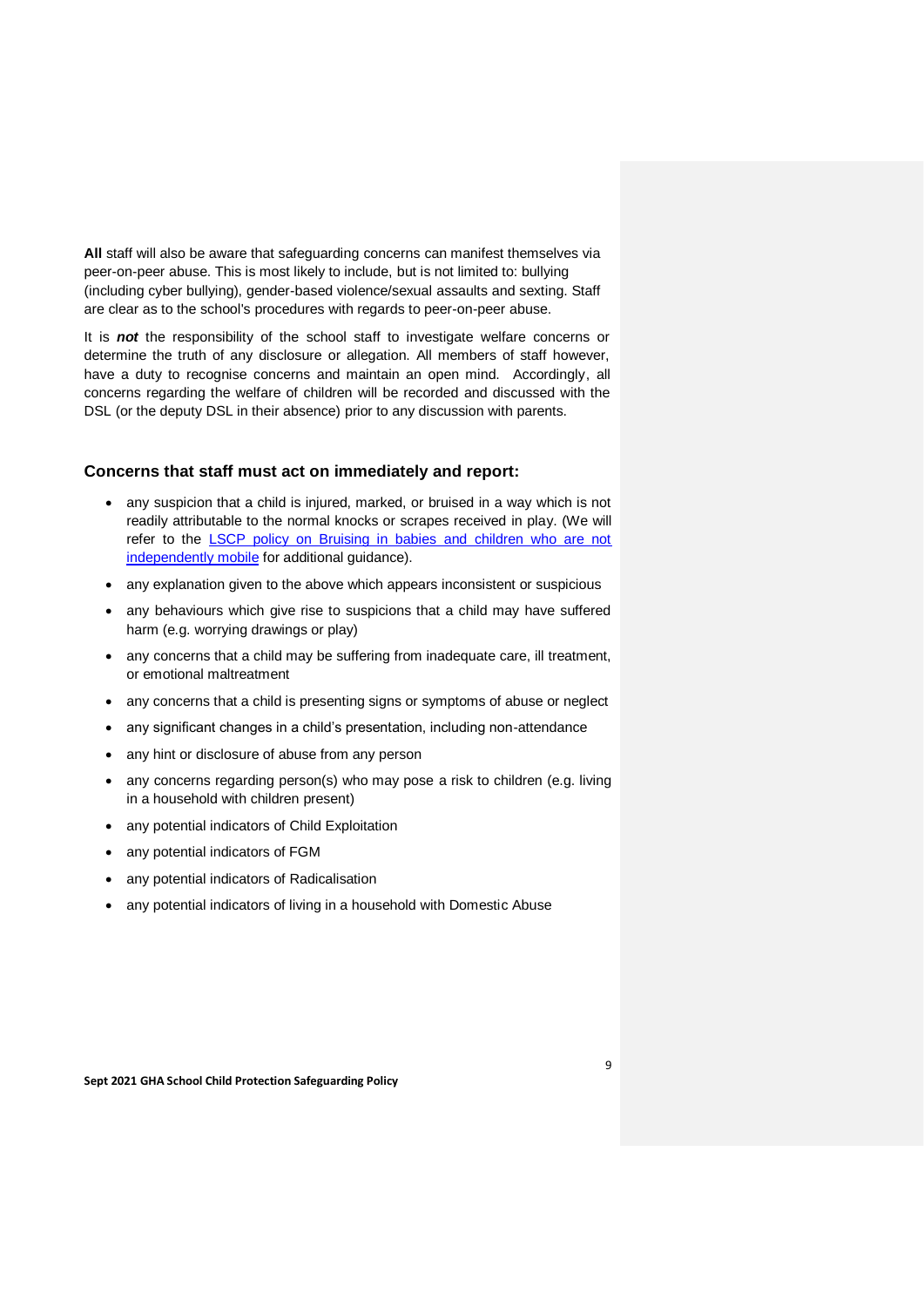**All** staff will also be aware that safeguarding concerns can manifest themselves via peer-on-peer abuse. This is most likely to include, but is not limited to: bullying (including cyber bullying), gender-based violence/sexual assaults and sexting. Staff are clear as to the school's procedures with regards to peer-on-peer abuse.

It is *not* the responsibility of the school staff to investigate welfare concerns or determine the truth of any disclosure or allegation. All members of staff however, have a duty to recognise concerns and maintain an open mind. Accordingly, all concerns regarding the welfare of children will be recorded and discussed with the DSL (or the deputy DSL in their absence) prior to any discussion with parents.

# **Concerns that staff must act on immediately and report:**

- any suspicion that a child is injured, marked, or bruised in a way which is not readily attributable to the normal knocks or scrapes received in play. (We will refer to the [LSCP policy on Bruising in babies and children who are not](https://lincolnshirescb.proceduresonline.com/chapters/p_bruise_babies.html)  [independently mobile](https://lincolnshirescb.proceduresonline.com/chapters/p_bruise_babies.html) for additional guidance).
- any explanation given to the above which appears inconsistent or suspicious
- any behaviours which give rise to suspicions that a child may have suffered harm (e.g. worrying drawings or play)
- any concerns that a child may be suffering from inadequate care, ill treatment, or emotional maltreatment
- any concerns that a child is presenting signs or symptoms of abuse or neglect
- any significant changes in a child's presentation, including non-attendance
- any hint or disclosure of abuse from any person
- any concerns regarding person(s) who may pose a risk to children (e.g. living in a household with children present)
- any potential indicators of Child Exploitation
- any potential indicators of FGM
- any potential indicators of Radicalisation
- any potential indicators of living in a household with Domestic Abuse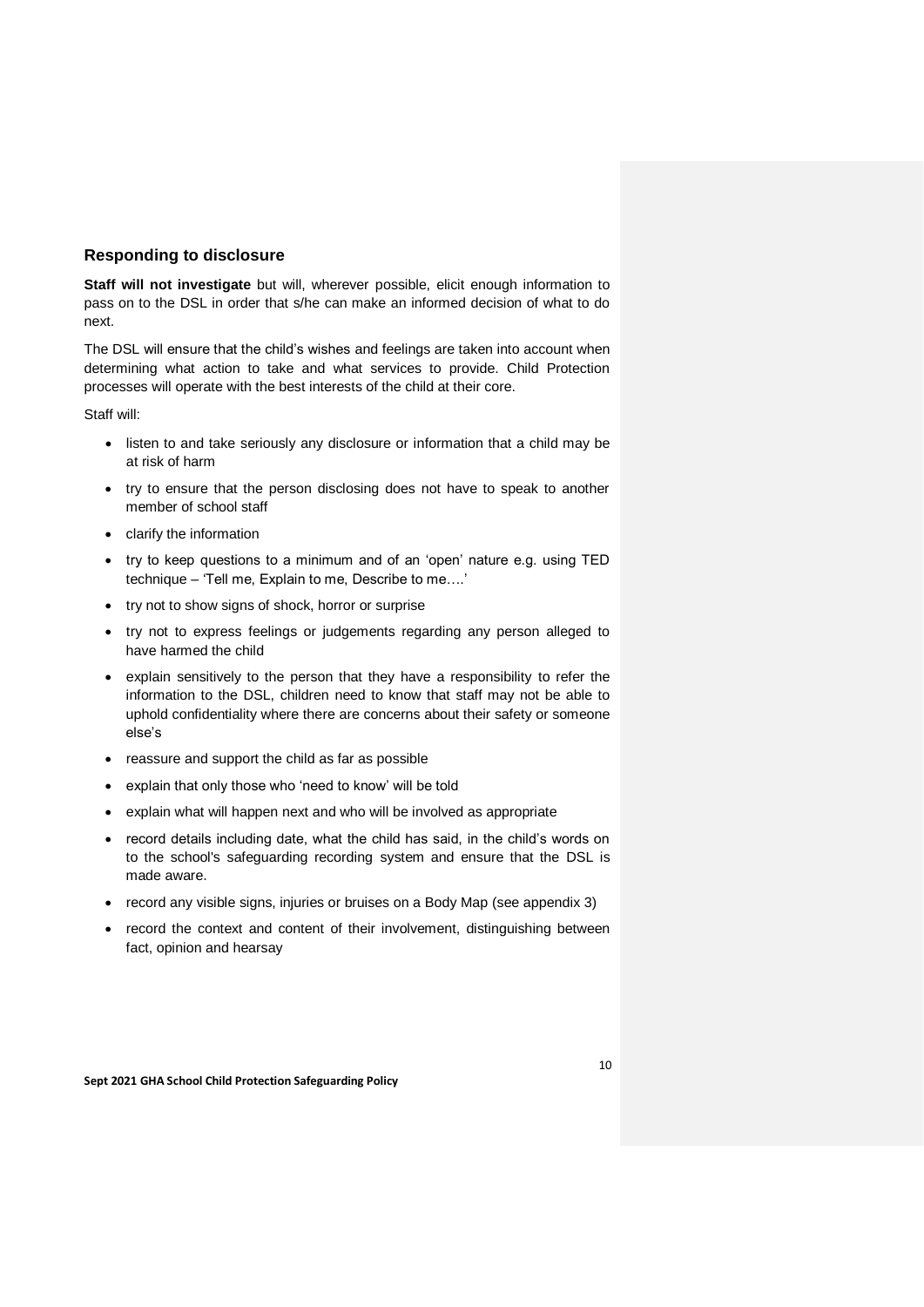# **Responding to disclosure**

**Staff will not investigate** but will, wherever possible, elicit enough information to pass on to the DSL in order that s/he can make an informed decision of what to do next.

The DSL will ensure that the child's wishes and feelings are taken into account when determining what action to take and what services to provide. Child Protection processes will operate with the best interests of the child at their core.

Staff will:

- listen to and take seriously any disclosure or information that a child may be at risk of harm
- try to ensure that the person disclosing does not have to speak to another member of school staff
- clarify the information
- try to keep questions to a minimum and of an 'open' nature e.g. using TED technique – 'Tell me, Explain to me, Describe to me….'
- try not to show signs of shock, horror or surprise
- try not to express feelings or judgements regarding any person alleged to have harmed the child
- explain sensitively to the person that they have a responsibility to refer the information to the DSL, children need to know that staff may not be able to uphold confidentiality where there are concerns about their safety or someone else's
- reassure and support the child as far as possible
- explain that only those who 'need to know' will be told
- explain what will happen next and who will be involved as appropriate
- record details including date, what the child has said, in the child's words on to the school's safeguarding recording system and ensure that the DSL is made aware.
- record any visible signs, injuries or bruises on a Body Map (see appendix 3)
- record the context and content of their involvement, distinguishing between fact, opinion and hearsay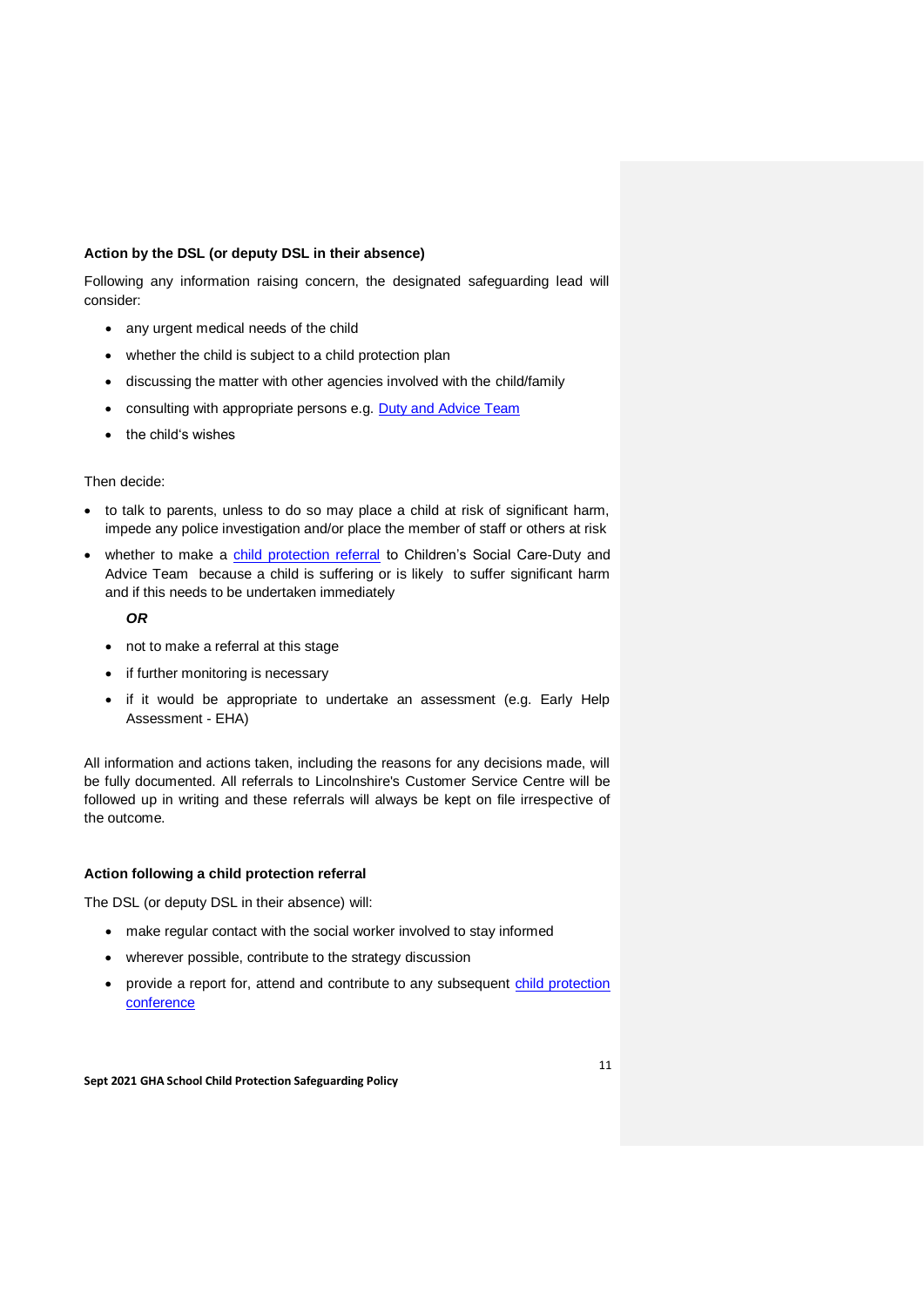# **Action by the DSL (or deputy DSL in their absence)**

Following any information raising concern, the designated safeguarding lead will consider:

- any urgent medical needs of the child
- whether the child is subject to a child protection plan
- discussing the matter with other agencies involved with the child/family
- consulting with appropriate persons e.g. [Duty and Advice Team](https://www.lincolnshire.gov.uk/safeguarding/report-concern)
- the child's wishes

# Then decide:

- to talk to parents, unless to do so may place a child at risk of significant harm, impede any police investigation and/or place the member of staff or others at risk
- whether to make a [child protection referral](https://www.lincolnshire.gov.uk/safeguarding/report-concern) to Children's Social Care-Duty and Advice Team because a child is suffering or is likely to suffer significant harm and if this needs to be undertaken immediately

*OR*

- not to make a referral at this stage
- if further monitoring is necessary
- if it would be appropriate to undertake an assessment (e.g. Early Help Assessment - EHA)

All information and actions taken, including the reasons for any decisions made, will be fully documented. All referrals to Lincolnshire's Customer Service Centre will be followed up in writing and these referrals will always be kept on file irrespective of the outcome.

## **Action following a child protection referral**

The DSL (or deputy DSL in their absence) will:

- make regular contact with the social worker involved to stay informed
- wherever possible, contribute to the strategy discussion
- provide a report for, attend and contribute to any subsequent child protection [conference](https://lincolnshirescb.proceduresonline.com/chapters/p_child_pro_rev_conf.html)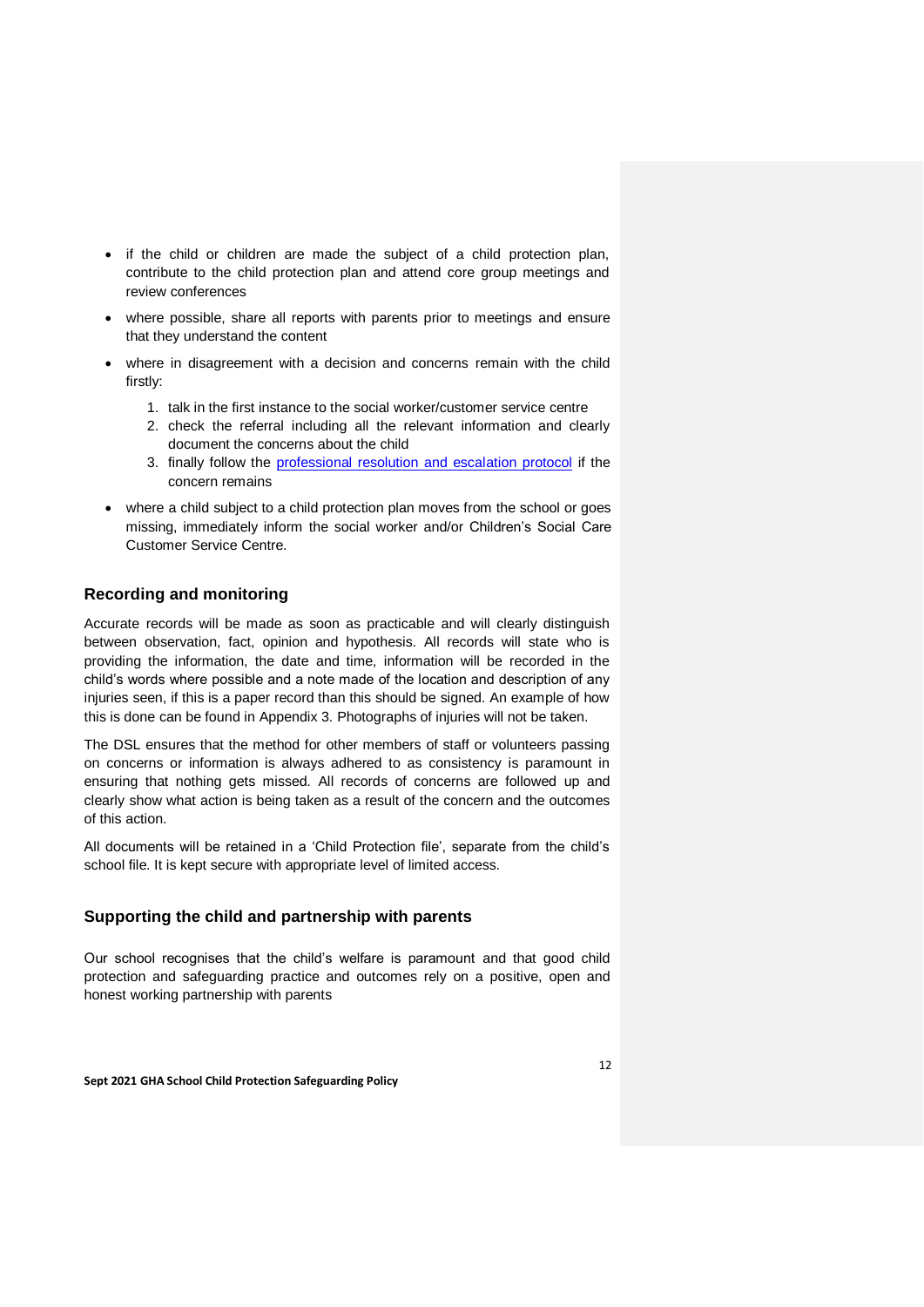- if the child or children are made the subject of a child protection plan, contribute to the child protection plan and attend core group meetings and review conferences
- where possible, share all reports with parents prior to meetings and ensure that they understand the content
- where in disagreement with a decision and concerns remain with the child firstly:
	- 1. talk in the first instance to the social worker/customer service centre
	- 2. check the referral including all the relevant information and clearly document the concerns about the child
	- 3. finally follow the [professional resolution and escalation protocol](https://lincolnshirescb.proceduresonline.com/chapters/pr_prof_resolution.html) if the concern remains
- where a child subject to a child protection plan moves from the school or goes missing, immediately inform the social worker and/or Children's Social Care Customer Service Centre.

# **Recording and monitoring**

Accurate records will be made as soon as practicable and will clearly distinguish between observation, fact, opinion and hypothesis. All records will state who is providing the information, the date and time, information will be recorded in the child's words where possible and a note made of the location and description of any injuries seen, if this is a paper record than this should be signed. An example of how this is done can be found in Appendix 3. Photographs of injuries will not be taken.

The DSL ensures that the method for other members of staff or volunteers passing on concerns or information is always adhered to as consistency is paramount in ensuring that nothing gets missed. All records of concerns are followed up and clearly show what action is being taken as a result of the concern and the outcomes of this action.

All documents will be retained in a 'Child Protection file', separate from the child's school file. It is kept secure with appropriate level of limited access.

# **Supporting the child and partnership with parents**

Our school recognises that the child's welfare is paramount and that good child protection and safeguarding practice and outcomes rely on a positive, open and honest working partnership with parents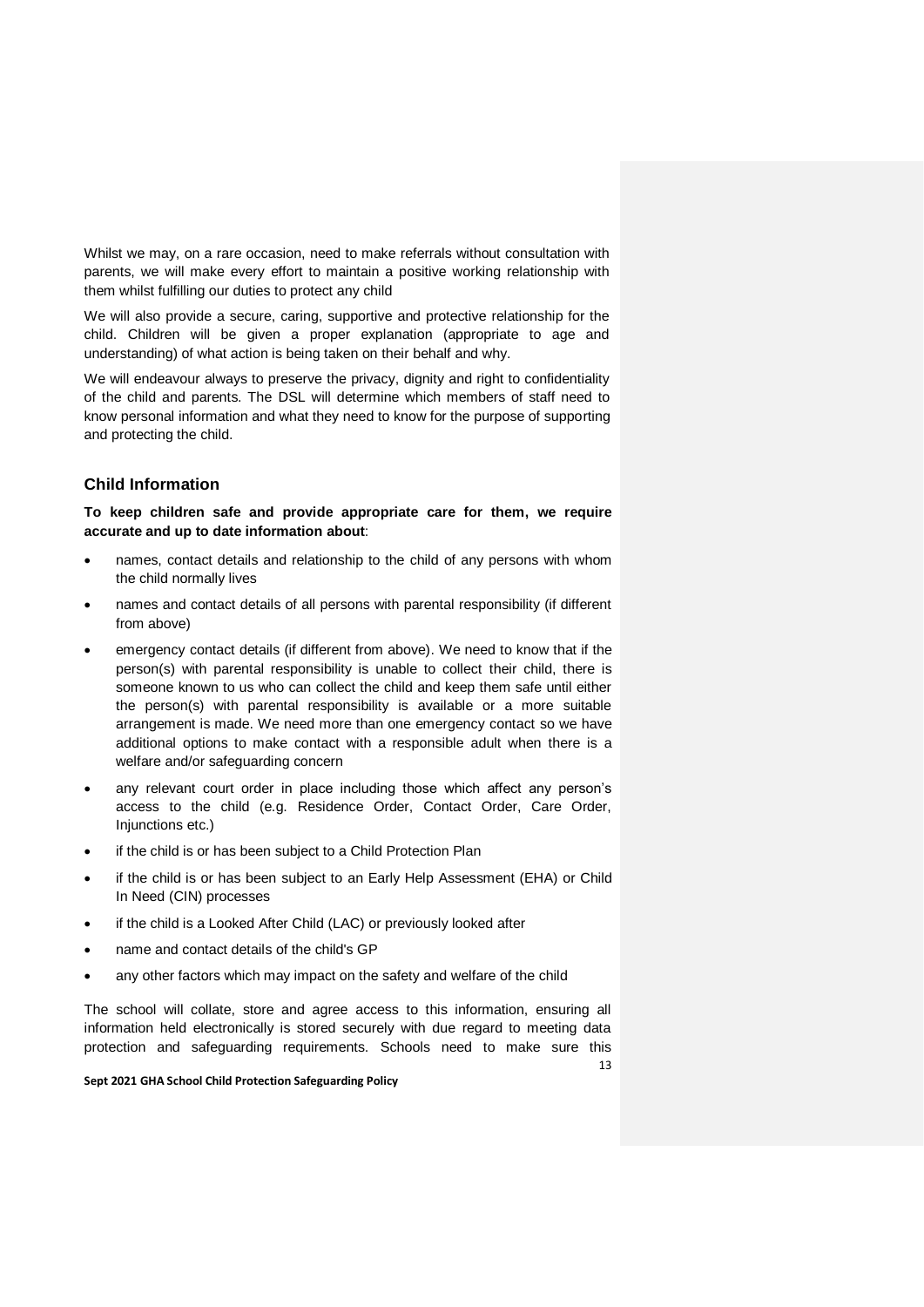Whilst we may, on a rare occasion, need to make referrals without consultation with parents, we will make every effort to maintain a positive working relationship with them whilst fulfilling our duties to protect any child

We will also provide a secure, caring, supportive and protective relationship for the child. Children will be given a proper explanation (appropriate to age and understanding) of what action is being taken on their behalf and why.

We will endeavour always to preserve the privacy, dignity and right to confidentiality of the child and parents. The DSL will determine which members of staff need to know personal information and what they need to know for the purpose of supporting and protecting the child.

# **Child Information**

**To keep children safe and provide appropriate care for them, we require accurate and up to date information about**:

- names, contact details and relationship to the child of any persons with whom the child normally lives
- names and contact details of all persons with parental responsibility (if different from above)
- emergency contact details (if different from above). We need to know that if the person(s) with parental responsibility is unable to collect their child, there is someone known to us who can collect the child and keep them safe until either the person(s) with parental responsibility is available or a more suitable arrangement is made. We need more than one emergency contact so we have additional options to make contact with a responsible adult when there is a welfare and/or safeguarding concern
- any relevant court order in place including those which affect any person's access to the child (e.g. Residence Order, Contact Order, Care Order, Injunctions etc.)
- if the child is or has been subject to a Child Protection Plan
- if the child is or has been subject to an Early Help Assessment (EHA) or Child In Need (CIN) processes
- if the child is a Looked After Child (LAC) or previously looked after
- name and contact details of the child's GP
- any other factors which may impact on the safety and welfare of the child

The school will collate, store and agree access to this information, ensuring all information held electronically is stored securely with due regard to meeting data protection and safeguarding requirements. Schools need to make sure this

13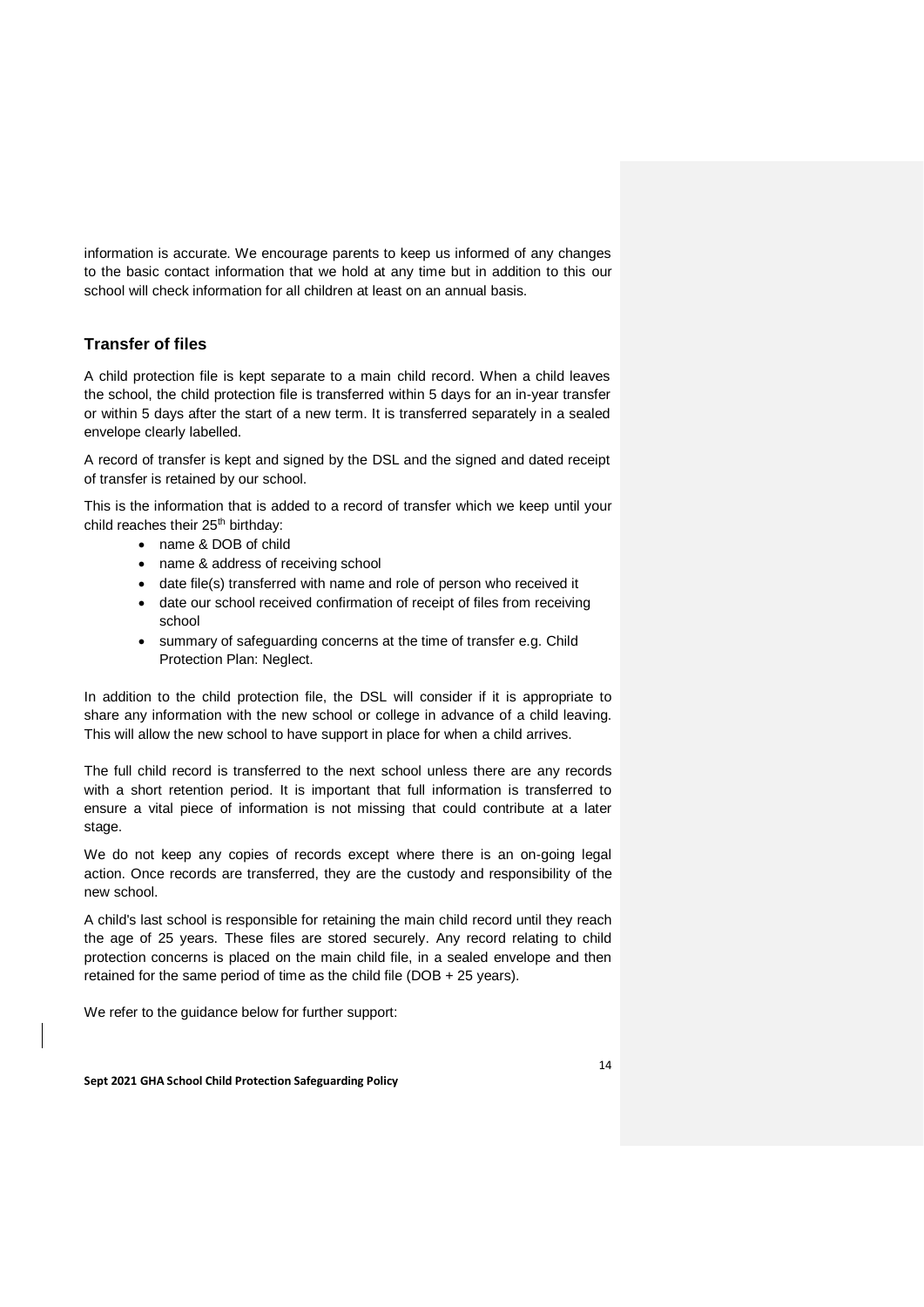information is accurate. We encourage parents to keep us informed of any changes to the basic contact information that we hold at any time but in addition to this our school will check information for all children at least on an annual basis.

# **Transfer of files**

A child protection file is kept separate to a main child record. When a child leaves the school, the child protection file is transferred within 5 days for an in-year transfer or within 5 days after the start of a new term. It is transferred separately in a sealed envelope clearly labelled.

A record of transfer is kept and signed by the DSL and the signed and dated receipt of transfer is retained by our school.

This is the information that is added to a record of transfer which we keep until your child reaches their 25<sup>th</sup> birthday:

- name & DOB of child
- name & address of receiving school
- date file(s) transferred with name and role of person who received it
- date our school received confirmation of receipt of files from receiving school
- summary of safeguarding concerns at the time of transfer e.g. Child Protection Plan: Neglect.

In addition to the child protection file, the DSL will consider if it is appropriate to share any information with the new school or college in advance of a child leaving. This will allow the new school to have support in place for when a child arrives.

The full child record is transferred to the next school unless there are any records with a short retention period. It is important that full information is transferred to ensure a vital piece of information is not missing that could contribute at a later stage.

We do not keep any copies of records except where there is an on-going legal action. Once records are transferred, they are the custody and responsibility of the new school.

A child's last school is responsible for retaining the main child record until they reach the age of 25 years. These files are stored securely. Any record relating to child protection concerns is placed on the main child file, in a sealed envelope and then retained for the same period of time as the child file (DOB + 25 years).

We refer to the quidance below for further support: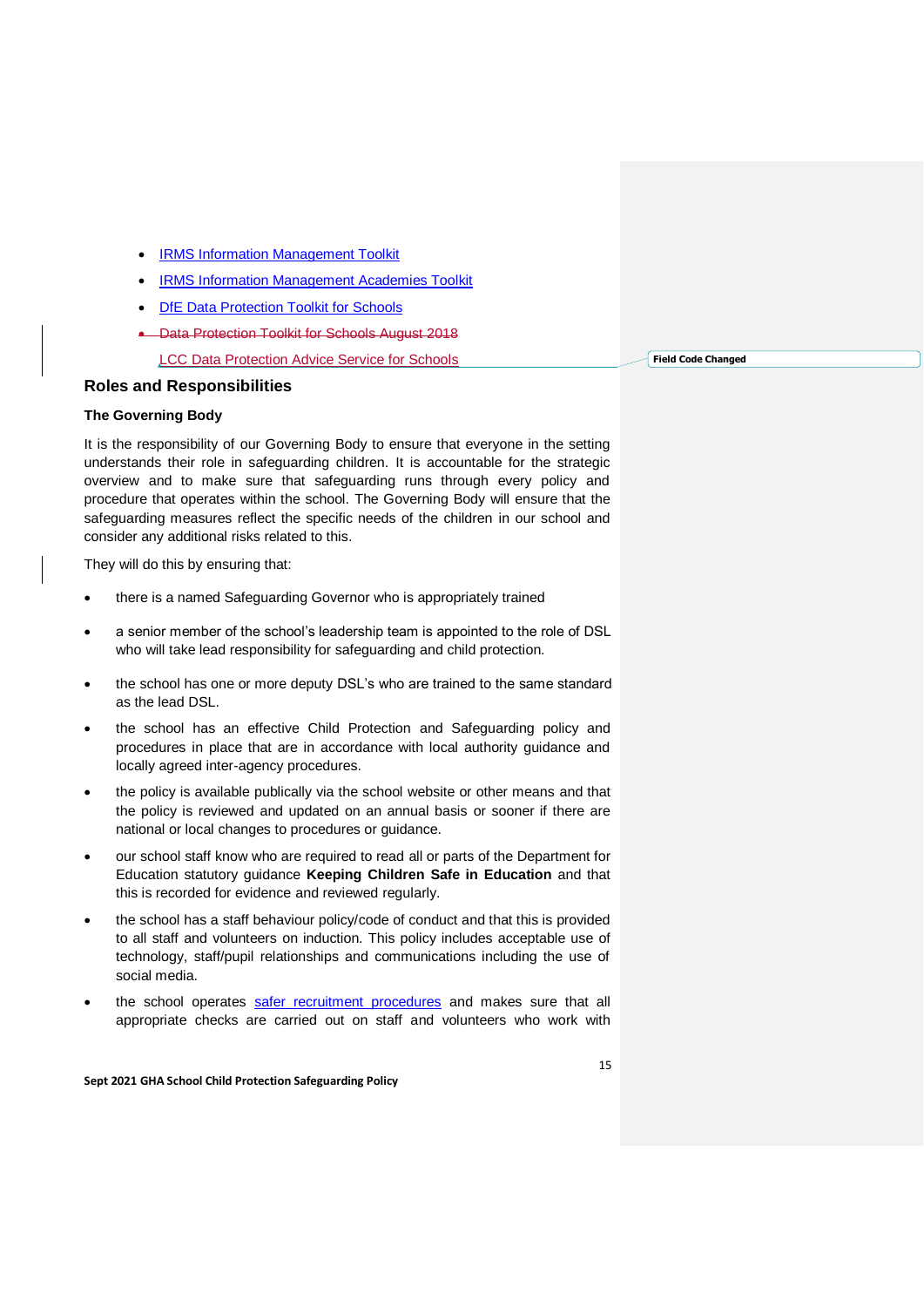- [IRMS Information Management Toolkit](https://irms.org.uk/page/SchoolsToolkit)
- [IRMS Information Management Academies Toolkit](https://irms.org.uk/page/AcademiesToolkit)
- [DfE Data Protection Toolkit for Schools](https://www.gov.uk/government/publications/data-protection-toolkit-for-schools)
- Data Protection Toolkit for Schools August 2018

**[LCC Data Protection Advice Service for Schools](https://www.lincolnshire.gov.uk/directory-record/63817/data-protection-advice-service)** 

# **Roles and Responsibilities**

# **The Governing Body**

It is the responsibility of our Governing Body to ensure that everyone in the setting understands their role in safeguarding children. It is accountable for the strategic overview and to make sure that safeguarding runs through every policy and procedure that operates within the school. The Governing Body will ensure that the safeguarding measures reflect the specific needs of the children in our school and consider any additional risks related to this.

They will do this by ensuring that:

- there is a named Safeguarding Governor who is appropriately trained
- a senior member of the school's leadership team is appointed to the role of DSL who will take lead responsibility for safeguarding and child protection.
- the school has one or more deputy DSL's who are trained to the same standard as the lead DSL.
- the school has an effective Child Protection and Safeguarding policy and procedures in place that are in accordance with local authority guidance and locally agreed inter-agency procedures.
- the policy is available publically via the school website or other means and that the policy is reviewed and updated on an annual basis or sooner if there are national or local changes to procedures or guidance.
- our school staff know who are required to read all or parts of the Department for Education statutory guidance **Keeping Children Safe in Education** and that this is recorded for evidence and reviewed regularly.
- the school has a staff behaviour policy/code of conduct and that this is provided to all staff and volunteers on induction. This policy includes acceptable use of technology, staff/pupil relationships and communications including the use of social media.
- the school operates [safer recruitment procedures](https://professionals.lincolnshire.gov.uk/downloads/download/110/recruitment-selection-and-induction?downloadID=110) and makes sure that all appropriate checks are carried out on staff and volunteers who work with

**Sept 2021 GHA School Child Protection Safeguarding Policy**

**Field Code Changed**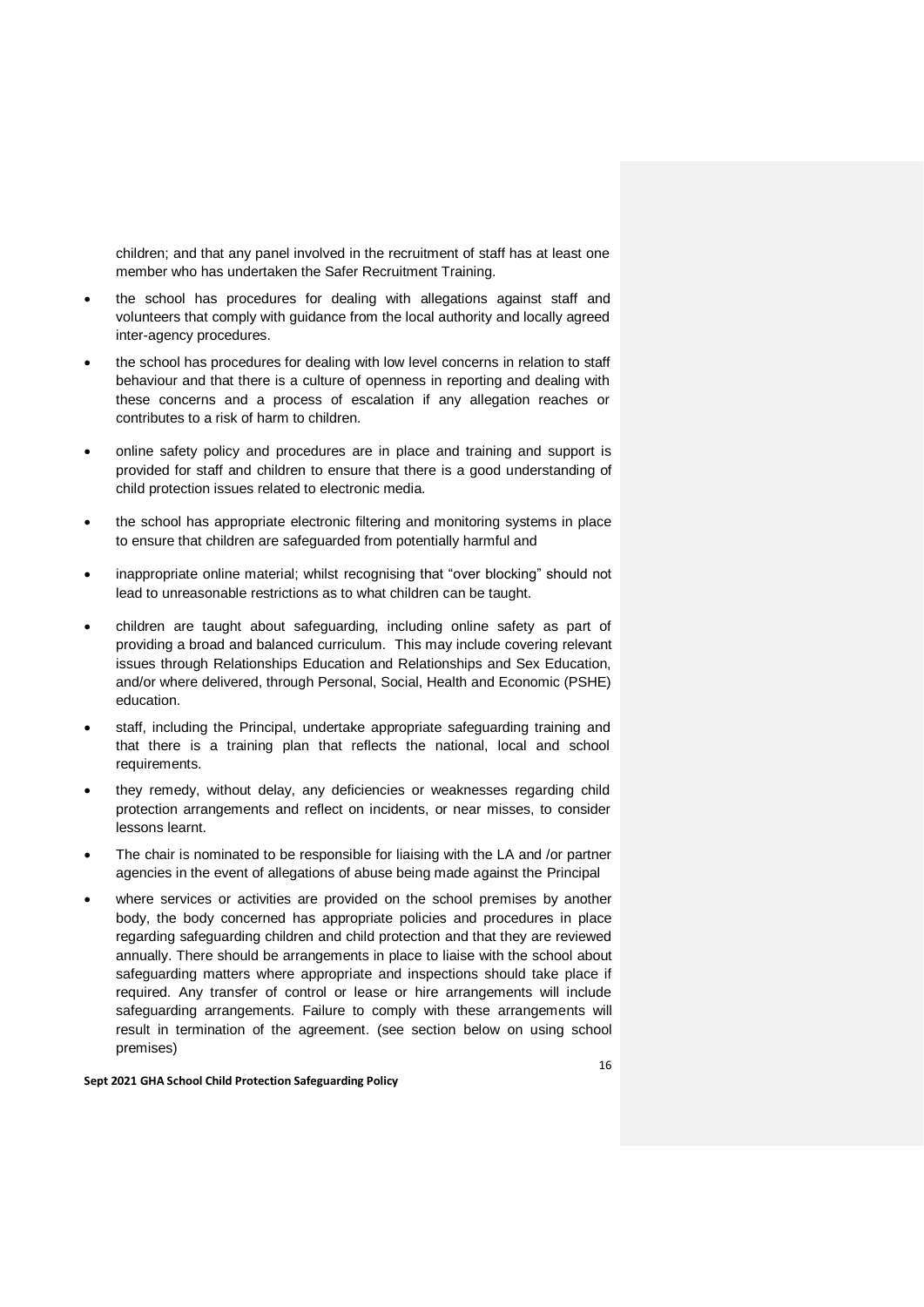children; and that any panel involved in the recruitment of staff has at least one member who has undertaken the Safer Recruitment Training.

- the school has procedures for dealing with allegations against staff and volunteers that comply with guidance from the local authority and locally agreed inter-agency procedures.
- the school has procedures for dealing with low level concerns in relation to staff behaviour and that there is a culture of openness in reporting and dealing with these concerns and a process of escalation if any allegation reaches or contributes to a risk of harm to children.
- online safety policy and procedures are in place and training and support is provided for staff and children to ensure that there is a good understanding of child protection issues related to electronic media.
- the school has appropriate electronic filtering and monitoring systems in place to ensure that children are safeguarded from potentially harmful and
- inappropriate online material; whilst recognising that "over blocking" should not lead to unreasonable restrictions as to what children can be taught.
- children are taught about safeguarding, including online safety as part of providing a broad and balanced curriculum. This may include covering relevant issues through Relationships Education and Relationships and Sex Education, and/or where delivered, through Personal, Social, Health and Economic (PSHE) education.
- staff, including the Principal, undertake appropriate safeguarding training and that there is a training plan that reflects the national, local and school requirements.
- they remedy, without delay, any deficiencies or weaknesses regarding child protection arrangements and reflect on incidents, or near misses, to consider lessons learnt.
- The chair is nominated to be responsible for liaising with the LA and /or partner agencies in the event of allegations of abuse being made against the Principal
- where services or activities are provided on the school premises by another body, the body concerned has appropriate policies and procedures in place regarding safeguarding children and child protection and that they are reviewed annually. There should be arrangements in place to liaise with the school about safeguarding matters where appropriate and inspections should take place if required. Any transfer of control or lease or hire arrangements will include safeguarding arrangements. Failure to comply with these arrangements will result in termination of the agreement. (see section below on using school premises)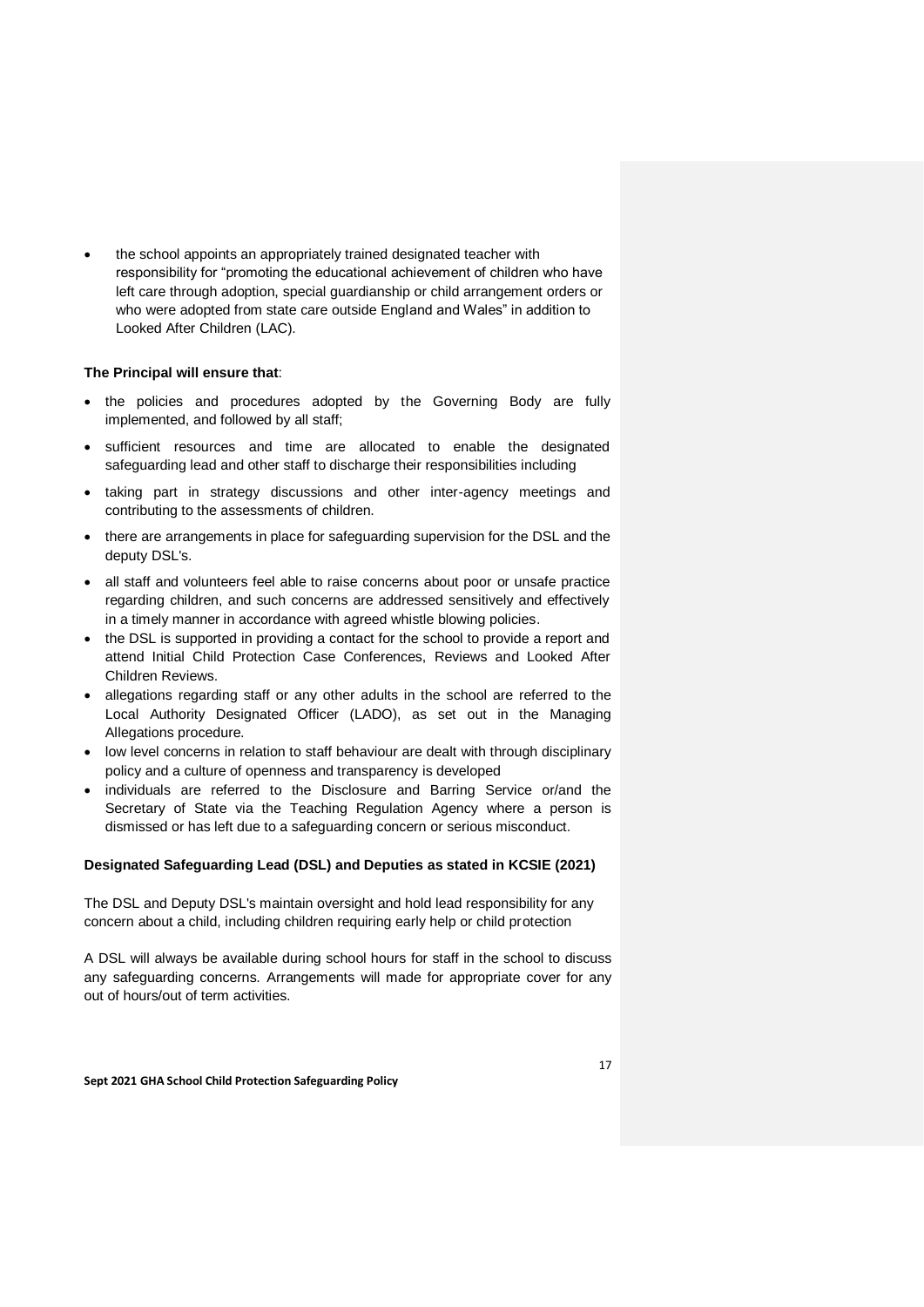• the school appoints an appropriately trained designated teacher with responsibility for "promoting the educational achievement of children who have left care through adoption, special guardianship or child arrangement orders or who were adopted from state care outside England and Wales" in addition to Looked After Children (LAC).

#### **The Principal will ensure that**:

- the policies and procedures adopted by the Governing Body are fully implemented, and followed by all staff;
- sufficient resources and time are allocated to enable the designated safeguarding lead and other staff to discharge their responsibilities including
- taking part in strategy discussions and other inter-agency meetings and contributing to the assessments of children.
- there are arrangements in place for safeguarding supervision for the DSL and the deputy DSL's.
- all staff and volunteers feel able to raise concerns about poor or unsafe practice regarding children, and such concerns are addressed sensitively and effectively in a timely manner in accordance with agreed whistle blowing policies.
- the DSL is supported in providing a contact for the school to provide a report and attend Initial Child Protection Case Conferences, Reviews and Looked After Children Reviews.
- allegations regarding staff or any other adults in the school are referred to the Local Authority Designated Officer (LADO), as set out in the Managing Allegations procedure.
- low level concerns in relation to staff behaviour are dealt with through disciplinary policy and a culture of openness and transparency is developed
- individuals are referred to the Disclosure and Barring Service or/and the Secretary of State via the Teaching Regulation Agency where a person is dismissed or has left due to a safeguarding concern or serious misconduct.

## **Designated Safeguarding Lead (DSL) and Deputies as stated in KCSIE (2021)**

The DSL and Deputy DSL's maintain oversight and hold lead responsibility for any concern about a child, including children requiring early help or child protection

A DSL will always be available during school hours for staff in the school to discuss any safeguarding concerns. Arrangements will made for appropriate cover for any out of hours/out of term activities.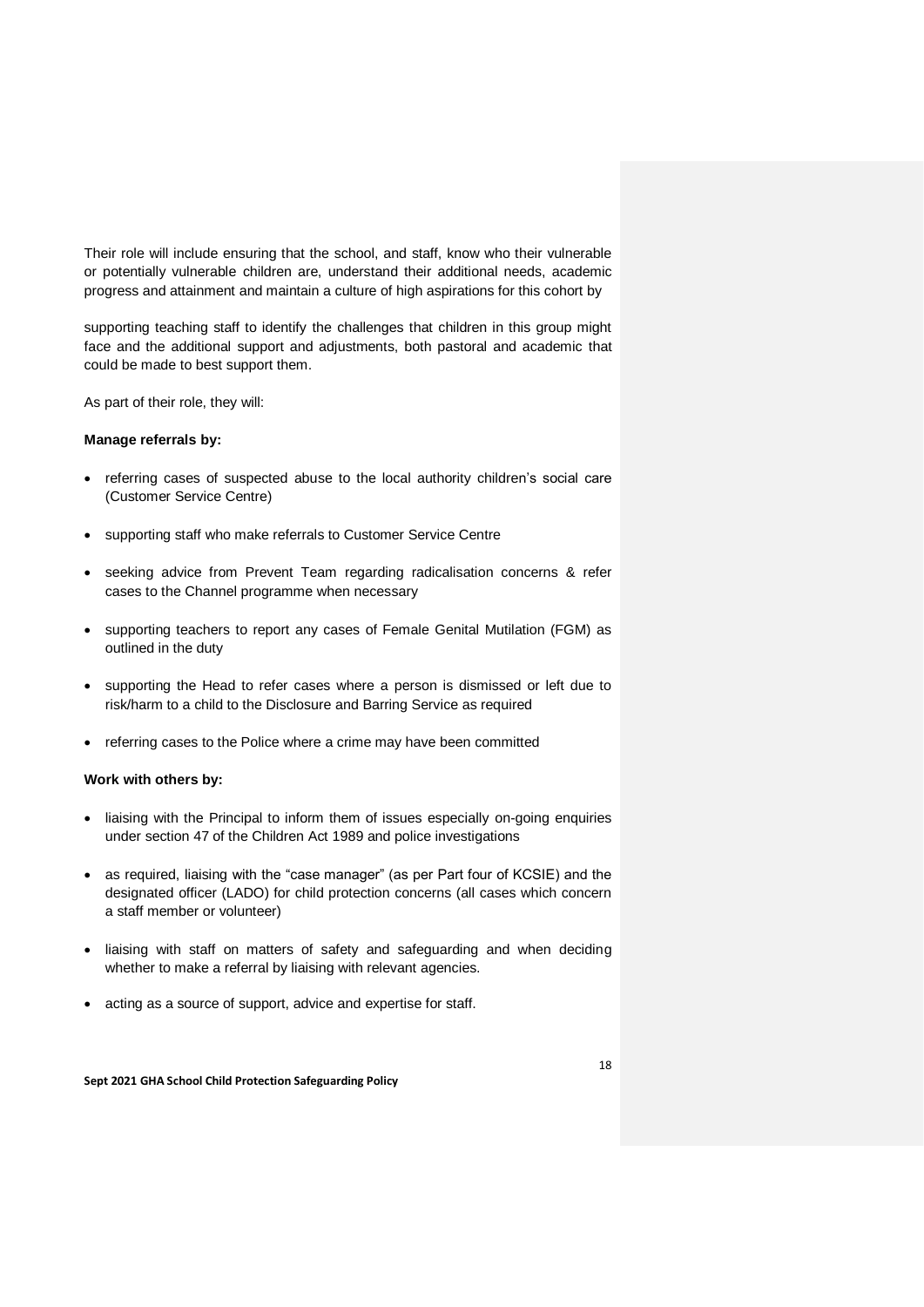Their role will include ensuring that the school, and staff, know who their vulnerable or potentially vulnerable children are, understand their additional needs, academic progress and attainment and maintain a culture of high aspirations for this cohort by

supporting teaching staff to identify the challenges that children in this group might face and the additional support and adjustments, both pastoral and academic that could be made to best support them.

As part of their role, they will:

# **Manage referrals by:**

- referring cases of suspected abuse to the local authority children's social care (Customer Service Centre)
- supporting staff who make referrals to Customer Service Centre
- seeking advice from Prevent Team regarding radicalisation concerns & refer cases to the Channel programme when necessary
- supporting teachers to report any cases of Female Genital Mutilation (FGM) as outlined in the duty
- supporting the Head to refer cases where a person is dismissed or left due to risk/harm to a child to the Disclosure and Barring Service as required
- referring cases to the Police where a crime may have been committed

## **Work with others by:**

- liaising with the Principal to inform them of issues especially on-going enquiries under section 47 of the Children Act 1989 and police investigations
- as required, liaising with the "case manager" (as per Part four of KCSIE) and the designated officer (LADO) for child protection concerns (all cases which concern a staff member or volunteer)
- liaising with staff on matters of safety and safeguarding and when deciding whether to make a referral by liaising with relevant agencies.
- acting as a source of support, advice and expertise for staff.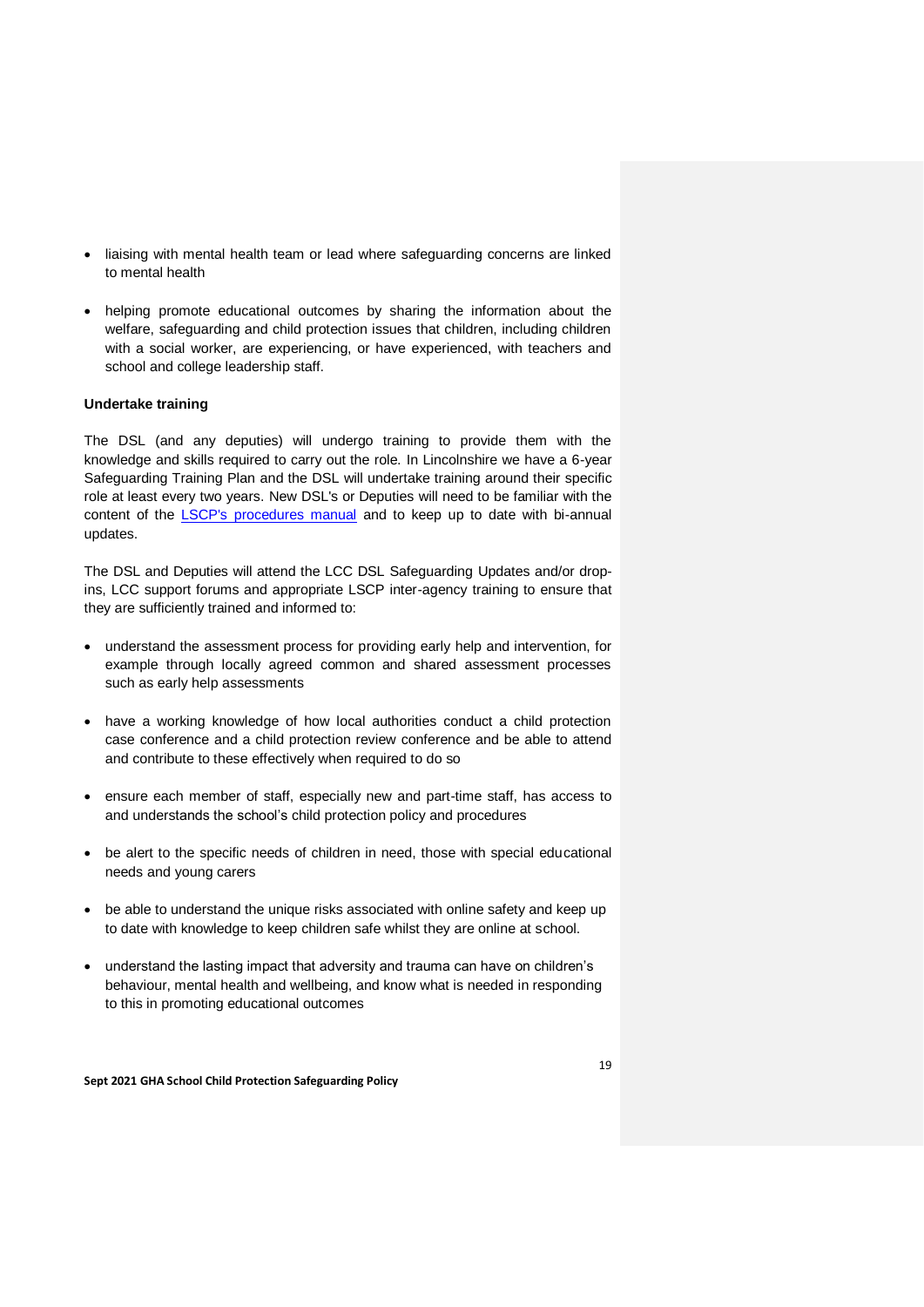- liaising with mental health team or lead where safeguarding concerns are linked to mental health
- helping promote educational outcomes by sharing the information about the welfare, safeguarding and child protection issues that children, including children with a social worker, are experiencing, or have experienced, with teachers and school and college leadership staff.

## **Undertake training**

The DSL (and any deputies) will undergo training to provide them with the knowledge and skills required to carry out the role. In Lincolnshire we have a 6-year Safeguarding Training Plan and the DSL will undertake training around their specific role at least every two years. New DSL's or Deputies will need to be familiar with the content of the [LSCP's procedures manual](https://lincolnshirescb.proceduresonline.com/chapters/contents.html) and to keep up to date with bi-annual updates.

The DSL and Deputies will attend the LCC DSL Safeguarding Updates and/or dropins, LCC support forums and appropriate LSCP inter-agency training to ensure that they are sufficiently trained and informed to:

- understand the assessment process for providing early help and intervention, for example through locally agreed common and shared assessment processes such as early help assessments
- have a working knowledge of how local authorities conduct a child protection case conference and a child protection review conference and be able to attend and contribute to these effectively when required to do so
- ensure each member of staff, especially new and part-time staff, has access to and understands the school's child protection policy and procedures
- be alert to the specific needs of children in need, those with special educational needs and young carers
- be able to understand the unique risks associated with online safety and keep up to date with knowledge to keep children safe whilst they are online at school.
- understand the lasting impact that adversity and trauma can have on children's behaviour, mental health and wellbeing, and know what is needed in responding to this in promoting educational outcomes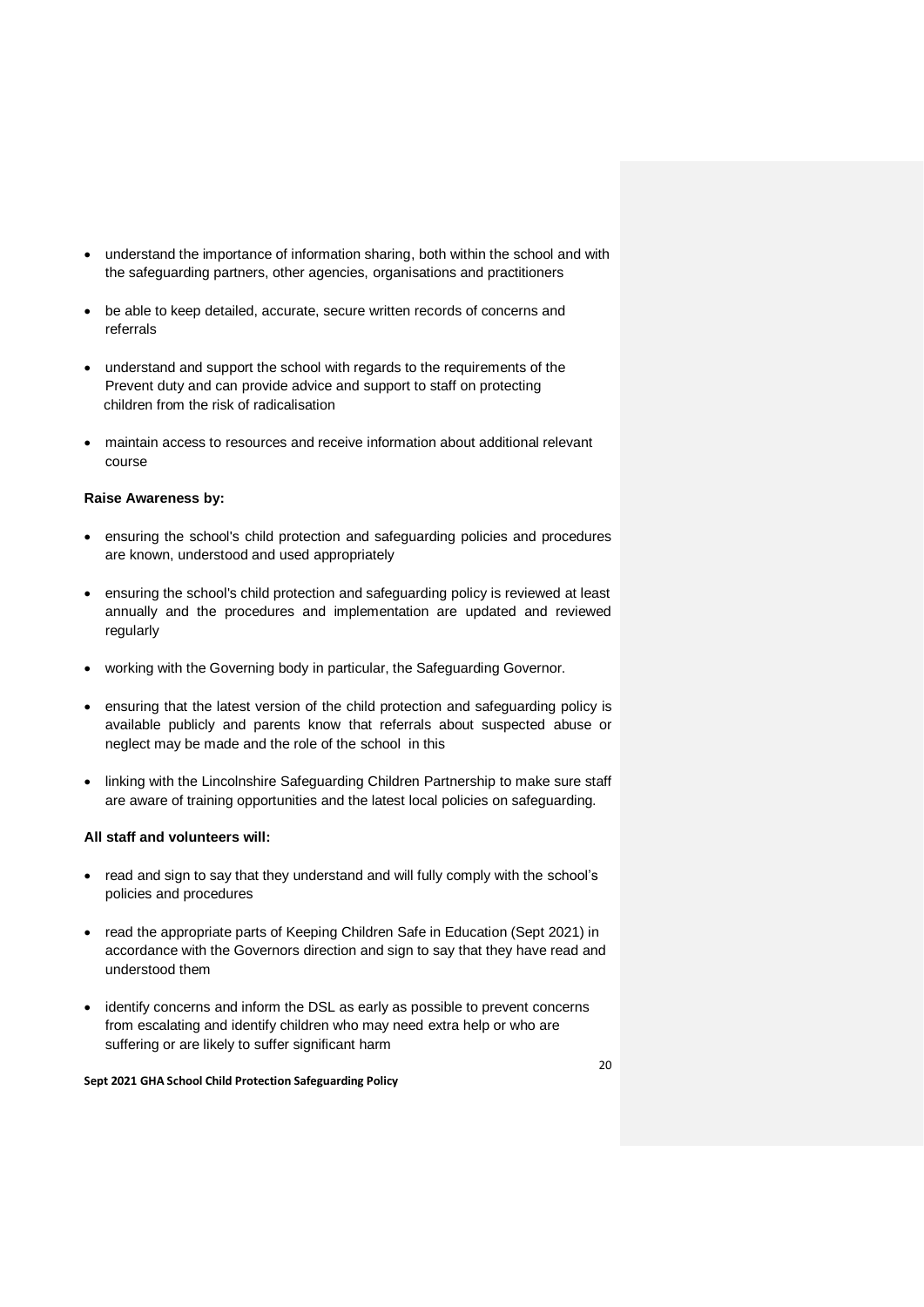- understand the importance of information sharing, both within the school and with the safeguarding partners, other agencies, organisations and practitioners
- be able to keep detailed, accurate, secure written records of concerns and referrals
- understand and support the school with regards to the requirements of the Prevent duty and can provide advice and support to staff on protecting children from the risk of radicalisation
- maintain access to resources and receive information about additional relevant course

# **Raise Awareness by:**

- ensuring the school's child protection and safeguarding policies and procedures are known, understood and used appropriately
- ensuring the school's child protection and safeguarding policy is reviewed at least annually and the procedures and implementation are updated and reviewed regularly
- working with the Governing body in particular, the Safeguarding Governor.
- ensuring that the latest version of the child protection and safeguarding policy is available publicly and parents know that referrals about suspected abuse or neglect may be made and the role of the school in this
- linking with the Lincolnshire Safeguarding Children Partnership to make sure staff are aware of training opportunities and the latest local policies on safeguarding.

# **All staff and volunteers will:**

- read and sign to say that they understand and will fully comply with the school's policies and procedures
- read the appropriate parts of Keeping Children Safe in Education (Sept 2021) in accordance with the Governors direction and sign to say that they have read and understood them
- identify concerns and inform the DSL as early as possible to prevent concerns from escalating and identify children who may need extra help or who are suffering or are likely to suffer significant harm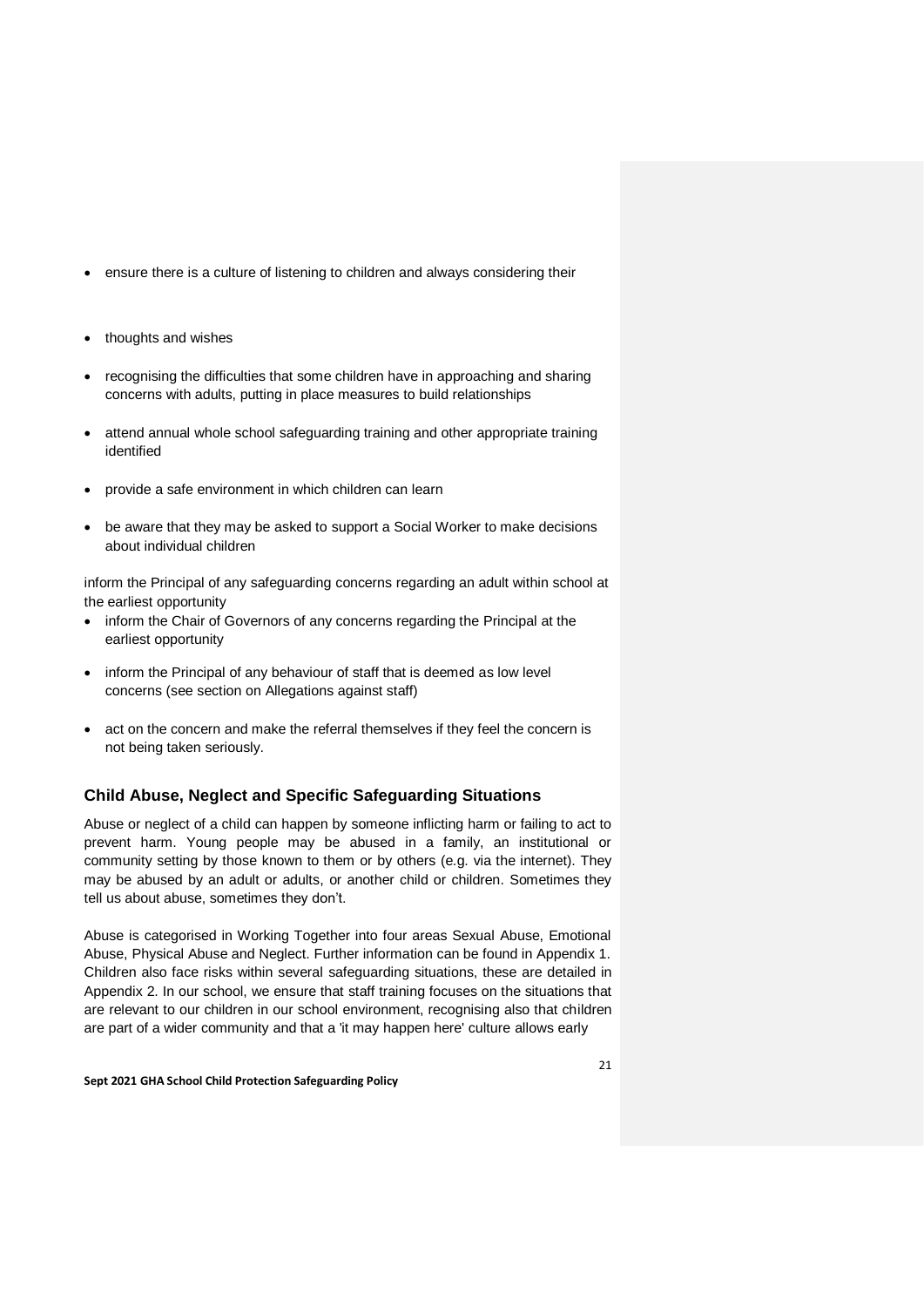- ensure there is a culture of listening to children and always considering their
- thoughts and wishes
- recognising the difficulties that some children have in approaching and sharing concerns with adults, putting in place measures to build relationships
- attend annual whole school safeguarding training and other appropriate training identified
- provide a safe environment in which children can learn
- be aware that they may be asked to support a Social Worker to make decisions about individual children

inform the Principal of any safeguarding concerns regarding an adult within school at the earliest opportunity

- inform the Chair of Governors of any concerns regarding the Principal at the earliest opportunity
- inform the Principal of any behaviour of staff that is deemed as low level concerns (see section on Allegations against staff)
- act on the concern and make the referral themselves if they feel the concern is not being taken seriously.

## **Child Abuse, Neglect and Specific Safeguarding Situations**

Abuse or neglect of a child can happen by someone inflicting harm or failing to act to prevent harm. Young people may be abused in a family, an institutional or community setting by those known to them or by others (e.g. via the internet). They may be abused by an adult or adults, or another child or children. Sometimes they tell us about abuse, sometimes they don't.

Abuse is categorised in Working Together into four areas Sexual Abuse, Emotional Abuse, Physical Abuse and Neglect. Further information can be found in Appendix 1. Children also face risks within several safeguarding situations, these are detailed in Appendix 2. In our school, we ensure that staff training focuses on the situations that are relevant to our children in our school environment, recognising also that children are part of a wider community and that a 'it may happen here' culture allows early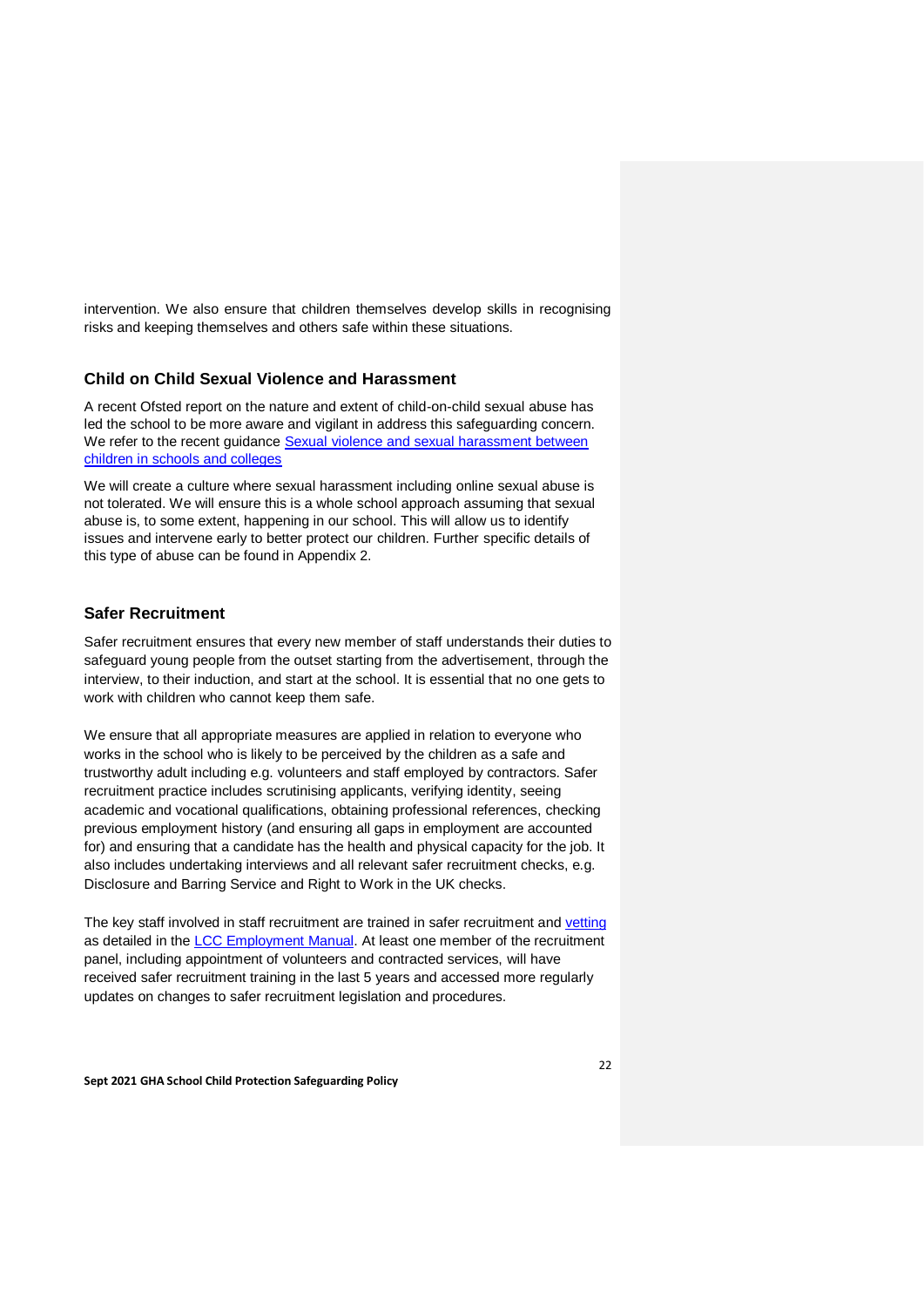intervention. We also ensure that children themselves develop skills in recognising risks and keeping themselves and others safe within these situations.

# **Child on Child Sexual Violence and Harassment**

A recent Ofsted report on the nature and extent of child-on-child sexual abuse has led the school to be more aware and vigilant in address this safeguarding concern. We refer to the recent guidance Sexual violence and sexual harassment between [children in schools and colleges](https://www.gov.uk/government/publications/sexual-violence-and-sexual-harassment-between-children-in-schools-and-colleges)

We will create a culture where sexual harassment including online sexual abuse is not tolerated. We will ensure this is a whole school approach assuming that sexual abuse is, to some extent, happening in our school. This will allow us to identify issues and intervene early to better protect our children. Further specific details of this type of abuse can be found in Appendix 2.

# **Safer Recruitment**

Safer recruitment ensures that every new member of staff understands their duties to safeguard young people from the outset starting from the advertisement, through the interview, to their induction, and start at the school. It is essential that no one gets to work with children who cannot keep them safe.

We ensure that all appropriate measures are applied in relation to everyone who works in the school who is likely to be perceived by the children as a safe and trustworthy adult including e.g. volunteers and staff employed by contractors. Safer recruitment practice includes scrutinising applicants, verifying identity, seeing academic and vocational qualifications, obtaining professional references, checking previous employment history (and ensuring all gaps in employment are accounted for) and ensuring that a candidate has the health and physical capacity for the job. It also includes undertaking interviews and all relevant safer recruitment checks, e.g. Disclosure and Barring Service and Right to Work in the UK checks.

The key staff involved in staff recruitment are trained in safer recruitment and [vetting](https://professionals.lincolnshire.gov.uk/downloads/file/1783/school-recruitment-and-vetting-checks-policy) as detailed in the [LCC Employment Manual.](https://professionals.lincolnshire.gov.uk/schools-employment-manual) At least one member of the recruitment panel, including appointment of volunteers and contracted services, will have received safer recruitment training in the last 5 years and accessed more regularly updates on changes to safer recruitment legislation and procedures.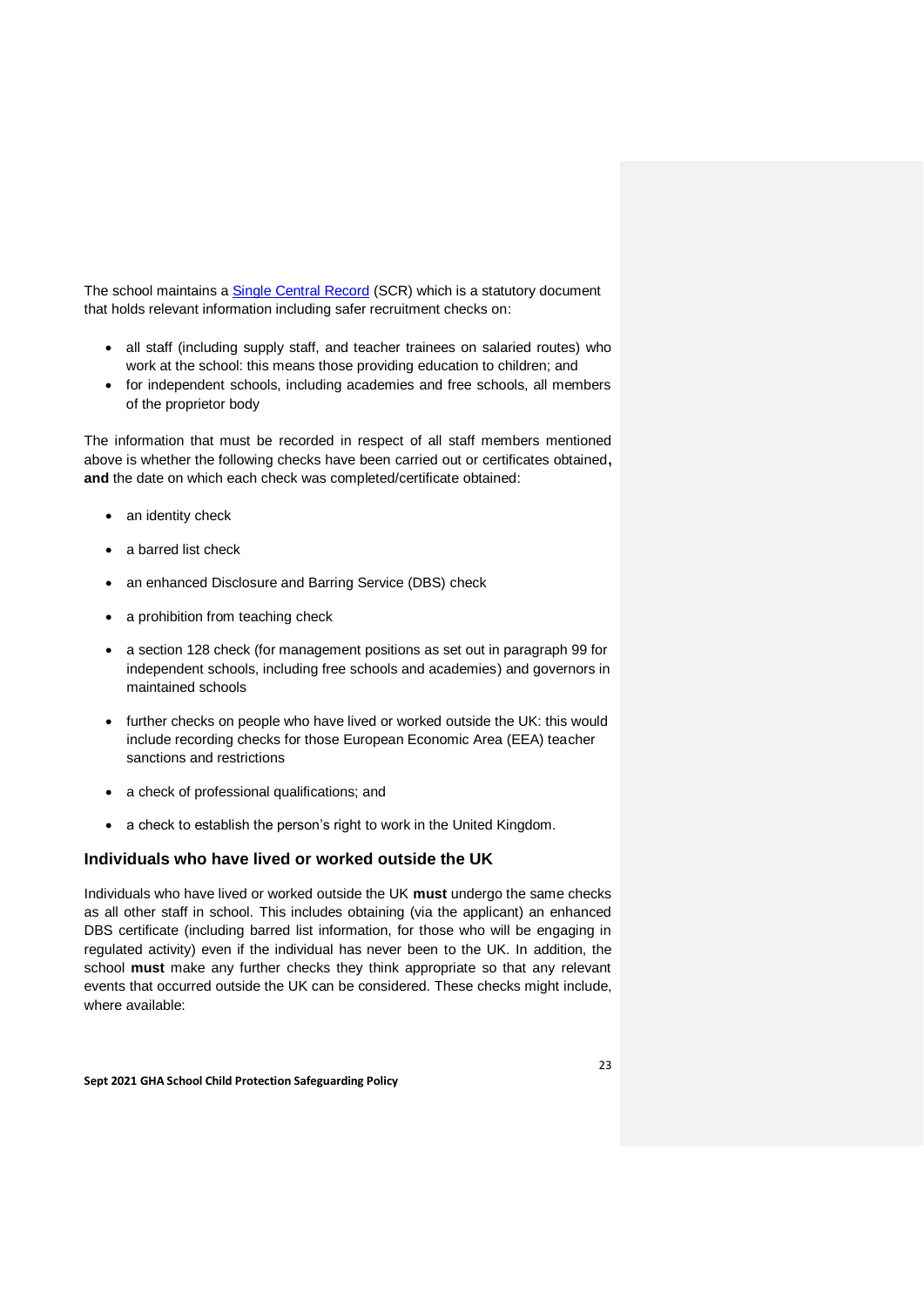The school maintains a **Single Central Record** (SCR) which is a statutory document that holds relevant information including safer recruitment checks on:

- all staff (including supply staff, and teacher trainees on salaried routes) who work at the school: this means those providing education to children; and
- for independent schools, including academies and free schools, all members of the proprietor body

The information that must be recorded in respect of all staff members mentioned above is whether the following checks have been carried out or certificates obtained**, and** the date on which each check was completed/certificate obtained:

- an identity check
- a barred list check
- an enhanced Disclosure and Barring Service (DBS) check
- a prohibition from teaching check
- a section 128 check (for management positions as set out in paragraph 99 for independent schools, including free schools and academies) and governors in maintained schools
- further checks on people who have lived or worked outside the UK: this would include recording checks for those European Economic Area (EEA) teacher sanctions and restrictions
- a check of professional qualifications; and
- a check to establish the person's right to work in the United Kingdom.

# **Individuals who have lived or worked outside the UK**

Individuals who have lived or worked outside the UK **must** undergo the same checks as all other staff in school. This includes obtaining (via the applicant) an enhanced DBS certificate (including barred list information, for those who will be engaging in regulated activity) even if the individual has never been to the UK. In addition, the school **must** make any further checks they think appropriate so that any relevant events that occurred outside the UK can be considered. These checks might include, where available: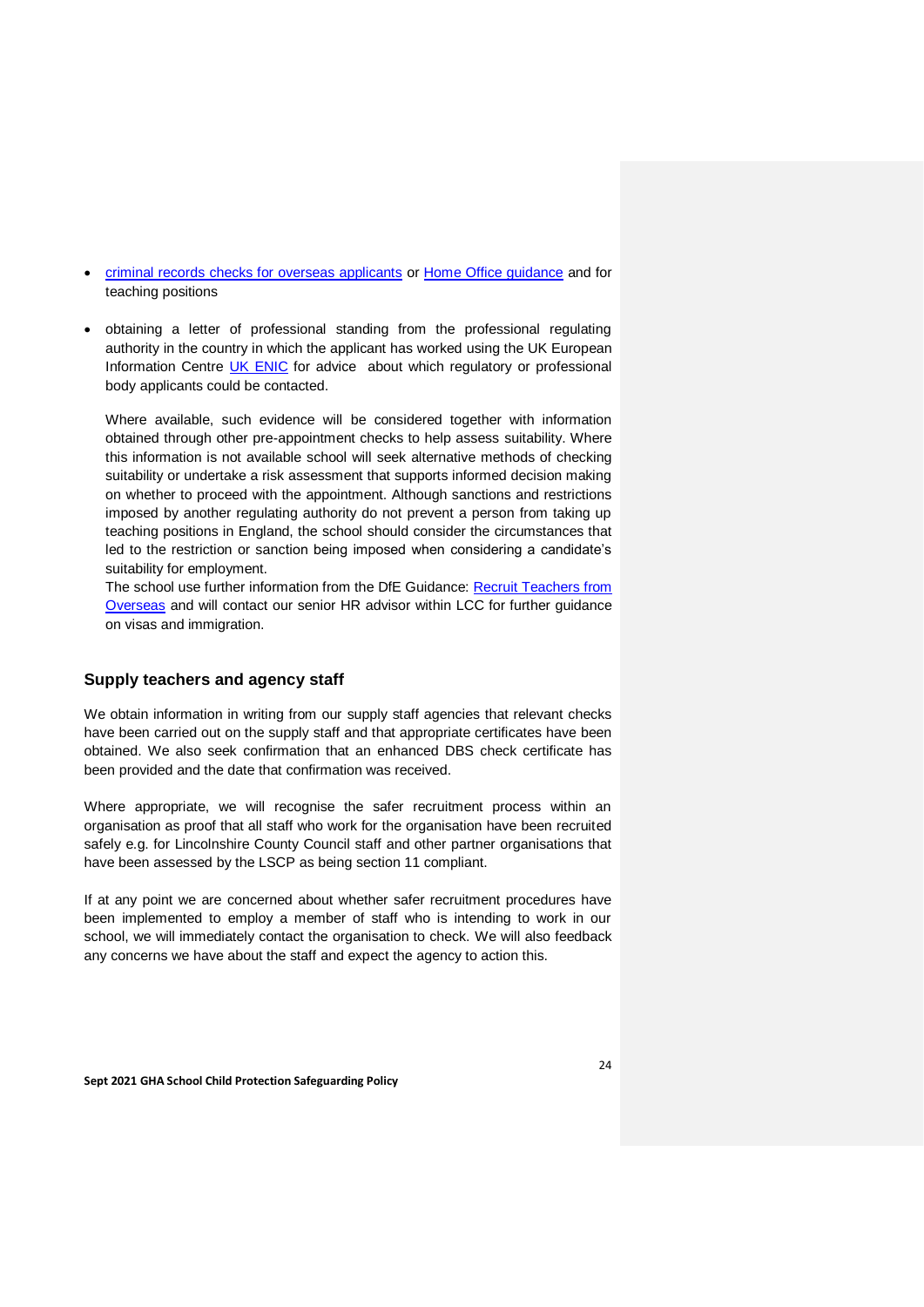- [criminal records checks for overseas applicants](https://www.gov.uk/government/publications/criminal-records-checks-for-overseas-applicants) or [Home Office guidance](https://www.gov.uk/guidance/recruit-teachers-from-overseas) and for teaching positions
- obtaining a letter of professional standing from the professional regulating authority in the country in which the applicant has worked using the UK European Information Centre [UK ENIC](https://www.enic.org.uk/) for advice about which regulatory or professional body applicants could be contacted.

Where available, such evidence will be considered together with information obtained through other pre-appointment checks to help assess suitability. Where this information is not available school will seek alternative methods of checking suitability or undertake a risk assessment that supports informed decision making on whether to proceed with the appointment. Although sanctions and restrictions imposed by another regulating authority do not prevent a person from taking up teaching positions in England, the school should consider the circumstances that led to the restriction or sanction being imposed when considering a candidate's suitability for employment.

The school use further information from the DfE Guidance: [Recruit Teachers from](https://gbr01.safelinks.protection.outlook.com/?url=https%3A%2F%2Fwww.gov.uk%2Fguidance%2Frecruit-teachers-from-overseas%3Futm_medium%3Demail%26utm_campaign%3Dgovuk-notifications%26utm_source%3Dfbf8683d-de0b-4272-a762-dbb622d6ab50%26utm_content%3Ddaily&data=04%7C01%7CJill.Chandar-Nair%40lincolnshire.gov.uk%7C2311cbbdcab14e8624e008d94c5a7ece%7Cb4e05b92f8ce46b59b2499ba5c11e5e9%7C0%7C0%7C637624774458706598%7CUnknown%7CTWFpbGZsb3d8eyJWIjoiMC4wLjAwMDAiLCJQIjoiV2luMzIiLCJBTiI6Ik1haWwiLCJXVCI6Mn0%3D%7C1000&sdata=YG4Kf8aIXXvQOZnu%2BHeB03uDTMK0bWgQI36Y7Dyttb0%3D&reserved=0)  [Overseas](https://gbr01.safelinks.protection.outlook.com/?url=https%3A%2F%2Fwww.gov.uk%2Fguidance%2Frecruit-teachers-from-overseas%3Futm_medium%3Demail%26utm_campaign%3Dgovuk-notifications%26utm_source%3Dfbf8683d-de0b-4272-a762-dbb622d6ab50%26utm_content%3Ddaily&data=04%7C01%7CJill.Chandar-Nair%40lincolnshire.gov.uk%7C2311cbbdcab14e8624e008d94c5a7ece%7Cb4e05b92f8ce46b59b2499ba5c11e5e9%7C0%7C0%7C637624774458706598%7CUnknown%7CTWFpbGZsb3d8eyJWIjoiMC4wLjAwMDAiLCJQIjoiV2luMzIiLCJBTiI6Ik1haWwiLCJXVCI6Mn0%3D%7C1000&sdata=YG4Kf8aIXXvQOZnu%2BHeB03uDTMK0bWgQI36Y7Dyttb0%3D&reserved=0) and will contact our senior HR advisor within LCC for further guidance on visas and immigration.

# **Supply teachers and agency staff**

We obtain information in writing from our supply staff agencies that relevant checks have been carried out on the supply staff and that appropriate certificates have been obtained. We also seek confirmation that an enhanced DBS check certificate has been provided and the date that confirmation was received.

Where appropriate, we will recognise the safer recruitment process within an organisation as proof that all staff who work for the organisation have been recruited safely e.g. for Lincolnshire County Council staff and other partner organisations that have been assessed by the LSCP as being section 11 compliant.

If at any point we are concerned about whether safer recruitment procedures have been implemented to employ a member of staff who is intending to work in our school, we will immediately contact the organisation to check. We will also feedback any concerns we have about the staff and expect the agency to action this.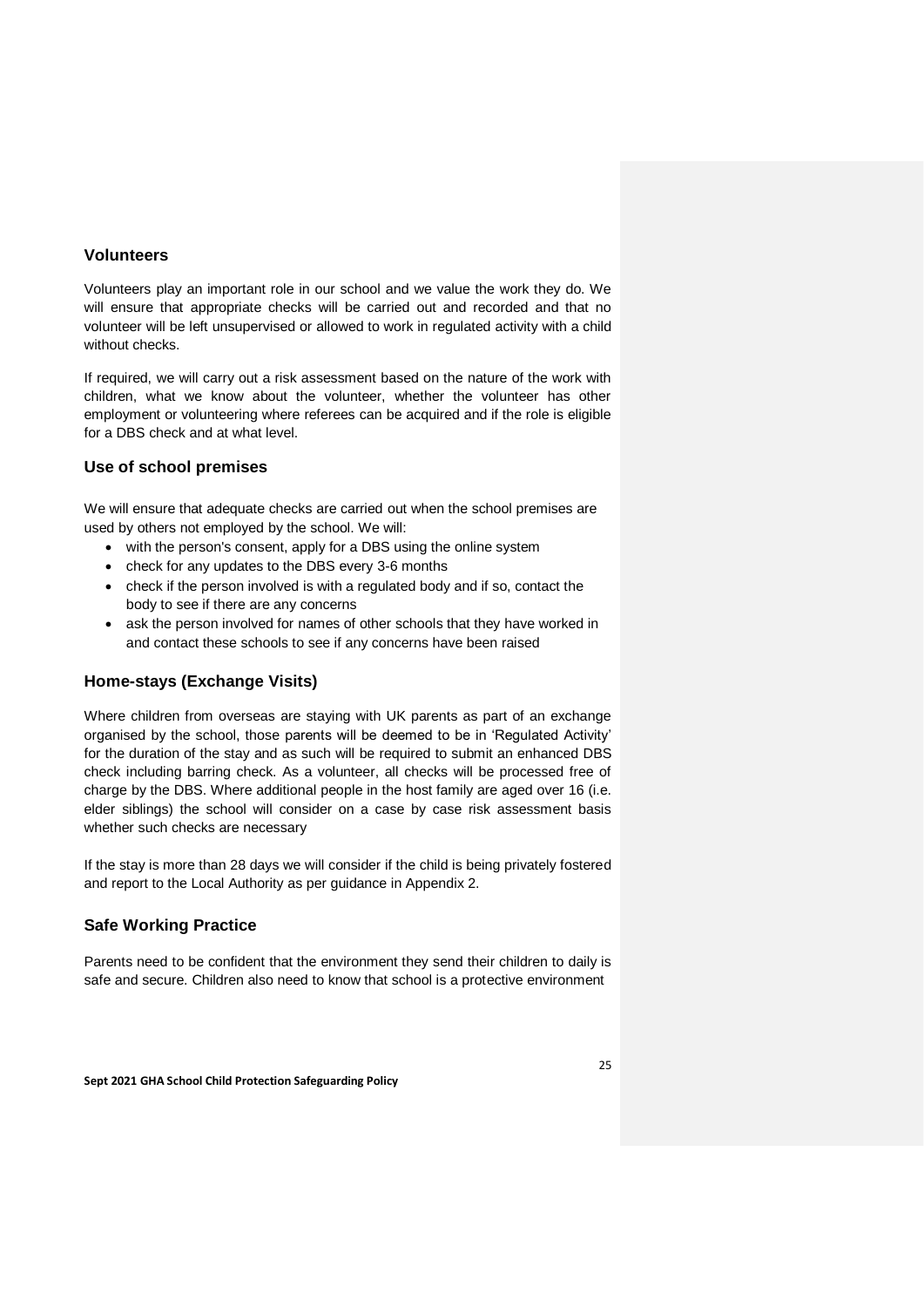# **Volunteers**

Volunteers play an important role in our school and we value the work they do. We will ensure that appropriate checks will be carried out and recorded and that no volunteer will be left unsupervised or allowed to work in regulated activity with a child without checks.

If required, we will carry out a risk assessment based on the nature of the work with children, what we know about the volunteer, whether the volunteer has other employment or volunteering where referees can be acquired and if the role is eligible for a DBS check and at what level.

# **Use of school premises**

We will ensure that adequate checks are carried out when the school premises are used by others not employed by the school. We will:

- with the person's consent, apply for a DBS using the online system
- check for any updates to the DBS every 3-6 months
- check if the person involved is with a regulated body and if so, contact the body to see if there are any concerns
- ask the person involved for names of other schools that they have worked in and contact these schools to see if any concerns have been raised

# **Home-stays (Exchange Visits)**

Where children from overseas are staying with UK parents as part of an exchange organised by the school, those parents will be deemed to be in 'Regulated Activity' for the duration of the stay and as such will be required to submit an enhanced DBS check including barring check. As a volunteer, all checks will be processed free of charge by the DBS. Where additional people in the host family are aged over 16 (i.e. elder siblings) the school will consider on a case by case risk assessment basis whether such checks are necessary

If the stay is more than 28 days we will consider if the child is being privately fostered and report to the Local Authority as per guidance in Appendix 2.

# **Safe Working Practice**

Parents need to be confident that the environment they send their children to daily is safe and secure. Children also need to know that school is a protective environment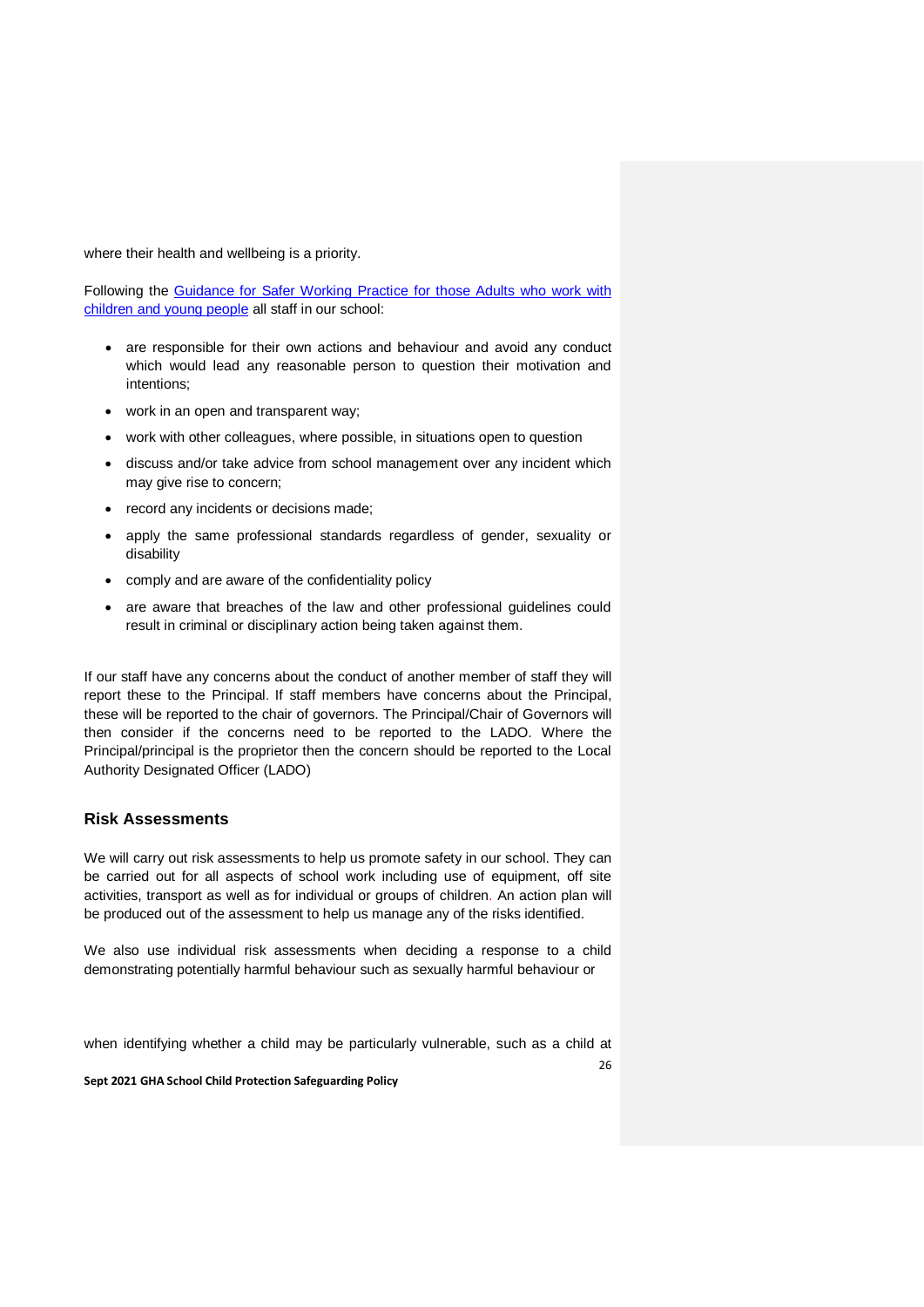where their health and wellbeing is a priority.

Following the [Guidance for Safer Working Practice for those Adults who work with](https://c-cluster-110.uploads.documents.cimpress.io/v1/uploads/13ecce28-e8f2-49e9-83c6-c29337cd8071~110/original?tenant=vbu-digital)  [children and young people](https://c-cluster-110.uploads.documents.cimpress.io/v1/uploads/13ecce28-e8f2-49e9-83c6-c29337cd8071~110/original?tenant=vbu-digital) all staff in our school:

- are responsible for their own actions and behaviour and avoid any conduct which would lead any reasonable person to question their motivation and intentions;
- work in an open and transparent way;
- work with other colleagues, where possible, in situations open to question
- discuss and/or take advice from school management over any incident which may give rise to concern;
- record any incidents or decisions made;
- apply the same professional standards regardless of gender, sexuality or disability
- comply and are aware of the confidentiality policy
- are aware that breaches of the law and other professional guidelines could result in criminal or disciplinary action being taken against them.

If our staff have any concerns about the conduct of another member of staff they will report these to the Principal. If staff members have concerns about the Principal, these will be reported to the chair of governors. The Principal/Chair of Governors will then consider if the concerns need to be reported to the LADO. Where the Principal/principal is the proprietor then the concern should be reported to the Local Authority Designated Officer (LADO)

# **Risk Assessments**

We will carry out risk assessments to help us promote safety in our school. They can be carried out for all aspects of school work including use of equipment, off site activities, transport as well as for individual or groups of children. An action plan will be produced out of the assessment to help us manage any of the risks identified.

We also use individual risk assessments when deciding a response to a child demonstrating potentially harmful behaviour such as sexually harmful behaviour or

when identifying whether a child may be particularly vulnerable, such as a child at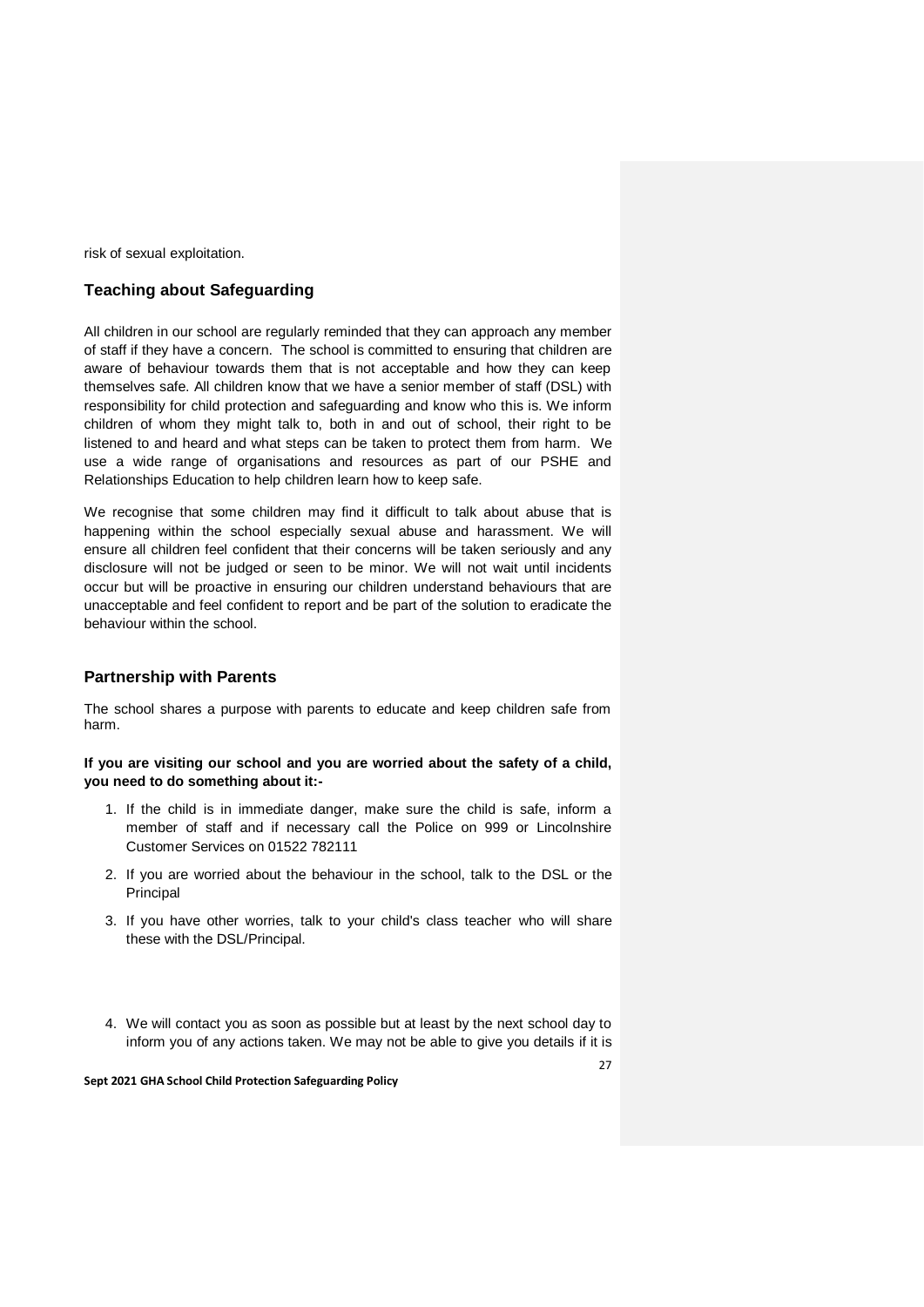risk of sexual exploitation.

# **Teaching about Safeguarding**

All children in our school are regularly reminded that they can approach any member of staff if they have a concern. The school is committed to ensuring that children are aware of behaviour towards them that is not acceptable and how they can keep themselves safe. All children know that we have a senior member of staff (DSL) with responsibility for child protection and safeguarding and know who this is. We inform children of whom they might talk to, both in and out of school, their right to be listened to and heard and what steps can be taken to protect them from harm. We use a wide range of organisations and resources as part of our PSHE and Relationships Education to help children learn how to keep safe.

We recognise that some children may find it difficult to talk about abuse that is happening within the school especially sexual abuse and harassment. We will ensure all children feel confident that their concerns will be taken seriously and any disclosure will not be judged or seen to be minor. We will not wait until incidents occur but will be proactive in ensuring our children understand behaviours that are unacceptable and feel confident to report and be part of the solution to eradicate the behaviour within the school.

## **Partnership with Parents**

The school shares a purpose with parents to educate and keep children safe from harm.

# **If you are visiting our school and you are worried about the safety of a child, you need to do something about it:-**

- 1. If the child is in immediate danger, make sure the child is safe, inform a member of staff and if necessary call the Police on 999 or Lincolnshire Customer Services on 01522 782111
- 2. If you are worried about the behaviour in the school, talk to the DSL or the Principal
- 3. If you have other worries, talk to your child's class teacher who will share these with the DSL/Principal.
- 4. We will contact you as soon as possible but at least by the next school day to inform you of any actions taken. We may not be able to give you details if it is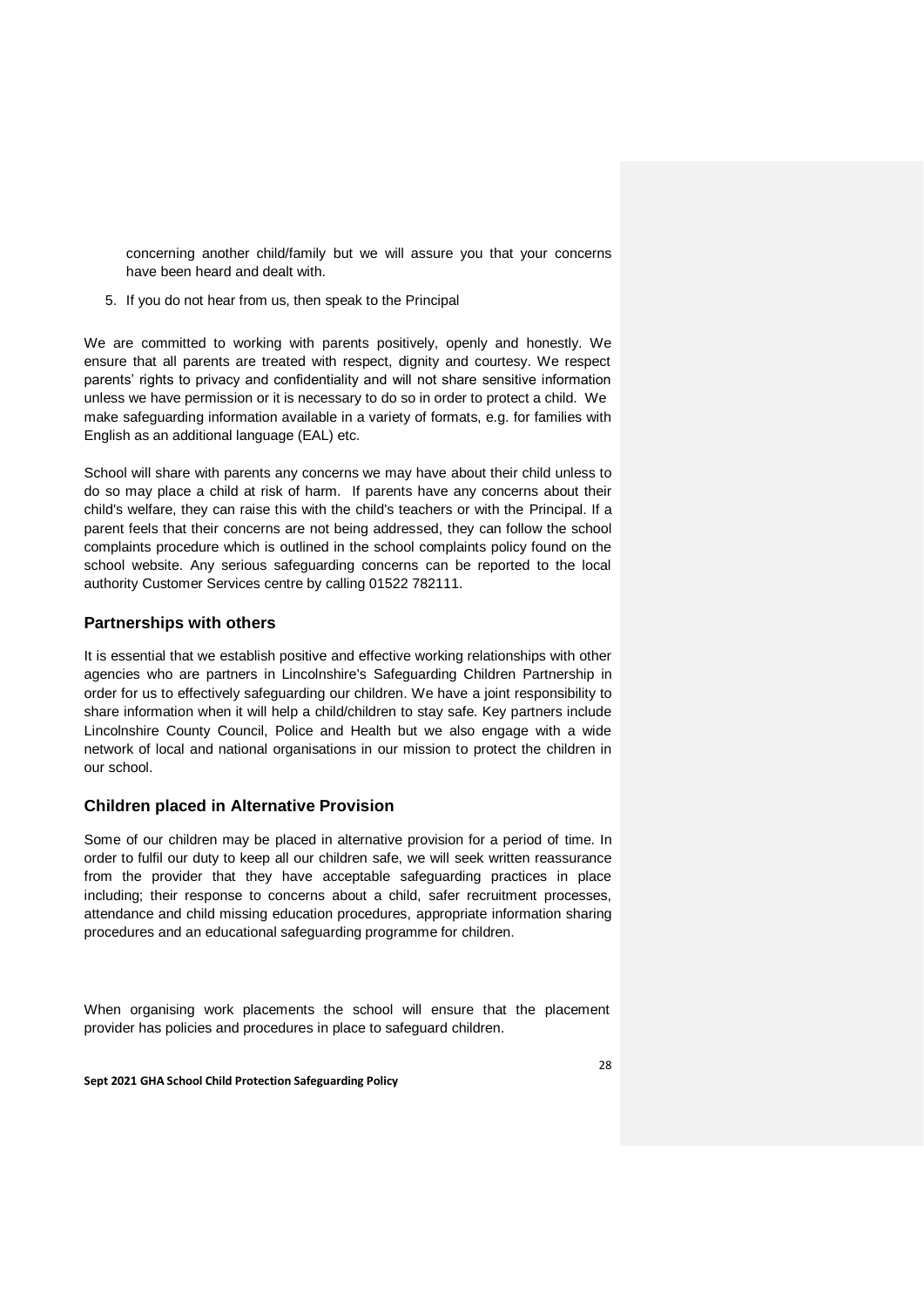concerning another child/family but we will assure you that your concerns have been heard and dealt with.

5. If you do not hear from us, then speak to the Principal

We are committed to working with parents positively, openly and honestly. We ensure that all parents are treated with respect, dignity and courtesy. We respect parents' rights to privacy and confidentiality and will not share sensitive information unless we have permission or it is necessary to do so in order to protect a child. We make safeguarding information available in a variety of formats, e.g. for families with English as an additional language (EAL) etc.

School will share with parents any concerns we may have about their child unless to do so may place a child at risk of harm. If parents have any concerns about their child's welfare, they can raise this with the child's teachers or with the Principal. If a parent feels that their concerns are not being addressed, they can follow the school complaints procedure which is outlined in the school complaints policy found on the school website. Any serious safeguarding concerns can be reported to the local authority Customer Services centre by calling 01522 782111.

# **Partnerships with others**

It is essential that we establish positive and effective working relationships with other agencies who are partners in Lincolnshire's Safeguarding Children Partnership in order for us to effectively safeguarding our children. We have a joint responsibility to share information when it will help a child/children to stay safe. Key partners include Lincolnshire County Council, Police and Health but we also engage with a wide network of local and national organisations in our mission to protect the children in our school.

# **Children placed in Alternative Provision**

Some of our children may be placed in alternative provision for a period of time. In order to fulfil our duty to keep all our children safe, we will seek written reassurance from the provider that they have acceptable safeguarding practices in place including; their response to concerns about a child, safer recruitment processes, attendance and child missing education procedures, appropriate information sharing procedures and an educational safeguarding programme for children.

When organising work placements the school will ensure that the placement provider has policies and procedures in place to safeguard children.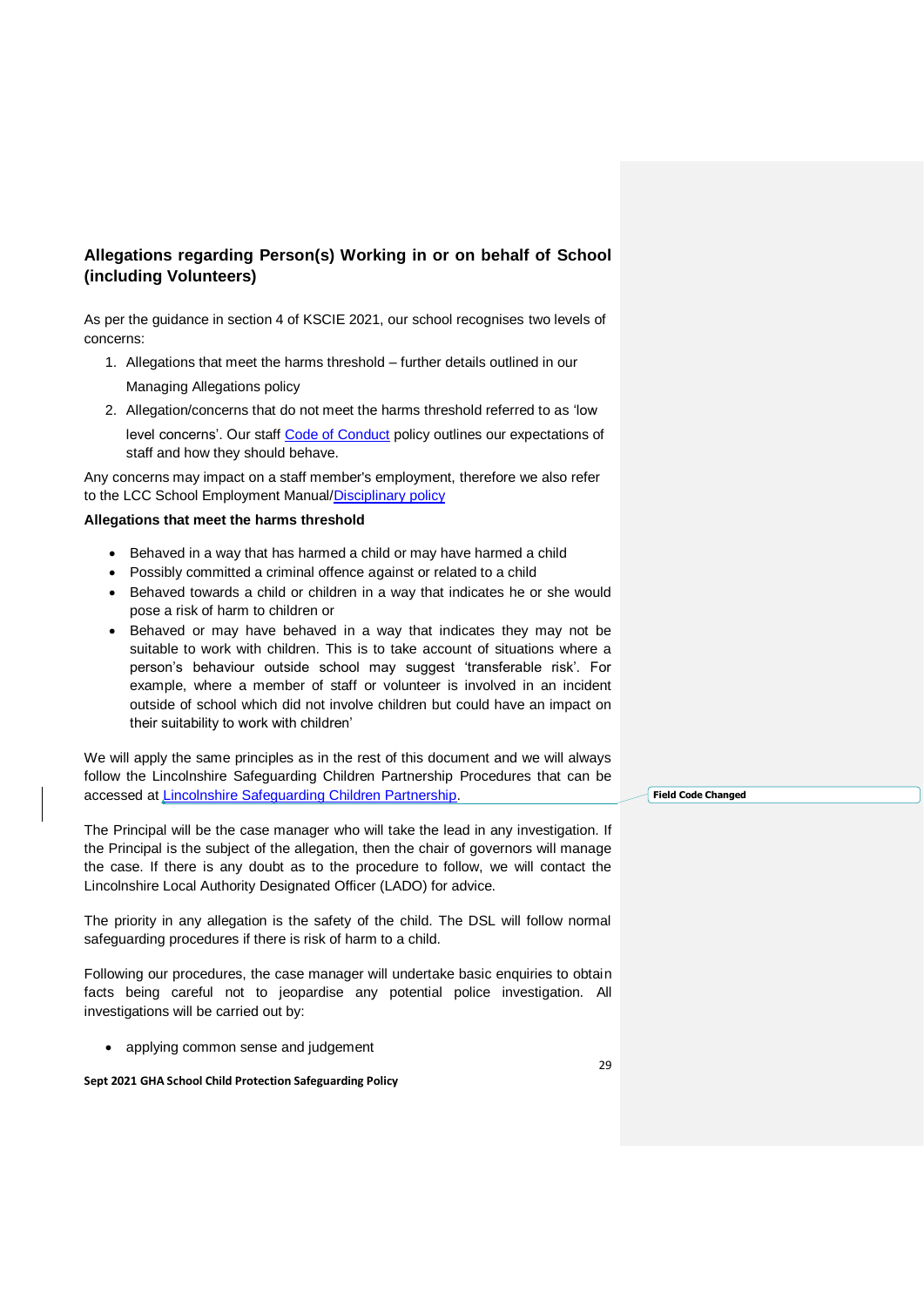# **Allegations regarding Person(s) Working in or on behalf of School (including Volunteers)**

As per the guidance in section 4 of KSCIE 2021, our school recognises two levels of concerns:

- 1. Allegations that meet the harms threshold further details outlined in our Managing Allegations policy
- 2. Allegation/concerns that do not meet the harms threshold referred to as 'low level concerns'. Our staff [Code of Conduct](https://www.lincolnshire.gov.uk/employment-policies/code-conduct) policy outlines our expectations of staff and how they should behave.

Any concerns may impact on a staff member's employment, therefore we also refer to the LCC School Employment Manual[/Disciplinary policy](https://professionals.lincolnshire.gov.uk/downloads/file/1780/employee-discipline)

# **Allegations that meet the harms threshold**

- Behaved in a way that has harmed a child or may have harmed a child
- Possibly committed a criminal offence against or related to a child
- Behaved towards a child or children in a way that indicates he or she would pose a risk of harm to children or
- Behaved or may have behaved in a way that indicates they may not be suitable to work with children. This is to take account of situations where a person's behaviour outside school may suggest 'transferable risk'. For example, where a member of staff or volunteer is involved in an incident outside of school which did not involve children but could have an impact on their suitability to work with children'

We will apply the same principles as in the rest of this document and we will always follow the Lincolnshire Safeguarding Children Partnership Procedures that can be accessed at [Lincolnshire Safeguarding Children Partnership.](https://lincolnshirescb.proceduresonline.com/chapters/contents.html)

The Principal will be the case manager who will take the lead in any investigation. If the Principal is the subject of the allegation, then the chair of governors will manage the case. If there is any doubt as to the procedure to follow, we will contact the Lincolnshire Local Authority Designated Officer (LADO) for advice.

The priority in any allegation is the safety of the child. The DSL will follow normal safeguarding procedures if there is risk of harm to a child.

Following our procedures, the case manager will undertake basic enquiries to obtain facts being careful not to jeopardise any potential police investigation. All investigations will be carried out by:

• applying common sense and judgement

**Sept 2021 GHA School Child Protection Safeguarding Policy**

**Field Code Changed**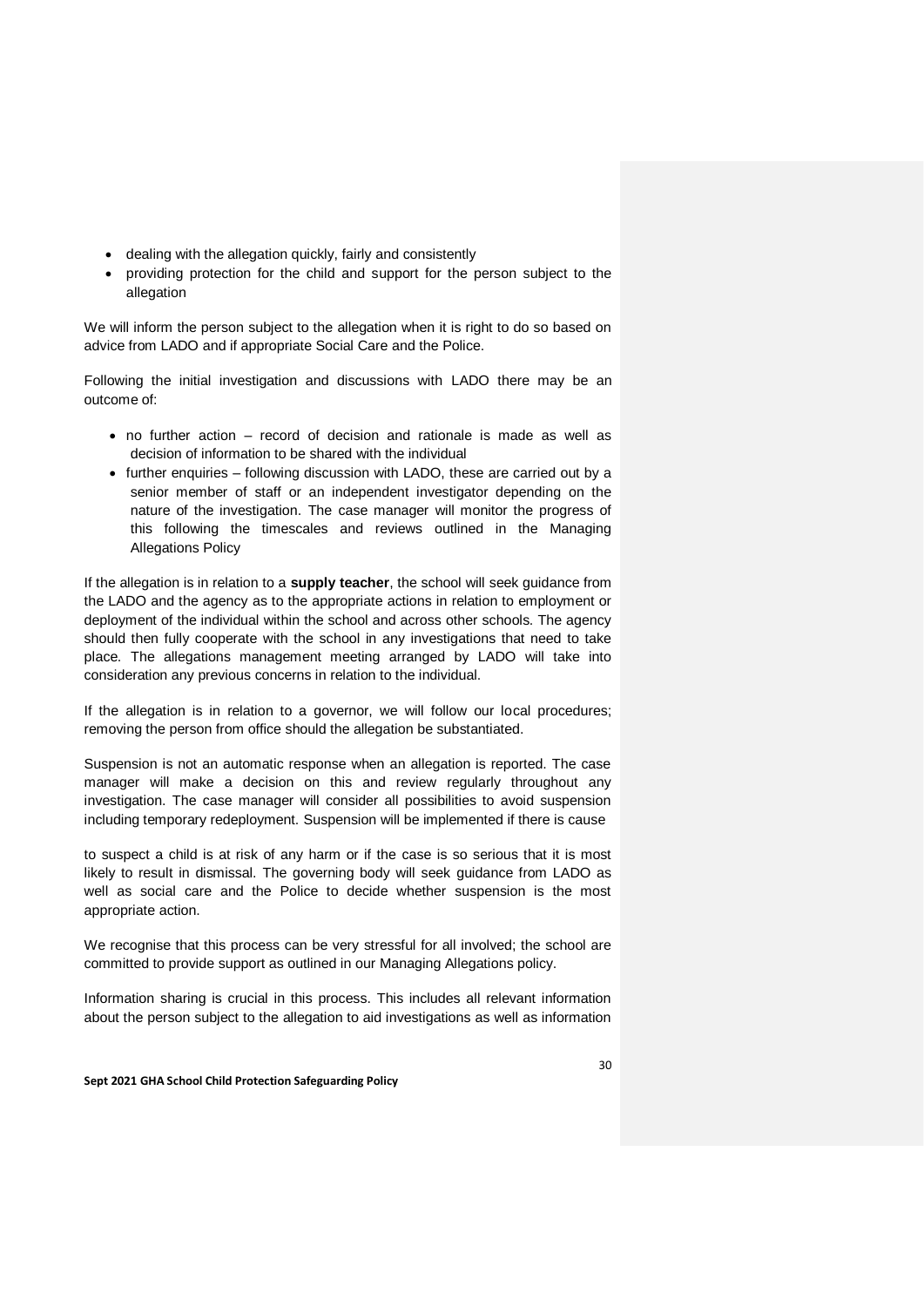- dealing with the allegation quickly, fairly and consistently
- providing protection for the child and support for the person subject to the allegation

We will inform the person subject to the allegation when it is right to do so based on advice from LADO and if appropriate Social Care and the Police.

Following the initial investigation and discussions with LADO there may be an outcome of:

- no further action record of decision and rationale is made as well as decision of information to be shared with the individual
- further enquiries following discussion with LADO, these are carried out by a senior member of staff or an independent investigator depending on the nature of the investigation. The case manager will monitor the progress of this following the timescales and reviews outlined in the Managing Allegations Policy

If the allegation is in relation to a **supply teacher**, the school will seek guidance from the LADO and the agency as to the appropriate actions in relation to employment or deployment of the individual within the school and across other schools. The agency should then fully cooperate with the school in any investigations that need to take place. The allegations management meeting arranged by LADO will take into consideration any previous concerns in relation to the individual.

If the allegation is in relation to a governor, we will follow our local procedures; removing the person from office should the allegation be substantiated.

Suspension is not an automatic response when an allegation is reported. The case manager will make a decision on this and review regularly throughout any investigation. The case manager will consider all possibilities to avoid suspension including temporary redeployment. Suspension will be implemented if there is cause

to suspect a child is at risk of any harm or if the case is so serious that it is most likely to result in dismissal. The governing body will seek guidance from LADO as well as social care and the Police to decide whether suspension is the most appropriate action.

We recognise that this process can be very stressful for all involved; the school are committed to provide support as outlined in our Managing Allegations policy.

Information sharing is crucial in this process. This includes all relevant information about the person subject to the allegation to aid investigations as well as information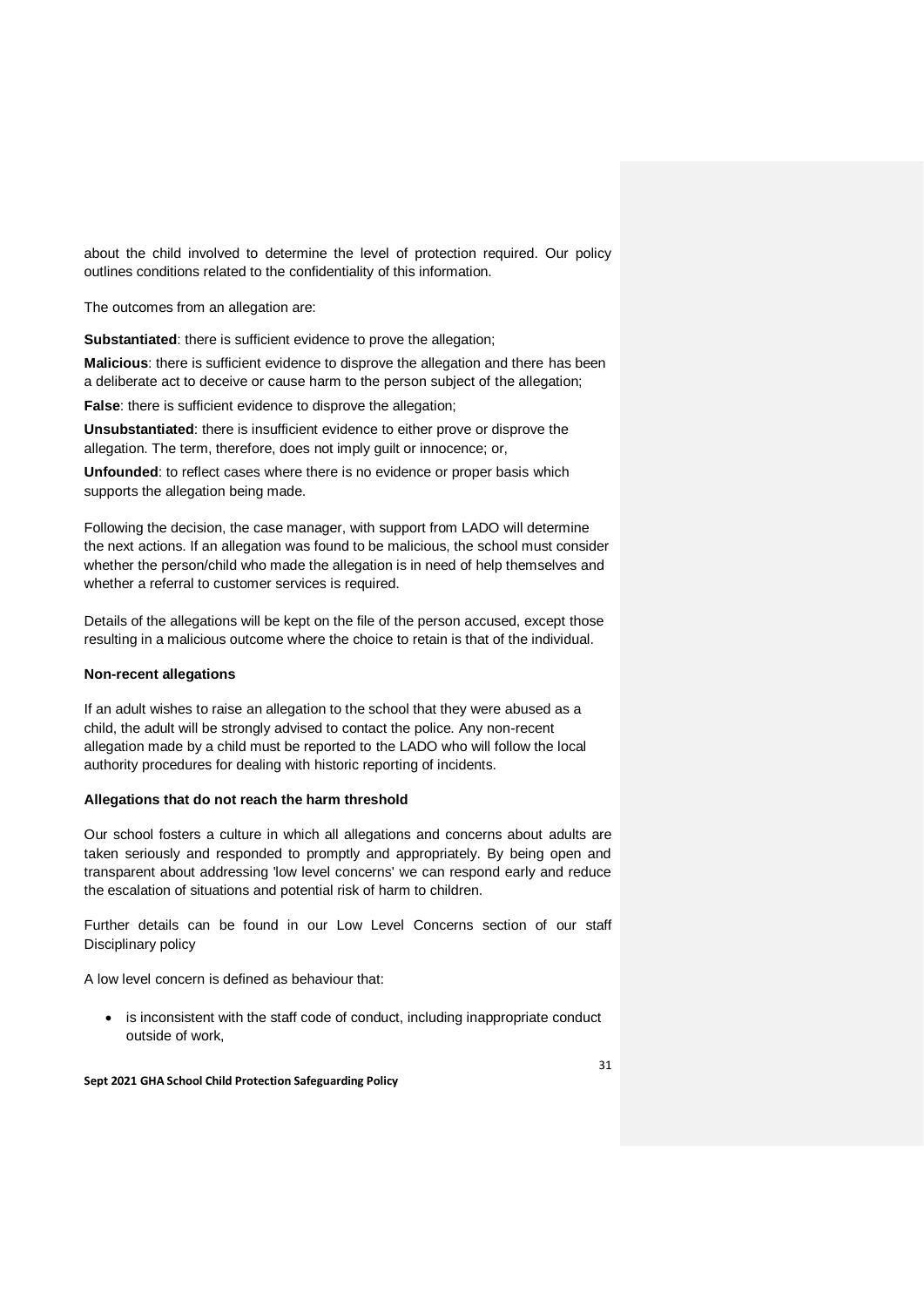about the child involved to determine the level of protection required. Our policy outlines conditions related to the confidentiality of this information.

The outcomes from an allegation are:

**Substantiated:** there is sufficient evidence to prove the allegation;

**Malicious**: there is sufficient evidence to disprove the allegation and there has been a deliberate act to deceive or cause harm to the person subject of the allegation;

**False**: there is sufficient evidence to disprove the allegation;

**Unsubstantiated**: there is insufficient evidence to either prove or disprove the allegation. The term, therefore, does not imply guilt or innocence; or,

**Unfounded**: to reflect cases where there is no evidence or proper basis which supports the allegation being made.

Following the decision, the case manager, with support from LADO will determine the next actions. If an allegation was found to be malicious, the school must consider whether the person/child who made the allegation is in need of help themselves and whether a referral to customer services is required.

Details of the allegations will be kept on the file of the person accused, except those resulting in a malicious outcome where the choice to retain is that of the individual.

#### **Non-recent allegations**

If an adult wishes to raise an allegation to the school that they were abused as a child, the adult will be strongly advised to contact the police. Any non-recent allegation made by a child must be reported to the LADO who will follow the local authority procedures for dealing with historic reporting of incidents.

#### **Allegations that do not reach the harm threshold**

Our school fosters a culture in which all allegations and concerns about adults are taken seriously and responded to promptly and appropriately. By being open and transparent about addressing 'low level concerns' we can respond early and reduce the escalation of situations and potential risk of harm to children.

Further details can be found in our Low Level Concerns section of our staff Disciplinary policy

A low level concern is defined as behaviour that:

• is inconsistent with the staff code of conduct, including inappropriate conduct outside of work,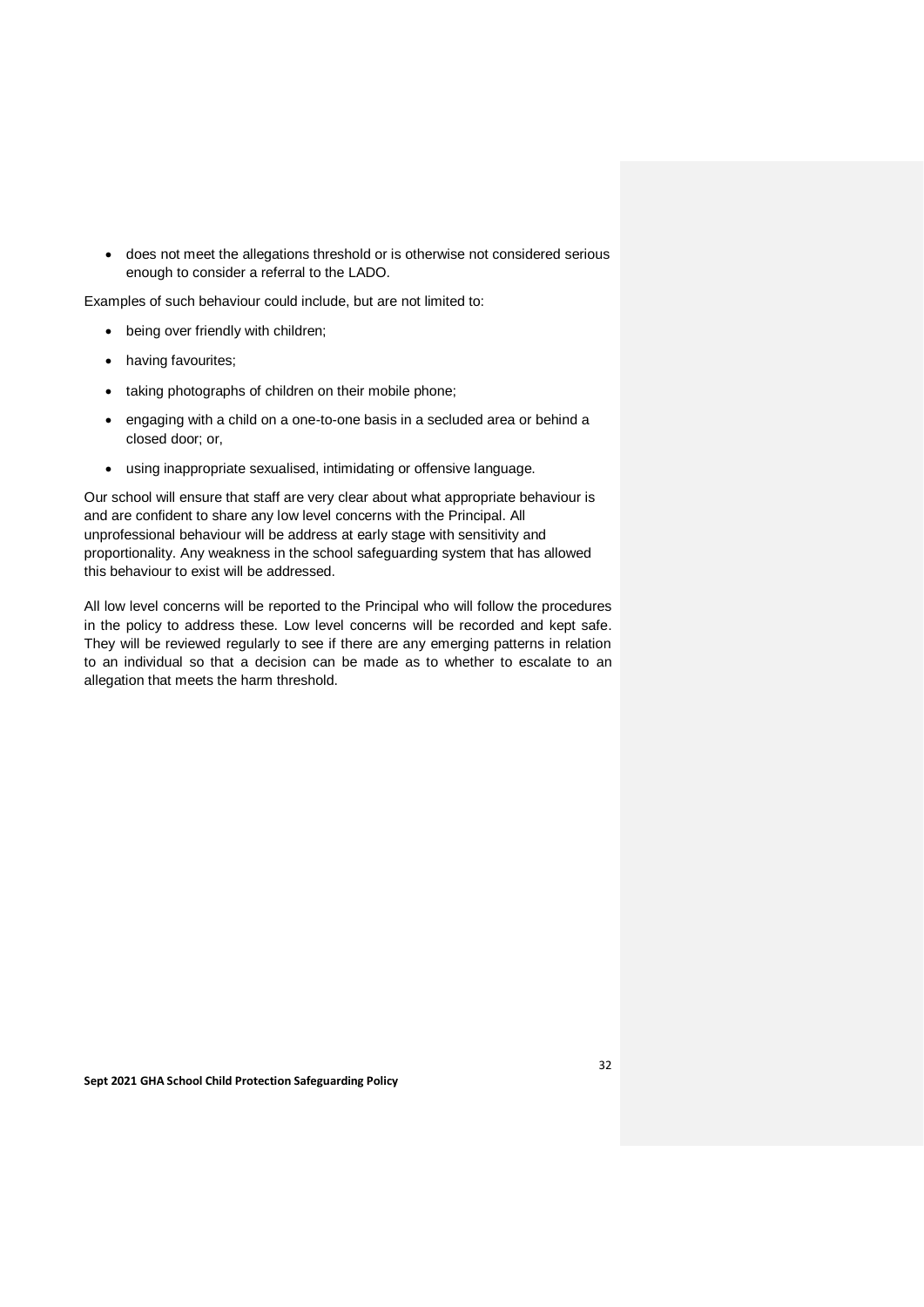• does not meet the allegations threshold or is otherwise not considered serious enough to consider a referral to the LADO.

Examples of such behaviour could include, but are not limited to:

- being over friendly with children;
- having favourites;
- taking photographs of children on their mobile phone;
- engaging with a child on a one-to-one basis in a secluded area or behind a closed door; or,
- using inappropriate sexualised, intimidating or offensive language.

Our school will ensure that staff are very clear about what appropriate behaviour is and are confident to share any low level concerns with the Principal. All unprofessional behaviour will be address at early stage with sensitivity and proportionality. Any weakness in the school safeguarding system that has allowed this behaviour to exist will be addressed.

All low level concerns will be reported to the Principal who will follow the procedures in the policy to address these. Low level concerns will be recorded and kept safe. They will be reviewed regularly to see if there are any emerging patterns in relation to an individual so that a decision can be made as to whether to escalate to an allegation that meets the harm threshold.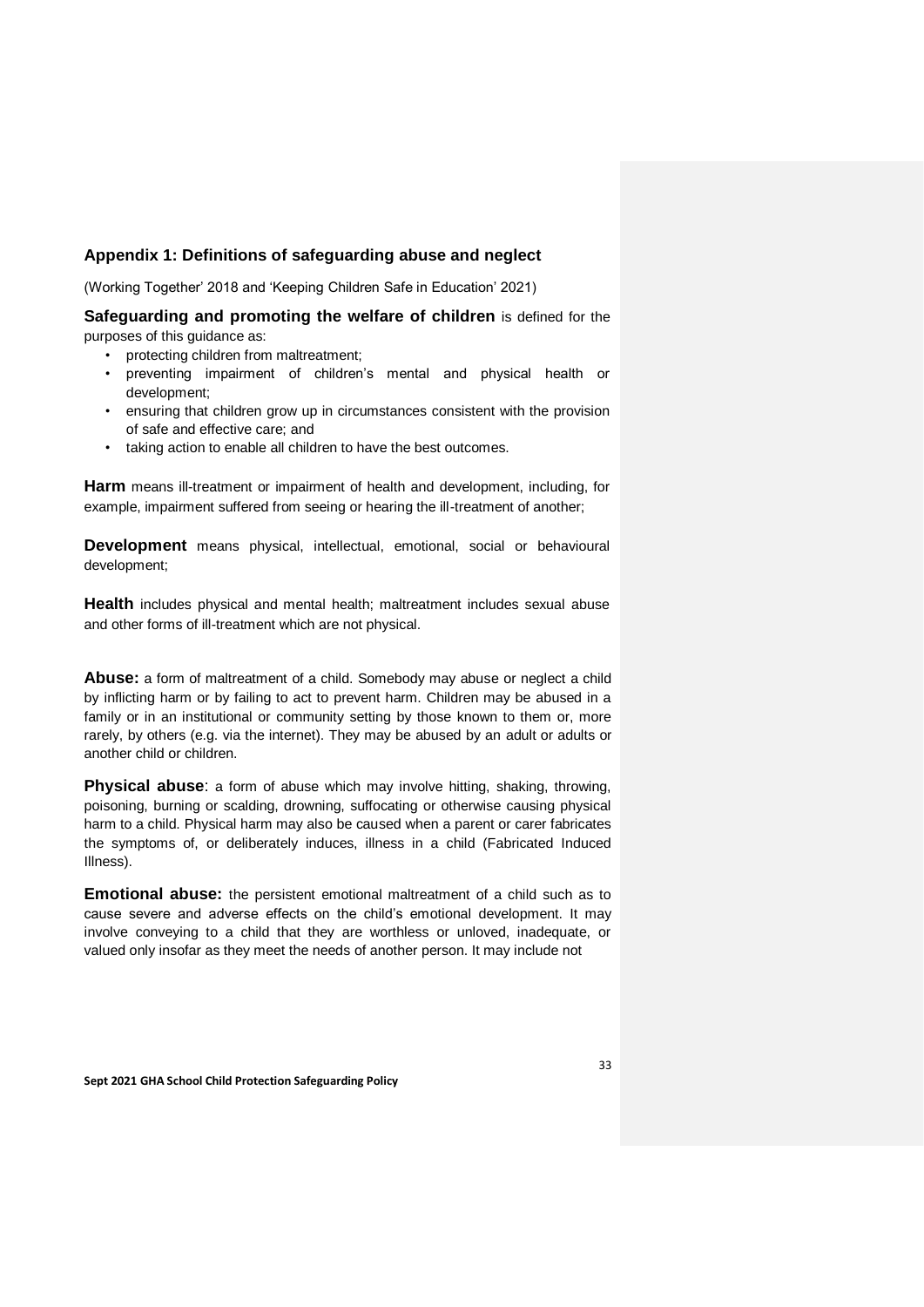# **Appendix 1: Definitions of safeguarding abuse and neglect**

(Working Together' 2018 and 'Keeping Children Safe in Education' 2021)

**Safeguarding and promoting the welfare of children** is defined for the purposes of this guidance as:

- protecting children from maltreatment;
- preventing impairment of children's mental and physical health or development;
- ensuring that children grow up in circumstances consistent with the provision of safe and effective care; and
- taking action to enable all children to have the best outcomes.

**Harm** means ill-treatment or impairment of health and development, including, for example, impairment suffered from seeing or hearing the ill-treatment of another;

**Development** means physical, intellectual, emotional, social or behavioural development;

**Health** includes physical and mental health; maltreatment includes sexual abuse and other forms of ill-treatment which are not physical.

**Abuse:** a form of maltreatment of a child. Somebody may abuse or neglect a child by inflicting harm or by failing to act to prevent harm. Children may be abused in a family or in an institutional or community setting by those known to them or, more rarely, by others (e.g. via the internet). They may be abused by an adult or adults or another child or children.

**Physical abuse:** a form of abuse which may involve hitting, shaking, throwing, poisoning, burning or scalding, drowning, suffocating or otherwise causing physical harm to a child. Physical harm may also be caused when a parent or carer fabricates the symptoms of, or deliberately induces, illness in a child (Fabricated Induced Illness).

**Emotional abuse:** the persistent emotional maltreatment of a child such as to cause severe and adverse effects on the child's emotional development. It may involve conveying to a child that they are worthless or unloved, inadequate, or valued only insofar as they meet the needs of another person. It may include not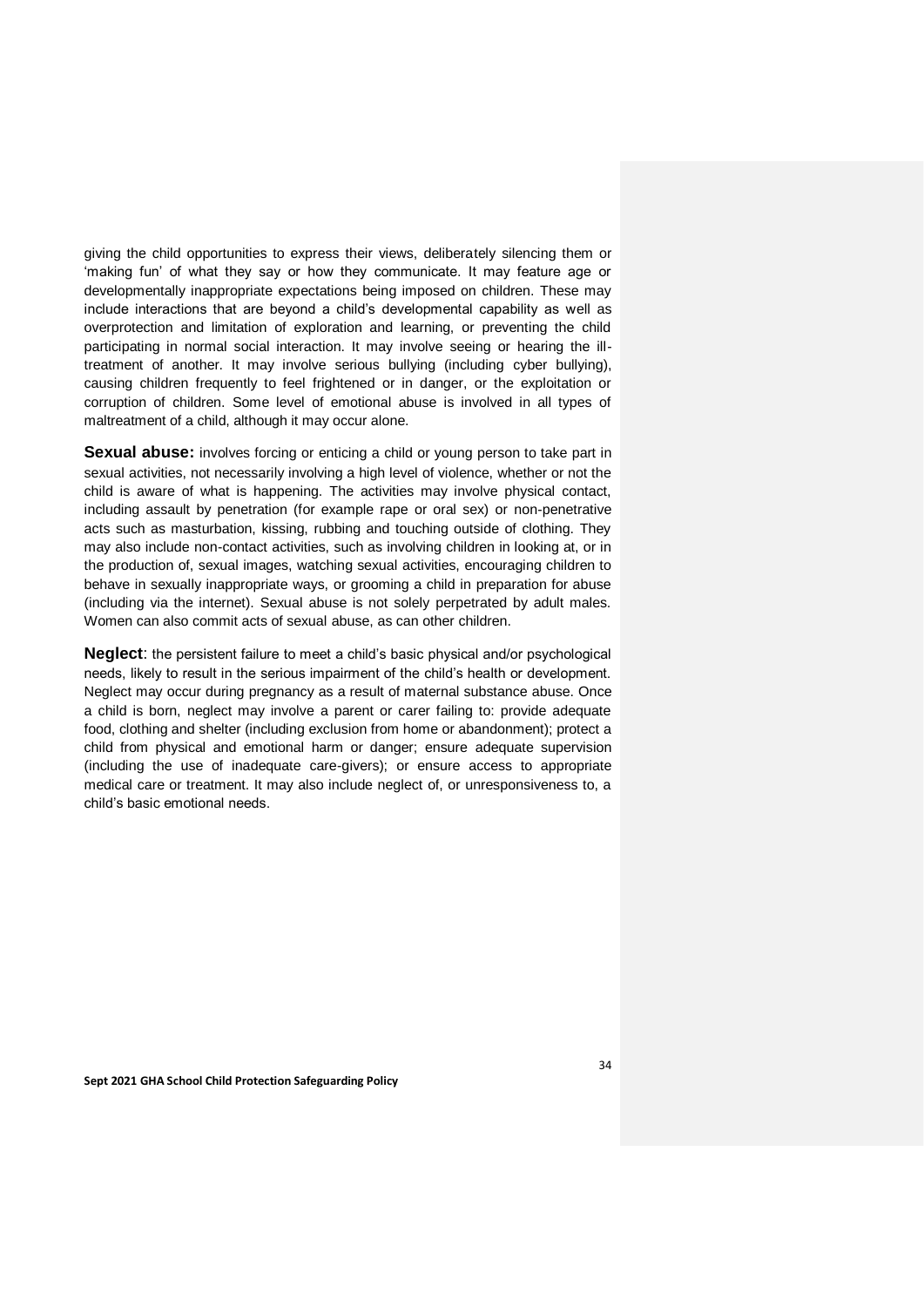giving the child opportunities to express their views, deliberately silencing them or 'making fun' of what they say or how they communicate. It may feature age or developmentally inappropriate expectations being imposed on children. These may include interactions that are beyond a child's developmental capability as well as overprotection and limitation of exploration and learning, or preventing the child participating in normal social interaction. It may involve seeing or hearing the illtreatment of another. It may involve serious bullying (including cyber bullying), causing children frequently to feel frightened or in danger, or the exploitation or corruption of children. Some level of emotional abuse is involved in all types of maltreatment of a child, although it may occur alone.

**Sexual abuse:** involves forcing or enticing a child or young person to take part in sexual activities, not necessarily involving a high level of violence, whether or not the child is aware of what is happening. The activities may involve physical contact, including assault by penetration (for example rape or oral sex) or non-penetrative acts such as masturbation, kissing, rubbing and touching outside of clothing. They may also include non-contact activities, such as involving children in looking at, or in the production of, sexual images, watching sexual activities, encouraging children to behave in sexually inappropriate ways, or grooming a child in preparation for abuse (including via the internet). Sexual abuse is not solely perpetrated by adult males. Women can also commit acts of sexual abuse, as can other children.

**Neglect**: the persistent failure to meet a child's basic physical and/or psychological needs, likely to result in the serious impairment of the child's health or development. Neglect may occur during pregnancy as a result of maternal substance abuse. Once a child is born, neglect may involve a parent or carer failing to: provide adequate food, clothing and shelter (including exclusion from home or abandonment); protect a child from physical and emotional harm or danger; ensure adequate supervision (including the use of inadequate care-givers); or ensure access to appropriate medical care or treatment. It may also include neglect of, or unresponsiveness to, a child's basic emotional needs.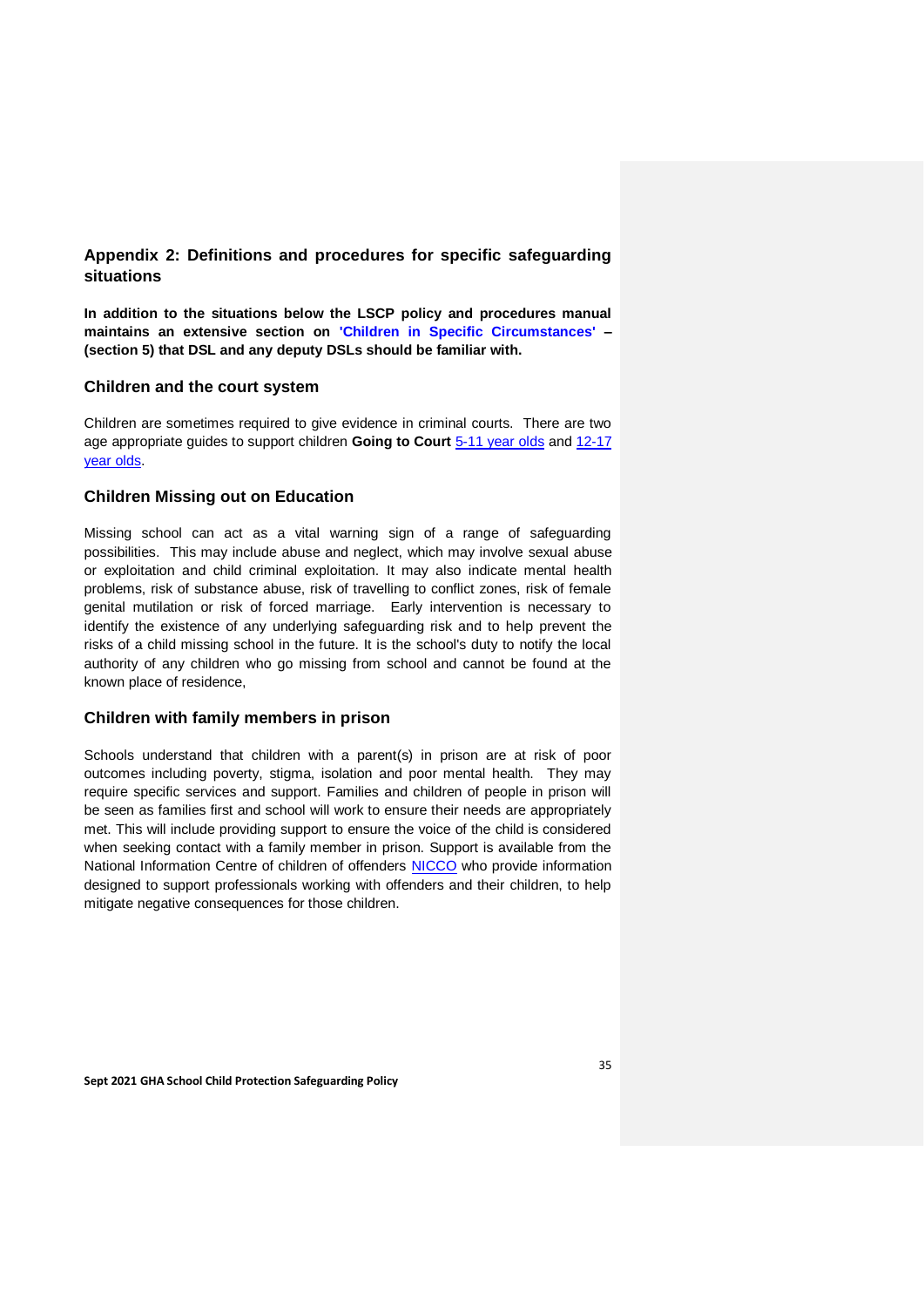# **Appendix 2: Definitions and procedures for specific safeguarding situations**

**In addition to the situations below the LSCP policy and procedures manual maintains an extensive section on ['Children in Specific Circumstances'](https://lincolnshirescb.proceduresonline.com/chapters/contents.html#d) – (section 5) that DSL and any deputy DSLs should be familiar with.**

# **Children and the court system**

Children are sometimes required to give evidence in criminal courts. There are two age appropriate guides to support children **Going to Court** [5-11 year olds](https://www.gov.uk/government/publications/young-witness-booklet-for-5-to-11-year-olds) and [12-17](https://www.gov.uk/government/publications/young-witness-booklet-for-12-to-17-year-olds)  [year olds.](https://www.gov.uk/government/publications/young-witness-booklet-for-12-to-17-year-olds)

# **Children Missing out on Education**

Missing school can act as a vital warning sign of a range of safeguarding possibilities. This may include abuse and neglect, which may involve sexual abuse or exploitation and child criminal exploitation. It may also indicate mental health problems, risk of substance abuse, risk of travelling to conflict zones, risk of female genital mutilation or risk of forced marriage. Early intervention is necessary to identify the existence of any underlying safeguarding risk and to help prevent the risks of a child missing school in the future. It is the school's duty to notify the local authority of any children who go missing from school and cannot be found at the known place of residence,

# **Children with family members in prison**

Schools understand that children with a parent(s) in prison are at risk of poor outcomes including poverty, stigma, isolation and poor mental health. They may require specific services and support. Families and children of people in prison will be seen as families first and school will work to ensure their needs are appropriately met. This will include providing support to ensure the voice of the child is considered when seeking contact with a family member in prison. Support is available from the National Information Centre of children of offenders [NICCO](https://www.nicco.org.uk/) who provide information designed to support professionals working with offenders and their children, to help mitigate negative consequences for those children.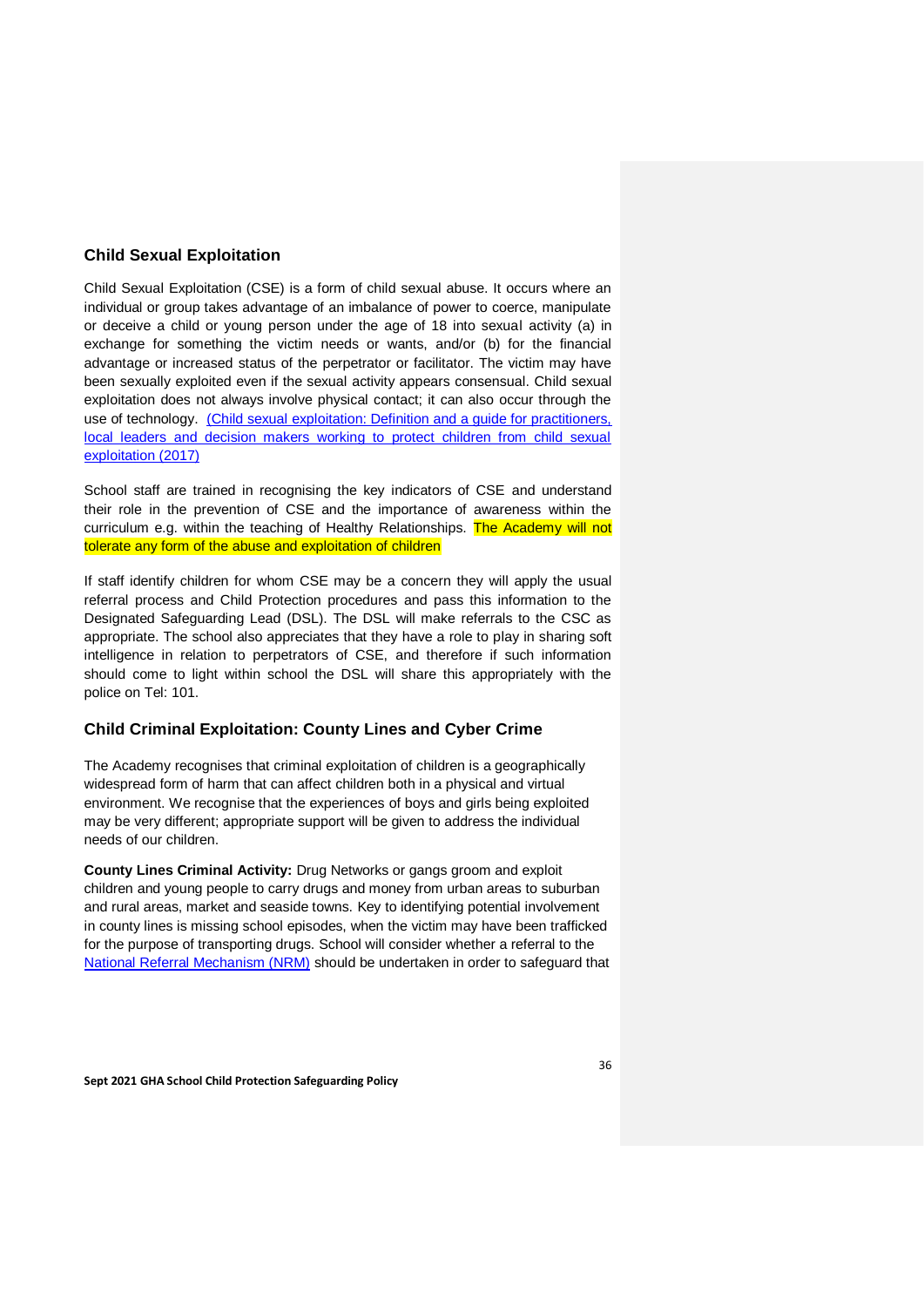# **Child Sexual Exploitation**

Child Sexual Exploitation (CSE) is a form of child sexual abuse. It occurs where an individual or group takes advantage of an imbalance of power to coerce, manipulate or deceive a child or young person under the age of 18 into sexual activity (a) in exchange for something the victim needs or wants, and/or (b) for the financial advantage or increased status of the perpetrator or facilitator. The victim may have been sexually exploited even if the sexual activity appears consensual. Child sexual exploitation does not always involve physical contact; it can also occur through the use of technology. [\(Child sexual exploitation: Definition and a guide for practitioners,](https://www.gov.uk/government/publications/child-sexual-exploitation-definition-and-guide-for-practitioners)  [local leaders and decision makers working to protect children from child sexual](https://www.gov.uk/government/publications/child-sexual-exploitation-definition-and-guide-for-practitioners)  [exploitation \(2017\)](https://www.gov.uk/government/publications/child-sexual-exploitation-definition-and-guide-for-practitioners)

School staff are trained in recognising the key indicators of CSE and understand their role in the prevention of CSE and the importance of awareness within the curriculum e.g. within the teaching of Healthy Relationships. The Academy will not tolerate any form of the abuse and exploitation of children

If staff identify children for whom CSE may be a concern they will apply the usual referral process and Child Protection procedures and pass this information to the Designated Safeguarding Lead (DSL). The DSL will make referrals to the CSC as appropriate. The school also appreciates that they have a role to play in sharing soft intelligence in relation to perpetrators of CSE, and therefore if such information should come to light within school the DSL will share this appropriately with the police on Tel: 101.

# **Child Criminal Exploitation: County Lines and Cyber Crime**

The Academy recognises that criminal exploitation of children is a geographically widespread form of harm that can affect children both in a physical and virtual environment. We recognise that the experiences of boys and girls being exploited may be very different; appropriate support will be given to address the individual needs of our children.

**County Lines Criminal Activity:** Drug Networks or gangs groom and exploit children and young people to carry drugs and money from urban areas to suburban and rural areas, market and seaside towns. Key to identifying potential involvement in county lines is missing school episodes, when the victim may have been trafficked for the purpose of transporting drugs. School will consider whether a referral to the [National Referral Mechanism \(NRM\)](https://www.gov.uk/government/publications/human-trafficking-victims-referral-and-assessment-forms/guidance-on-the-national-referral-mechanism-for-potential-adult-victims-of-modern-slavery-england-and-wales) should be undertaken in order to safeguard that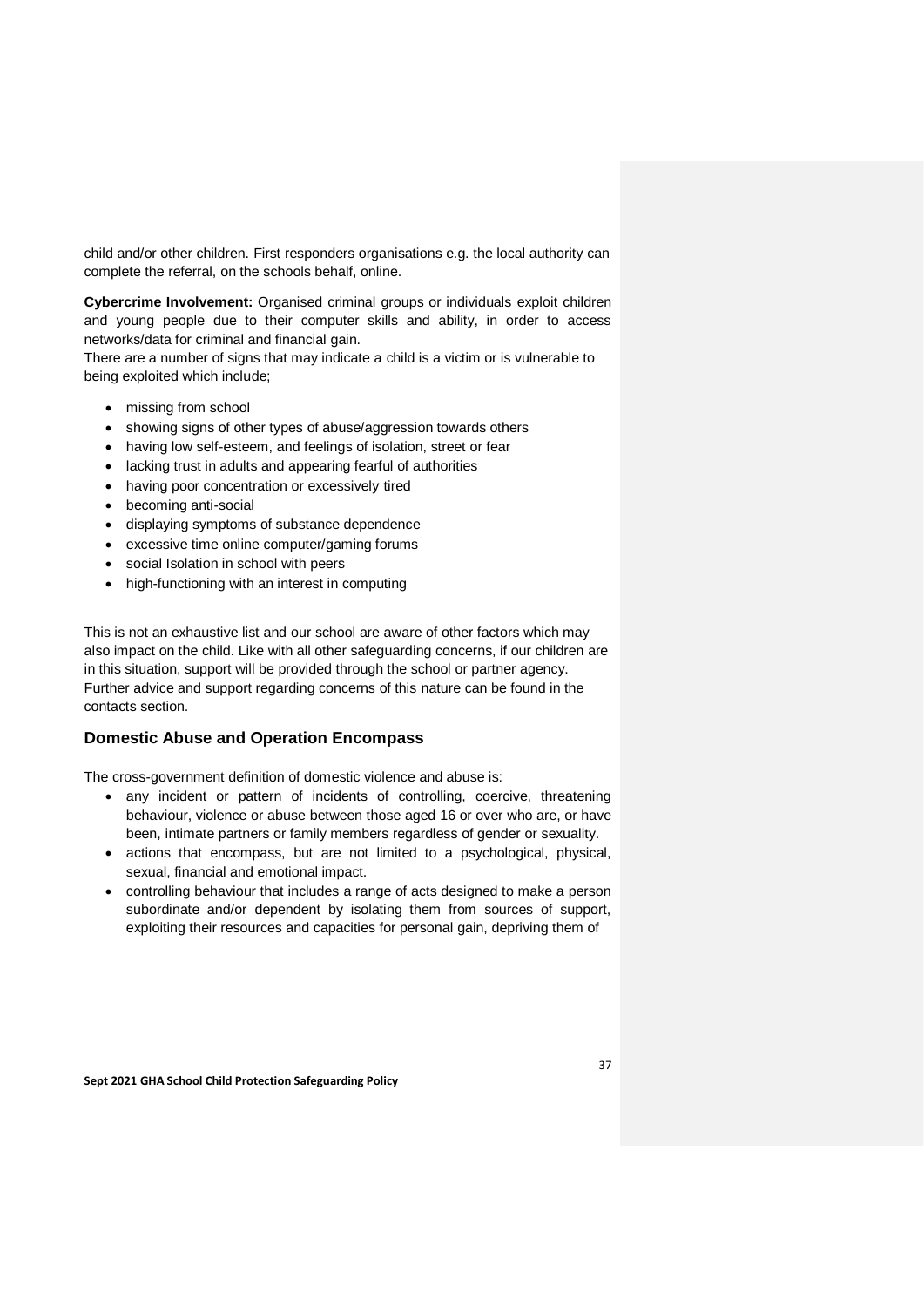child and/or other children. First responders organisations e.g. the local authority can complete the referral, on the schools behalf, online.

**Cybercrime Involvement:** Organised criminal groups or individuals exploit children and young people due to their computer skills and ability, in order to access networks/data for criminal and financial gain.

There are a number of signs that may indicate a child is a victim or is vulnerable to being exploited which include;

- missing from school
- showing signs of other types of abuse/aggression towards others
- having low self-esteem, and feelings of isolation, street or fear
- lacking trust in adults and appearing fearful of authorities
- having poor concentration or excessively tired
- becoming anti-social
- displaying symptoms of substance dependence
- excessive time online computer/gaming forums
- social Isolation in school with peers
- high-functioning with an interest in computing

This is not an exhaustive list and our school are aware of other factors which may also impact on the child. Like with all other safeguarding concerns, if our children are in this situation, support will be provided through the school or partner agency. Further advice and support regarding concerns of this nature can be found in the contacts section.

# **Domestic Abuse and Operation Encompass**

The cross-government definition of domestic violence and abuse is:

- any incident or pattern of incidents of controlling, coercive, threatening behaviour, violence or abuse between those aged 16 or over who are, or have been, intimate partners or family members regardless of gender or sexuality.
- actions that encompass, but are not limited to a psychological, physical, sexual, financial and emotional impact.
- controlling behaviour that includes a range of acts designed to make a person subordinate and/or dependent by isolating them from sources of support, exploiting their resources and capacities for personal gain, depriving them of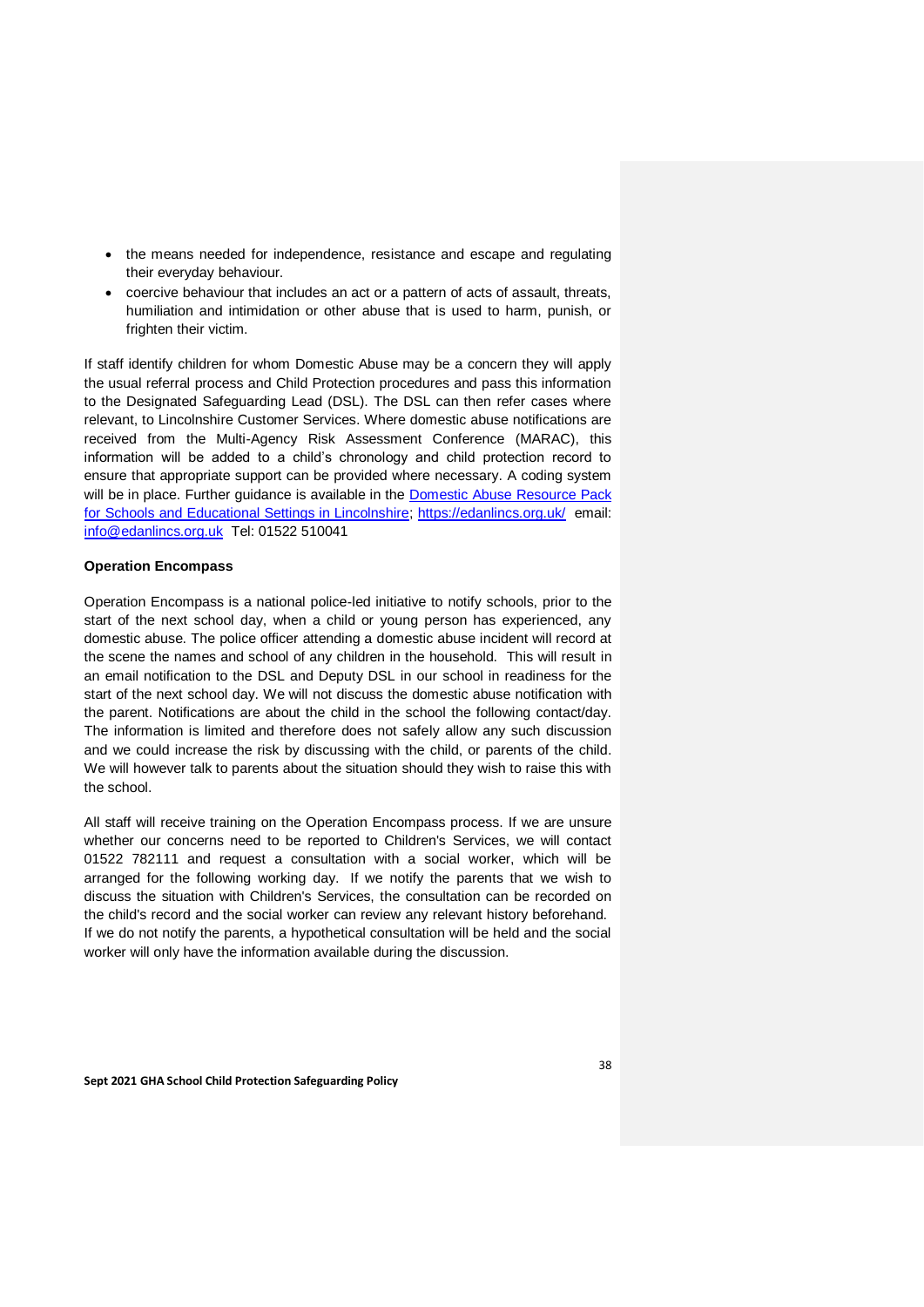- the means needed for independence, resistance and escape and regulating their everyday behaviour.
- coercive behaviour that includes an act or a pattern of acts of assault, threats, humiliation and intimidation or other abuse that is used to harm, punish, or frighten their victim.

If staff identify children for whom Domestic Abuse may be a concern they will apply the usual referral process and Child Protection procedures and pass this information to the Designated Safeguarding Lead (DSL). The DSL can then refer cases where relevant, to Lincolnshire Customer Services. Where domestic abuse notifications are received from the Multi-Agency Risk Assessment Conference (MARAC), this information will be added to a child's chronology and child protection record to ensure that appropriate support can be provided where necessary. A coding system will be in place. Further guidance is available in the Domestic Abuse Resource Pack [for Schools and Educational Settings in Lincolnshire;](../../Users/Nichola.Burgess/AppData/Local/Microsoft/Windows/INetCache/Content.Outlook/ZKIJZNUF/Domestic%20Abuse%20Resource%20Pack%20for%20Schools%20and%20Educational%20Settings%20in%20Lincolnshire)<https://edanlincs.org.uk/>email: [info@edanlincs.org.uk](mailto:info@edanlincs.org.uk) Tel: 01522 510041

#### **Operation Encompass**

Operation Encompass is a national police-led initiative to notify schools, prior to the start of the next school day, when a child or young person has experienced, any domestic abuse. The police officer attending a domestic abuse incident will record at the scene the names and school of any children in the household. This will result in an email notification to the DSL and Deputy DSL in our school in readiness for the start of the next school day. We will not discuss the domestic abuse notification with the parent. Notifications are about the child in the school the following contact/day. The information is limited and therefore does not safely allow any such discussion and we could increase the risk by discussing with the child, or parents of the child. We will however talk to parents about the situation should they wish to raise this with the school.

All staff will receive training on the Operation Encompass process. If we are unsure whether our concerns need to be reported to Children's Services, we will contact 01522 782111 and request a consultation with a social worker, which will be arranged for the following working day. If we notify the parents that we wish to discuss the situation with Children's Services, the consultation can be recorded on the child's record and the social worker can review any relevant history beforehand. If we do not notify the parents, a hypothetical consultation will be held and the social worker will only have the information available during the discussion.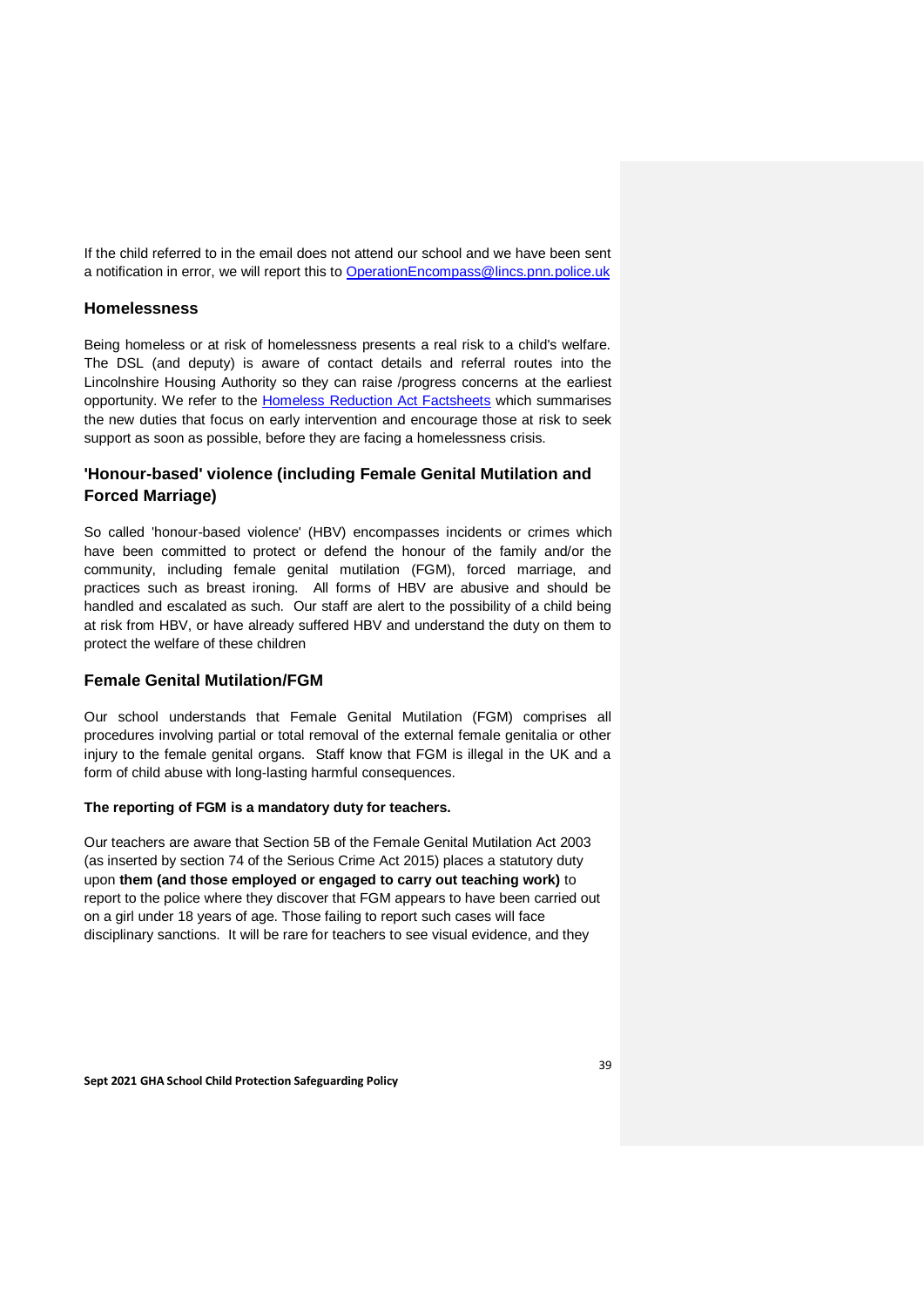If the child referred to in the email does not attend our school and we have been sent a notification in error, we will report this to [OperationEncompass@lincs.pnn.police.uk](mailto:OperationEncompass@lincs.pnn.police.uk)

# **Homelessness**

Being homeless or at risk of homelessness presents a real risk to a child's welfare. The DSL (and deputy) is aware of contact details and referral routes into the Lincolnshire Housing Authority so they can raise /progress concerns at the earliest opportunity. We refer to the [Homeless Reduction Act Factsheets](https://www.gov.uk/government/publications/homelessness-reduction-bill-policy-factsheets) which summarises the new duties that focus on early intervention and encourage those at risk to seek support as soon as possible, before they are facing a homelessness crisis.

# **'Honour-based' violence (including Female Genital Mutilation and Forced Marriage)**

So called 'honour-based violence' (HBV) encompasses incidents or crimes which have been committed to protect or defend the honour of the family and/or the community, including female genital mutilation (FGM), forced marriage, and practices such as breast ironing. All forms of HBV are abusive and should be handled and escalated as such. Our staff are alert to the possibility of a child being at risk from HBV, or have already suffered HBV and understand the duty on them to protect the welfare of these children

# **Female Genital Mutilation/FGM**

Our school understands that Female Genital Mutilation (FGM) comprises all procedures involving partial or total removal of the external female genitalia or other injury to the female genital organs. Staff know that FGM is illegal in the UK and a form of child abuse with long-lasting harmful consequences.

# **The reporting of FGM is a mandatory duty for teachers.**

Our teachers are aware that Section 5B of the Female Genital Mutilation Act 2003 (as inserted by section 74 of the Serious Crime Act 2015) places a statutory duty upon **them (and those employed or engaged to carry out teaching work)** to report to the police where they discover that FGM appears to have been carried out on a girl under 18 years of age. Those failing to report such cases will face disciplinary sanctions. It will be rare for teachers to see visual evidence, and they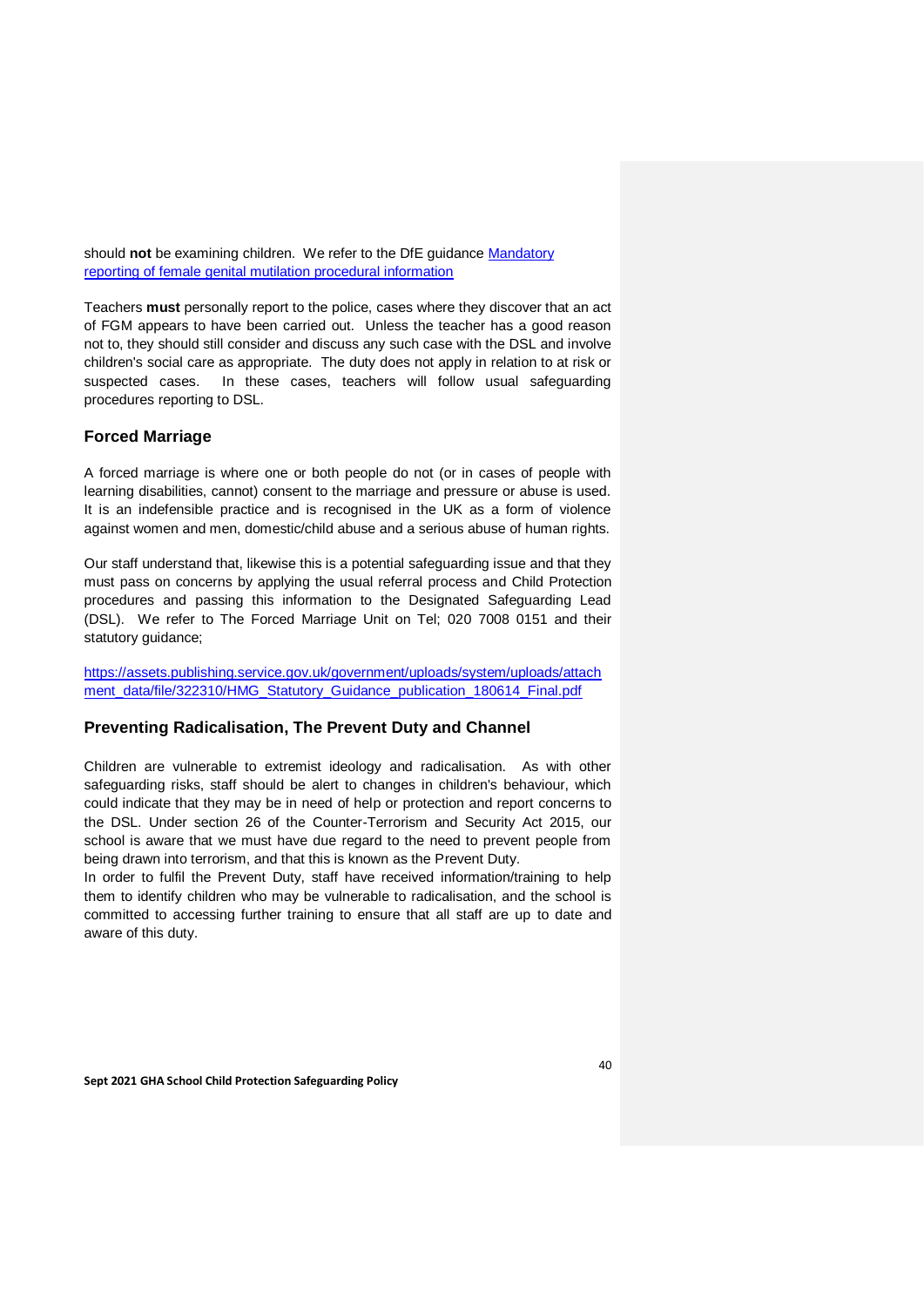should **not** be examining children. We refer to the DfE guidance [Mandatory](https://www.gov.uk/government/publications/mandatory-reporting-of-female-genital-mutilation-procedural-information)  [reporting of female genital mutilation procedural information](https://www.gov.uk/government/publications/mandatory-reporting-of-female-genital-mutilation-procedural-information)

Teachers **must** personally report to the police, cases where they discover that an act of FGM appears to have been carried out. Unless the teacher has a good reason not to, they should still consider and discuss any such case with the DSL and involve children's social care as appropriate. The duty does not apply in relation to at risk or suspected cases. In these cases, teachers will follow usual safeguarding procedures reporting to DSL.

# **Forced Marriage**

A forced marriage is where one or both people do not (or in cases of people with learning disabilities, cannot) consent to the marriage and pressure or abuse is used. It is an indefensible practice and is recognised in the UK as a form of violence against women and men, domestic/child abuse and a serious abuse of human rights.

Our staff understand that, likewise this is a potential safeguarding issue and that they must pass on concerns by applying the usual referral process and Child Protection procedures and passing this information to the Designated Safeguarding Lead (DSL). We refer to The Forced Marriage Unit on Tel; 020 7008 0151 and their statutory guidance;

[https://assets.publishing.service.gov.uk/government/uploads/system/uploads/attach](https://assets.publishing.service.gov.uk/government/uploads/system/uploads/attachment_data/file/322310/HMG_Statutory_Guidance_publication_180614_Final.pdf) ment\_data/file/322310/HMG\_Statutory\_Guidance\_publication\_180614\_Final.pdf

# **Preventing Radicalisation, The Prevent Duty and Channel**

Children are vulnerable to extremist ideology and radicalisation. As with other safeguarding risks, staff should be alert to changes in children's behaviour, which could indicate that they may be in need of help or protection and report concerns to the DSL. Under section 26 of the Counter-Terrorism and Security Act 2015, our school is aware that we must have due regard to the need to prevent people from being drawn into terrorism, and that this is known as the Prevent Duty.

In order to fulfil the Prevent Duty, staff have received information/training to help them to identify children who may be vulnerable to radicalisation, and the school is committed to accessing further training to ensure that all staff are up to date and aware of this duty.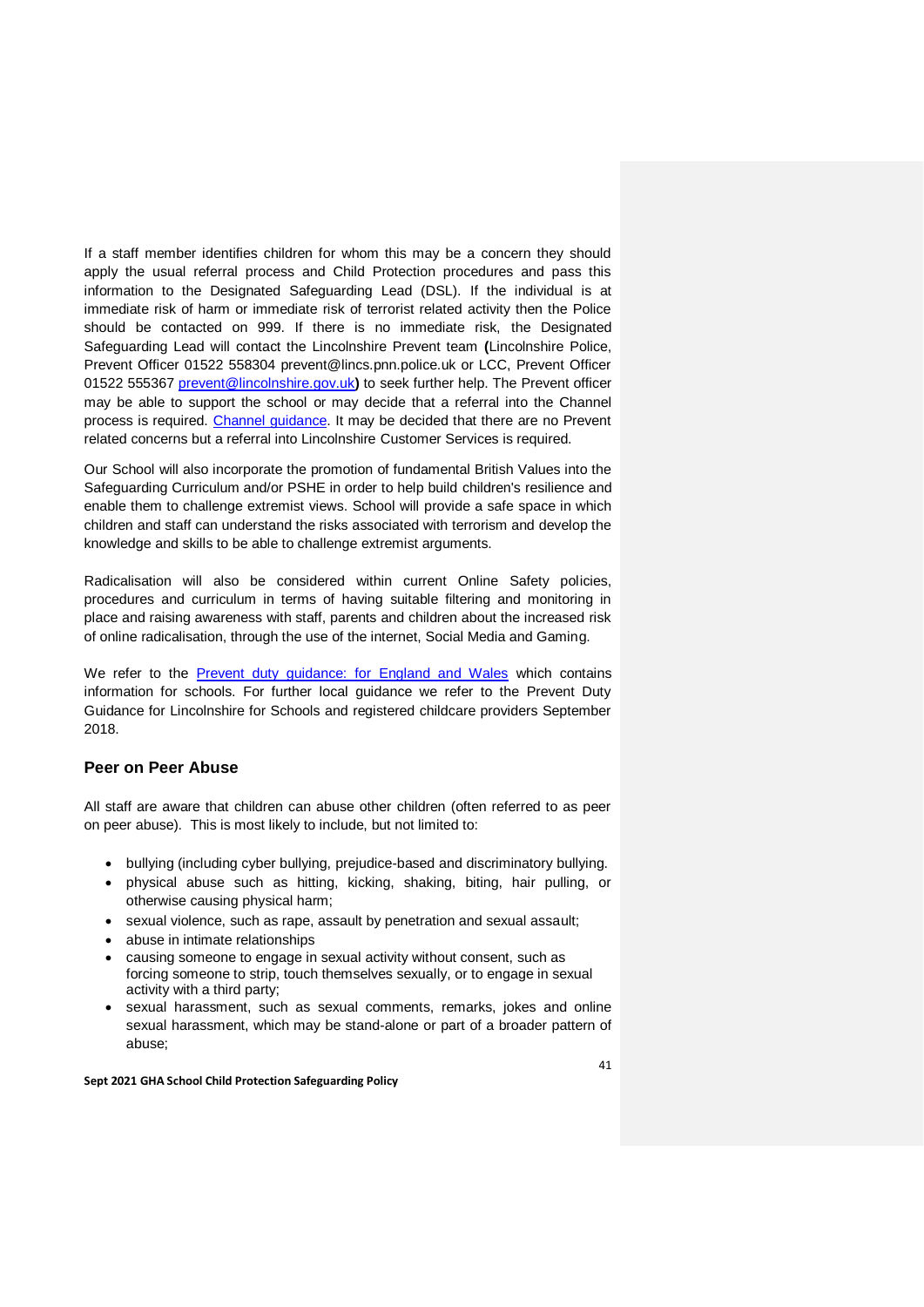If a staff member identifies children for whom this may be a concern they should apply the usual referral process and Child Protection procedures and pass this information to the Designated Safeguarding Lead (DSL). If the individual is at immediate risk of harm or immediate risk of terrorist related activity then the Police should be contacted on 999. If there is no immediate risk, the Designated Safeguarding Lead will contact the Lincolnshire Prevent team **(**Lincolnshire Police, Prevent Officer 01522 558304 prevent@lincs.pnn.police.uk or LCC, Prevent Officer 01522 555367 [prevent@lincolnshire.gov.uk](mailto:prevent@lincolnshire.gov.uk)**)** to seek further help. The Prevent officer may be able to support the school or may decide that a referral into the Channel process is required. [Channel guidance.](https://www.gov.uk/government/publications/channel-guidance) It may be decided that there are no Prevent related concerns but a referral into Lincolnshire Customer Services is required.

Our School will also incorporate the promotion of fundamental British Values into the Safeguarding Curriculum and/or PSHE in order to help build children's resilience and enable them to challenge extremist views. School will provide a safe space in which children and staff can understand the risks associated with terrorism and develop the knowledge and skills to be able to challenge extremist arguments.

Radicalisation will also be considered within current Online Safety policies, procedures and curriculum in terms of having suitable filtering and monitoring in place and raising awareness with staff, parents and children about the increased risk of online radicalisation, through the use of the internet, Social Media and Gaming.

We refer to the [Prevent duty guidance: for England and Wales](https://www.gov.uk/government/publications/prevent-duty-guidance) which contains information for schools. For further local guidance we refer to the Prevent Duty Guidance for Lincolnshire for Schools and registered childcare providers September 2018.

# **Peer on Peer Abuse**

All staff are aware that children can abuse other children (often referred to as peer on peer abuse). This is most likely to include, but not limited to:

- bullying (including cyber bullying, prejudice-based and discriminatory bullying.
- physical abuse such as hitting, kicking, shaking, biting, hair pulling, or otherwise causing physical harm;
- sexual violence, such as rape, assault by penetration and sexual assault;
- abuse in intimate relationships
- causing someone to engage in sexual activity without consent, such as forcing someone to strip, touch themselves sexually, or to engage in sexual activity with a third party;
- sexual harassment, such as sexual comments, remarks, jokes and online sexual harassment, which may be stand-alone or part of a broader pattern of abuse;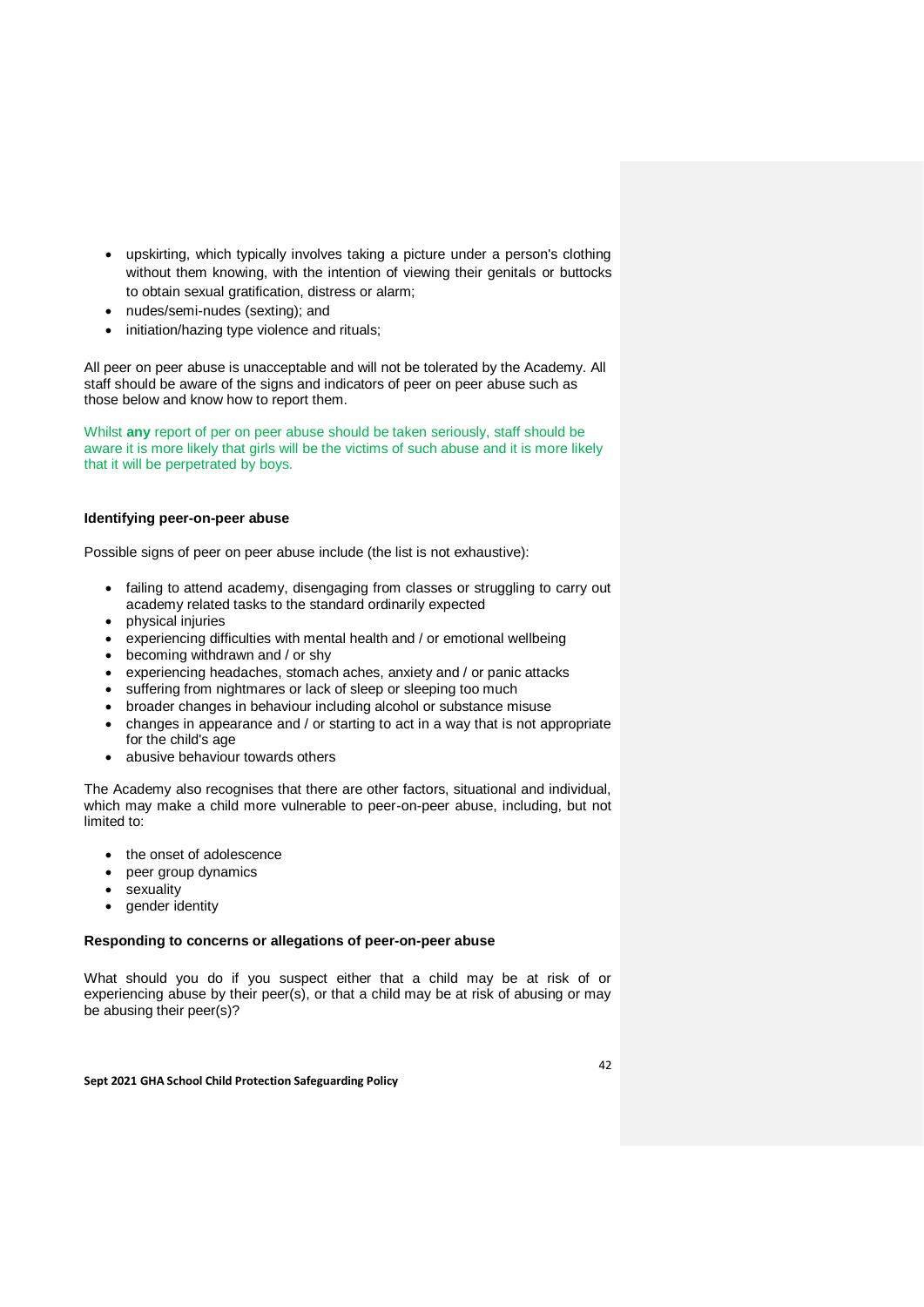- upskirting, which typically involves taking a picture under a person's clothing without them knowing, with the intention of viewing their genitals or buttocks to obtain sexual gratification, distress or alarm;
- nudes/semi-nudes (sexting); and
- initiation/hazing type violence and rituals;

All peer on peer abuse is unacceptable and will not be tolerated by the Academy. All staff should be aware of the signs and indicators of peer on peer abuse such as those below and know how to report them.

Whilst **any** report of per on peer abuse should be taken seriously, staff should be aware it is more likely that girls will be the victims of such abuse and it is more likely that it will be perpetrated by boys.

#### **Identifying peer-on-peer abuse**

Possible signs of peer on peer abuse include (the list is not exhaustive):

- failing to attend academy, disengaging from classes or struggling to carry out academy related tasks to the standard ordinarily expected
- physical injuries
- experiencing difficulties with mental health and / or emotional wellbeing
- becoming withdrawn and / or shy
- experiencing headaches, stomach aches, anxiety and / or panic attacks
- suffering from nightmares or lack of sleep or sleeping too much
- broader changes in behaviour including alcohol or substance misuse
- changes in appearance and / or starting to act in a way that is not appropriate for the child's age
- abusive behaviour towards others

The Academy also recognises that there are other factors, situational and individual, which may make a child more vulnerable to peer-on-peer abuse, including, but not limited to:

- the onset of adolescence
- peer group dynamics
- sexuality
- gender identity

## **Responding to concerns or allegations of peer-on-peer abuse**

What should you do if you suspect either that a child may be at risk of or experiencing abuse by their peer(s), or that a child may be at risk of abusing or may be abusing their peer(s)?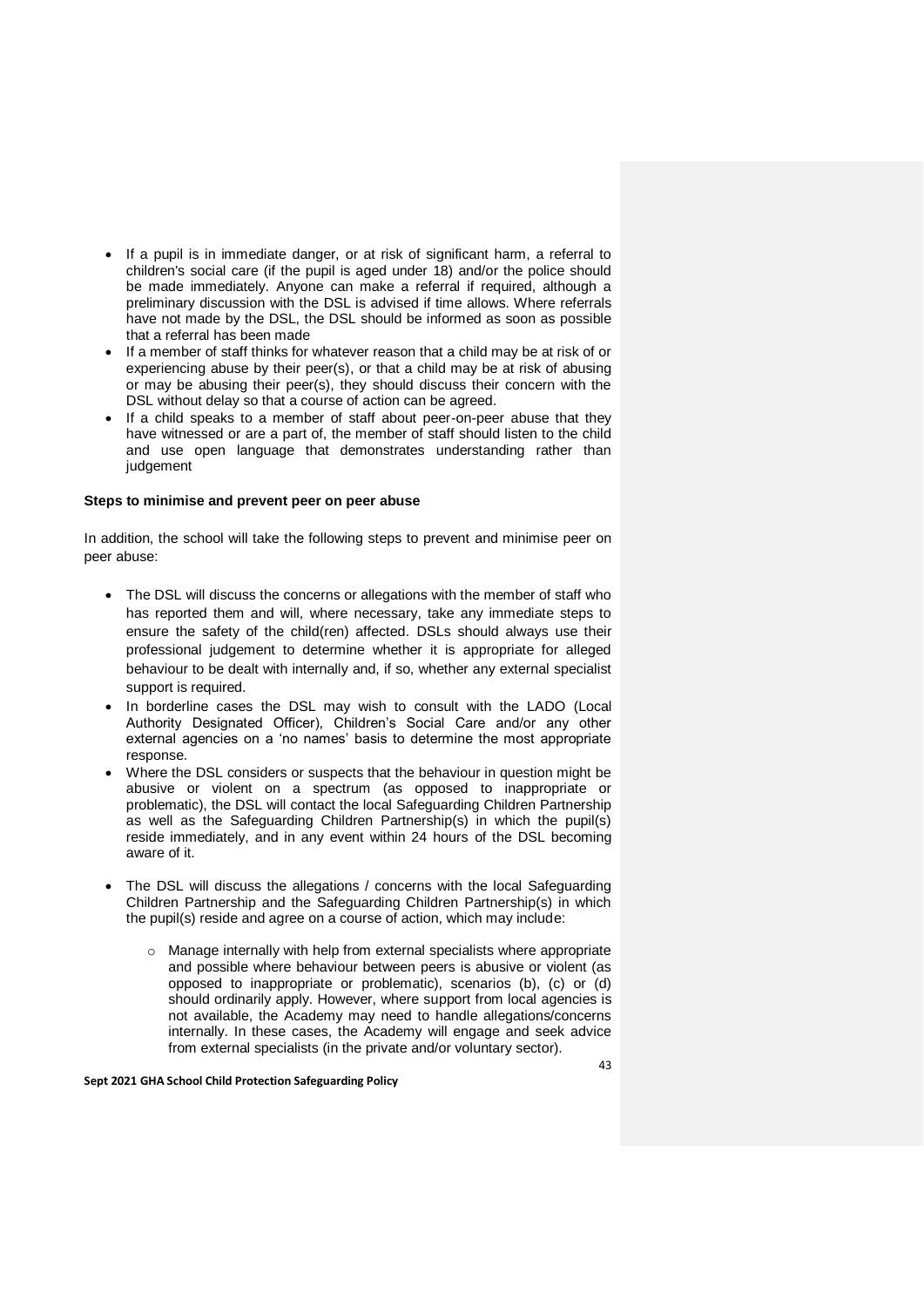- If a pupil is in immediate danger, or at risk of significant harm, a referral to children's social care (if the pupil is aged under 18) and/or the police should be made immediately. Anyone can make a referral if required, although a preliminary discussion with the DSL is advised if time allows. Where referrals have not made by the DSL, the DSL should be informed as soon as possible that a referral has been made
- If a member of staff thinks for whatever reason that a child may be at risk of or experiencing abuse by their peer(s), or that a child may be at risk of abusing or may be abusing their peer(s), they should discuss their concern with the DSL without delay so that a course of action can be agreed.
- If a child speaks to a member of staff about peer-on-peer abuse that they have witnessed or are a part of, the member of staff should listen to the child and use open language that demonstrates understanding rather than judgement

## **Steps to minimise and prevent peer on peer abuse**

In addition, the school will take the following steps to prevent and minimise peer on peer abuse:

- The DSL will discuss the concerns or allegations with the member of staff who has reported them and will, where necessary, take any immediate steps to ensure the safety of the child(ren) affected. DSLs should always use their professional judgement to determine whether it is appropriate for alleged behaviour to be dealt with internally and, if so, whether any external specialist support is required.
- In borderline cases the DSL may wish to consult with the LADO (Local Authority Designated Officer), Children's Social Care and/or any other external agencies on a 'no names' basis to determine the most appropriate response.
- Where the DSL considers or suspects that the behaviour in question might be abusive or violent on a spectrum (as opposed to inappropriate or problematic), the DSL will contact the local Safeguarding Children Partnership as well as the Safeguarding Children Partnership(s) in which the pupil(s) reside immediately, and in any event within 24 hours of the DSL becoming aware of it.
- The DSL will discuss the allegations / concerns with the local Safeguarding Children Partnership and the Safeguarding Children Partnership(s) in which the pupil(s) reside and agree on a course of action, which may include:
	- o Manage internally with help from external specialists where appropriate and possible where behaviour between peers is abusive or violent (as opposed to inappropriate or problematic), scenarios (b), (c) or (d) should ordinarily apply. However, where support from local agencies is not available, the Academy may need to handle allegations/concerns internally. In these cases, the Academy will engage and seek advice from external specialists (in the private and/or voluntary sector).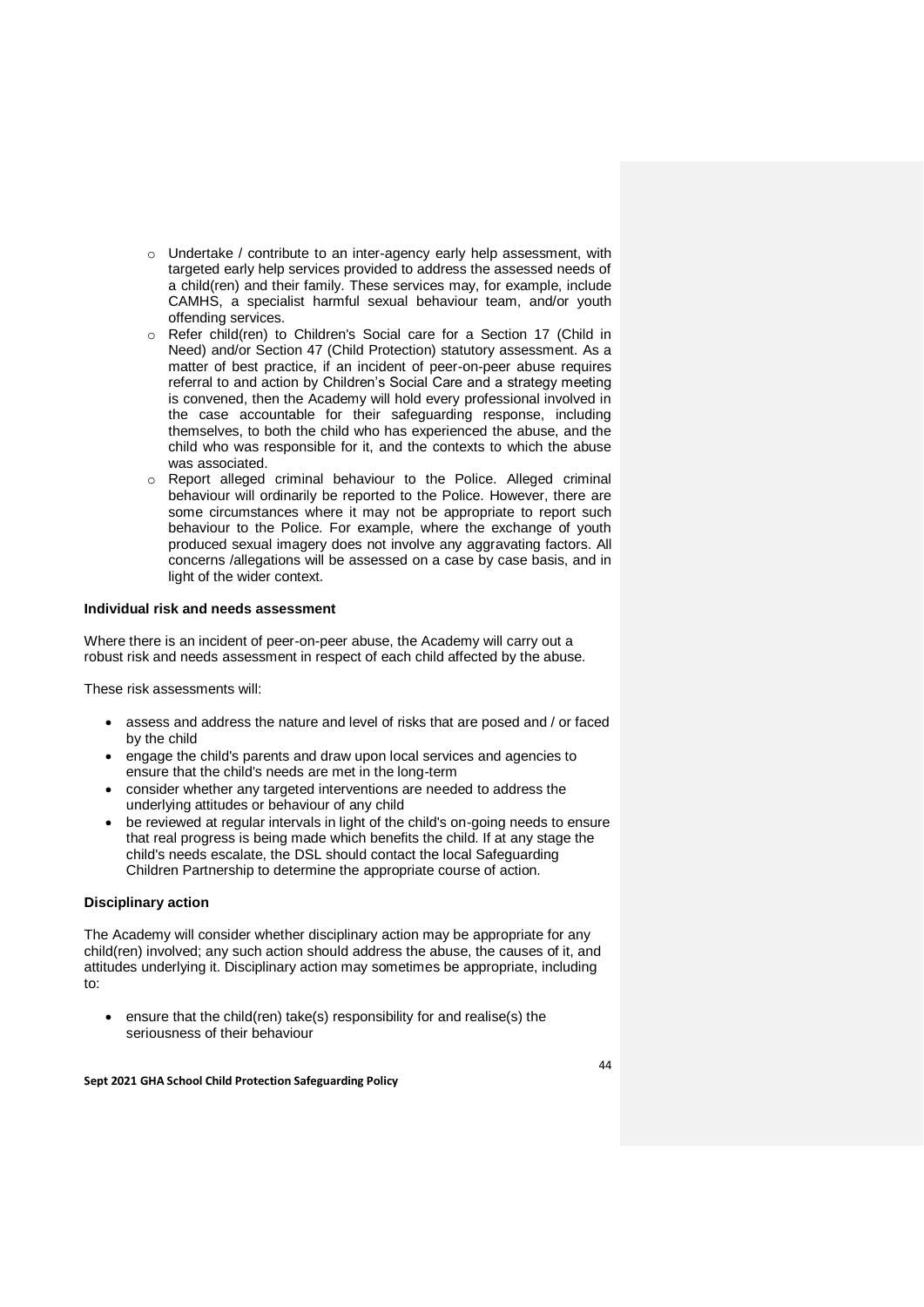- o Undertake / contribute to an inter-agency early help assessment, with targeted early help services provided to address the assessed needs of a child(ren) and their family. These services may, for example, include CAMHS, a specialist harmful sexual behaviour team, and/or youth offending services.
- o Refer child(ren) to Children's Social care for a Section 17 (Child in Need) and/or Section 47 (Child Protection) statutory assessment. As a matter of best practice, if an incident of peer-on-peer abuse requires referral to and action by Children's Social Care and a strategy meeting is convened, then the Academy will hold every professional involved in the case accountable for their safeguarding response, including themselves, to both the child who has experienced the abuse, and the child who was responsible for it, and the contexts to which the abuse was associated.
- o Report alleged criminal behaviour to the Police. Alleged criminal behaviour will ordinarily be reported to the Police. However, there are some circumstances where it may not be appropriate to report such behaviour to the Police. For example, where the exchange of youth produced sexual imagery does not involve any aggravating factors. All concerns /allegations will be assessed on a case by case basis, and in light of the wider context.

#### **Individual risk and needs assessment**

Where there is an incident of peer-on-peer abuse, the Academy will carry out a robust risk and needs assessment in respect of each child affected by the abuse.

These risk assessments will:

- assess and address the nature and level of risks that are posed and / or faced by the child
- engage the child's parents and draw upon local services and agencies to ensure that the child's needs are met in the long-term
- consider whether any targeted interventions are needed to address the underlying attitudes or behaviour of any child
- be reviewed at regular intervals in light of the child's on-going needs to ensure that real progress is being made which benefits the child. If at any stage the child's needs escalate, the DSL should contact the local Safeguarding Children Partnership to determine the appropriate course of action.

#### **Disciplinary action**

The Academy will consider whether disciplinary action may be appropriate for any child(ren) involved; any such action should address the abuse, the causes of it, and attitudes underlying it. Disciplinary action may sometimes be appropriate, including to:

• ensure that the child(ren) take(s) responsibility for and realise(s) the seriousness of their behaviour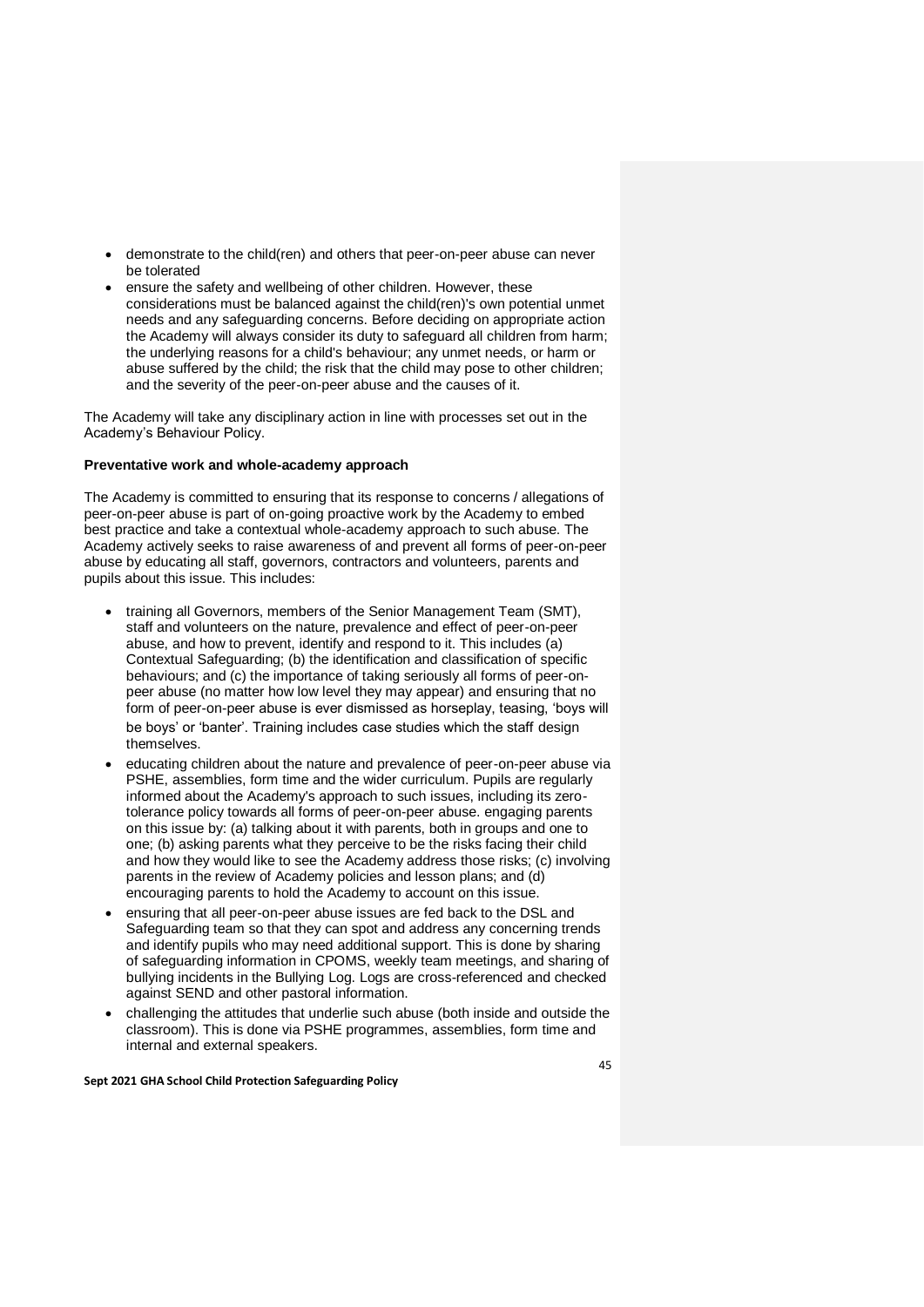- demonstrate to the child(ren) and others that peer-on-peer abuse can never be tolerated
- ensure the safety and wellbeing of other children. However, these considerations must be balanced against the child(ren)'s own potential unmet needs and any safeguarding concerns. Before deciding on appropriate action the Academy will always consider its duty to safeguard all children from harm; the underlying reasons for a child's behaviour; any unmet needs, or harm or abuse suffered by the child; the risk that the child may pose to other children; and the severity of the peer-on-peer abuse and the causes of it.

The Academy will take any disciplinary action in line with processes set out in the Academy's Behaviour Policy.

# **Preventative work and whole-academy approach**

The Academy is committed to ensuring that its response to concerns / allegations of peer-on-peer abuse is part of on-going proactive work by the Academy to embed best practice and take a contextual whole-academy approach to such abuse. The Academy actively seeks to raise awareness of and prevent all forms of peer-on-peer abuse by educating all staff, governors, contractors and volunteers, parents and pupils about this issue. This includes:

- training all Governors, members of the Senior Management Team (SMT), staff and volunteers on the nature, prevalence and effect of peer-on-peer abuse, and how to prevent, identify and respond to it. This includes (a) Contextual Safeguarding; (b) the identification and classification of specific behaviours; and (c) the importance of taking seriously all forms of peer-onpeer abuse (no matter how low level they may appear) and ensuring that no form of peer-on-peer abuse is ever dismissed as horseplay, teasing, 'boys will be boys' or 'banter'. Training includes case studies which the staff design themselves.
- educating children about the nature and prevalence of peer-on-peer abuse via PSHE, assemblies, form time and the wider curriculum. Pupils are regularly informed about the Academy's approach to such issues, including its zerotolerance policy towards all forms of peer-on-peer abuse. engaging parents on this issue by: (a) talking about it with parents, both in groups and one to one; (b) asking parents what they perceive to be the risks facing their child and how they would like to see the Academy address those risks; (c) involving parents in the review of Academy policies and lesson plans; and (d) encouraging parents to hold the Academy to account on this issue.
- ensuring that all peer-on-peer abuse issues are fed back to the DSL and Safeguarding team so that they can spot and address any concerning trends and identify pupils who may need additional support. This is done by sharing of safeguarding information in CPOMS, weekly team meetings, and sharing of bullying incidents in the Bullying Log. Logs are cross-referenced and checked against SEND and other pastoral information.
- challenging the attitudes that underlie such abuse (both inside and outside the classroom). This is done via PSHE programmes, assemblies, form time and internal and external speakers.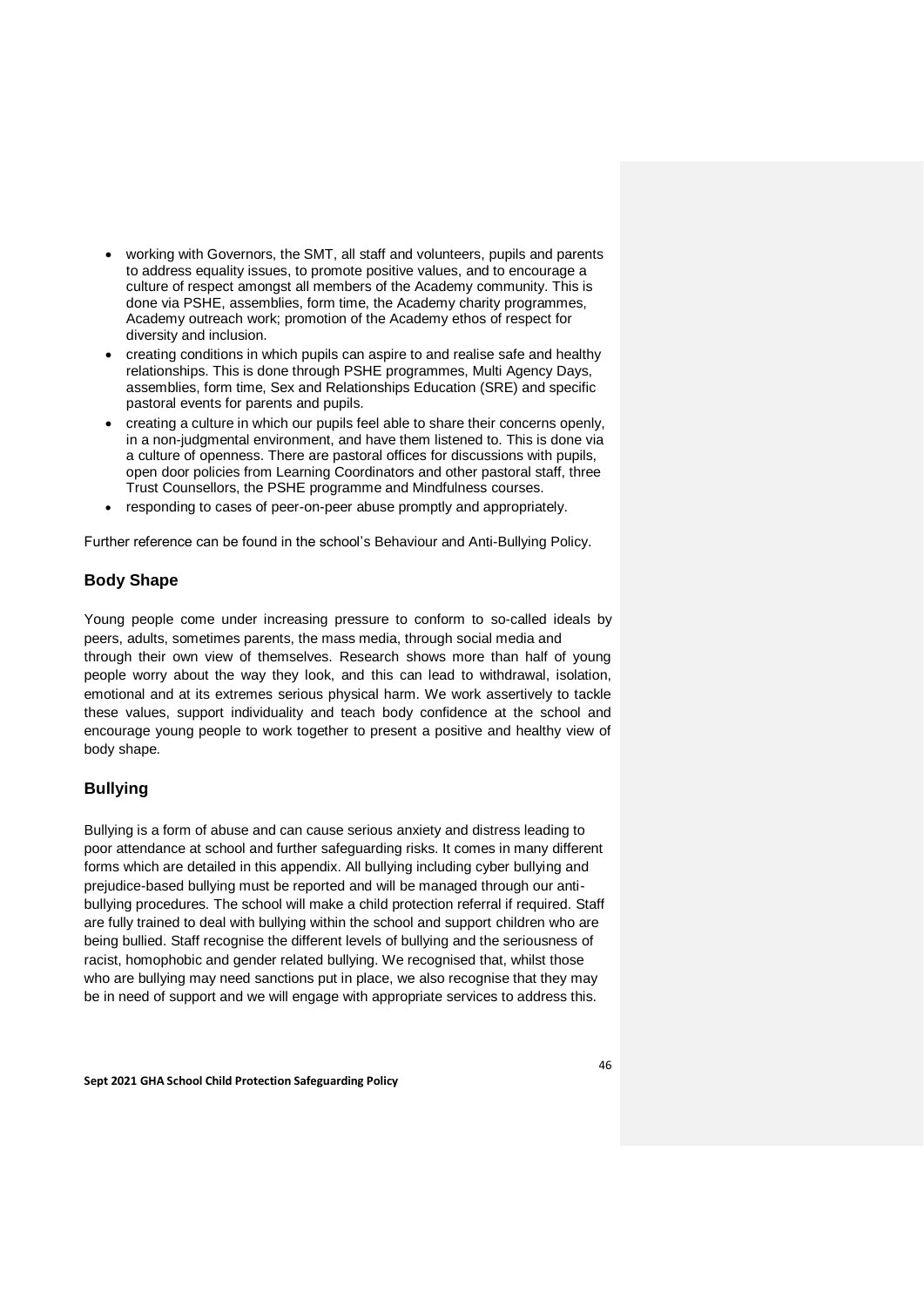- working with Governors, the SMT, all staff and volunteers, pupils and parents to address equality issues, to promote positive values, and to encourage a culture of respect amongst all members of the Academy community. This is done via PSHE, assemblies, form time, the Academy charity programmes, Academy outreach work; promotion of the Academy ethos of respect for diversity and inclusion.
- creating conditions in which pupils can aspire to and realise safe and healthy relationships. This is done through PSHE programmes, Multi Agency Days, assemblies, form time, Sex and Relationships Education (SRE) and specific pastoral events for parents and pupils.
- creating a culture in which our pupils feel able to share their concerns openly, in a non-judgmental environment, and have them listened to. This is done via a culture of openness. There are pastoral offices for discussions with pupils, open door policies from Learning Coordinators and other pastoral staff, three Trust Counsellors, the PSHE programme and Mindfulness courses.
- responding to cases of peer-on-peer abuse promptly and appropriately.

Further reference can be found in the school's Behaviour and Anti-Bullying Policy.

# **Body Shape**

Young people come under increasing pressure to conform to so-called ideals by peers, adults, sometimes parents, the mass media, through social media and through their own view of themselves. Research shows more than half of young people worry about the way they look, and this can lead to withdrawal, isolation, emotional and at its extremes serious physical harm. We work assertively to tackle these values, support individuality and teach body confidence at the school and encourage young people to work together to present a positive and healthy view of body shape.

# **Bullying**

Bullying is a form of abuse and can cause serious anxiety and distress leading to poor attendance at school and further safeguarding risks. It comes in many different forms which are detailed in this appendix. All bullying including cyber bullying and prejudice-based bullying must be reported and will be managed through our antibullying procedures. The school will make a child protection referral if required. Staff are fully trained to deal with bullying within the school and support children who are being bullied. Staff recognise the different levels of bullying and the seriousness of racist, homophobic and gender related bullying. We recognised that, whilst those who are bullying may need sanctions put in place, we also recognise that they may be in need of support and we will engage with appropriate services to address this.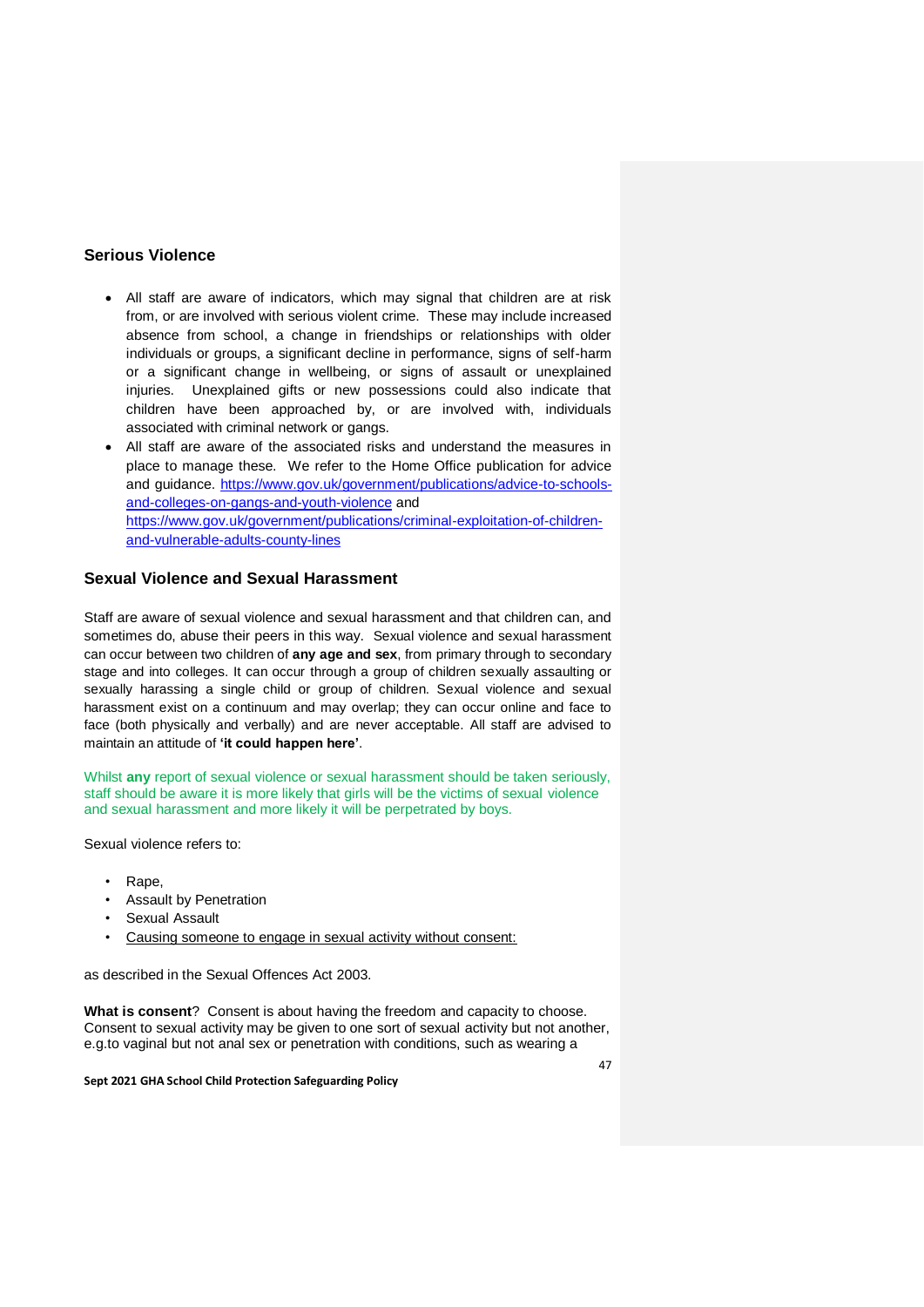# **Serious Violence**

- All staff are aware of indicators, which may signal that children are at risk from, or are involved with serious violent crime. These may include increased absence from school, a change in friendships or relationships with older individuals or groups, a significant decline in performance, signs of self-harm or a significant change in wellbeing, or signs of assault or unexplained injuries. Unexplained gifts or new possessions could also indicate that children have been approached by, or are involved with, individuals associated with criminal network or gangs.
- All staff are aware of the associated risks and understand the measures in place to manage these. We refer to the Home Office publication for advice and guidance. [https://www.gov.uk/government/publications/advice-to-schools](https://www.gov.uk/government/publications/advice-to-schools-and-colleges-on-gangs-and-youth-violence)[and-colleges-on-gangs-and-youth-violence](https://www.gov.uk/government/publications/advice-to-schools-and-colleges-on-gangs-and-youth-violence) and [https://www.gov.uk/government/publications/criminal-exploitation-of-children](https://www.gov.uk/government/publications/criminal-exploitation-of-children-and-vulnerable-adults-county-lines)[and-vulnerable-adults-county-lines](https://www.gov.uk/government/publications/criminal-exploitation-of-children-and-vulnerable-adults-county-lines)

# **Sexual Violence and Sexual Harassment**

Staff are aware of sexual violence and sexual harassment and that children can, and sometimes do, abuse their peers in this way. Sexual violence and sexual harassment can occur between two children of **any age and sex**, from primary through to secondary stage and into colleges. It can occur through a group of children sexually assaulting or sexually harassing a single child or group of children. Sexual violence and sexual harassment exist on a continuum and may overlap; they can occur online and face to face (both physically and verbally) and are never acceptable. All staff are advised to maintain an attitude of **'it could happen here'**.

Whilst **any** report of sexual violence or sexual harassment should be taken seriously, staff should be aware it is more likely that girls will be the victims of sexual violence and sexual harassment and more likely it will be perpetrated by boys.

Sexual violence refers to:

- Rape,
- Assault by Penetration
- Sexual Assault
- Causing someone to engage in sexual activity without consent:

as described in the Sexual Offences Act 2003.

**What is consent**? Consent is about having the freedom and capacity to choose. Consent to sexual activity may be given to one sort of sexual activity but not another, e.g.to vaginal but not anal sex or penetration with conditions, such as wearing a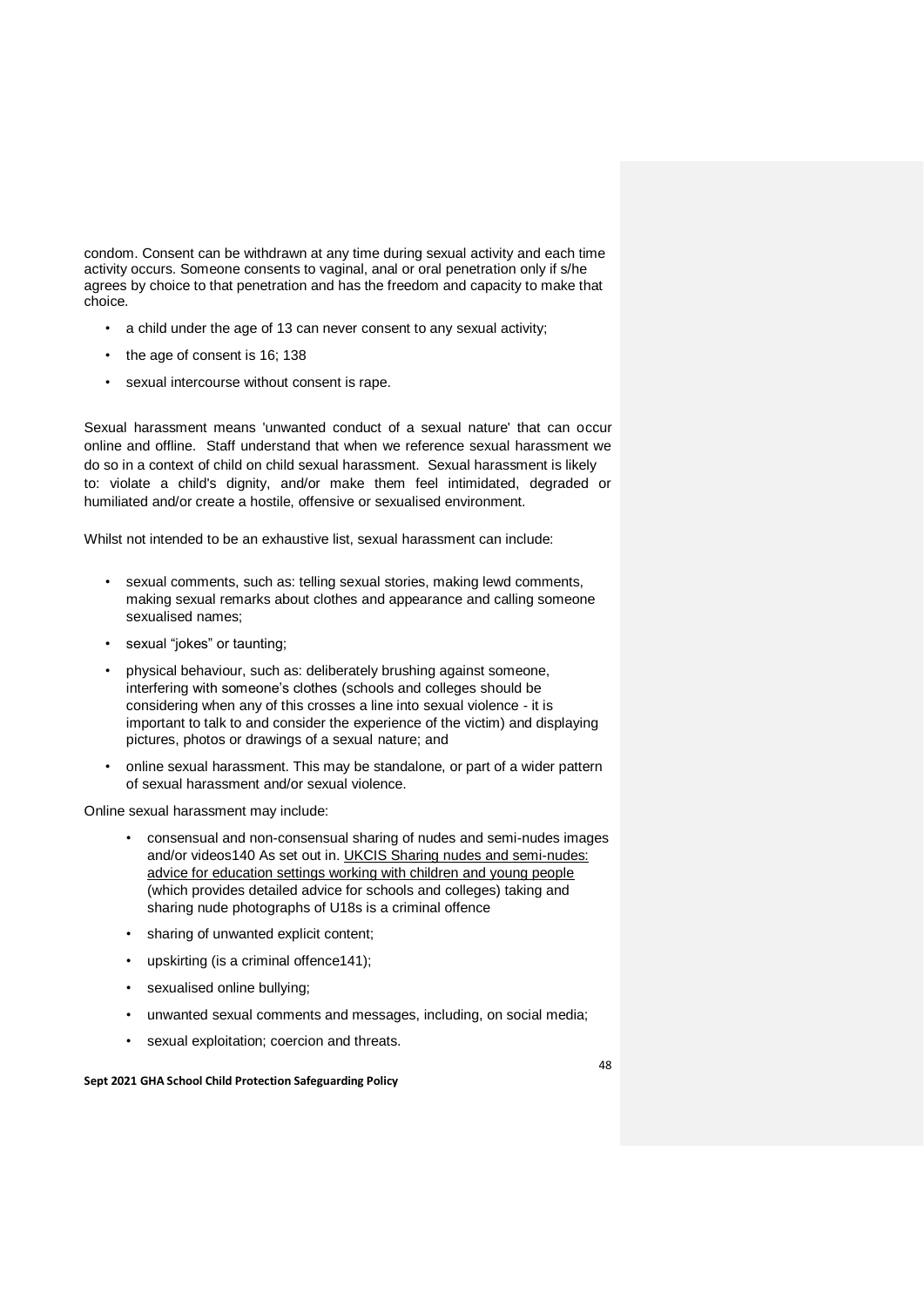condom. Consent can be withdrawn at any time during sexual activity and each time activity occurs. Someone consents to vaginal, anal or oral penetration only if s/he agrees by choice to that penetration and has the freedom and capacity to make that choice.

- a child under the age of 13 can never consent to any sexual activity;
- the age of consent is 16; 138
- sexual intercourse without consent is rape.

Sexual harassment means 'unwanted conduct of a sexual nature' that can occur online and offline. Staff understand that when we reference sexual harassment we do so in a context of child on child sexual harassment. Sexual harassment is likely to: violate a child's dignity, and/or make them feel intimidated, degraded or humiliated and/or create a hostile, offensive or sexualised environment.

Whilst not intended to be an exhaustive list, sexual harassment can include:

- sexual comments, such as: telling sexual stories, making lewd comments, making sexual remarks about clothes and appearance and calling someone sexualised names;
- sexual "jokes" or taunting;
- physical behaviour, such as: deliberately brushing against someone, interfering with someone's clothes (schools and colleges should be considering when any of this crosses a line into sexual violence - it is important to talk to and consider the experience of the victim) and displaying pictures, photos or drawings of a sexual nature; and
- online sexual harassment. This may be standalone, or part of a wider pattern of sexual harassment and/or sexual violence.

Online sexual harassment may include:

- consensual and non-consensual sharing of nudes and semi-nudes images and/or videos140 As set out in. UKCIS Sharing nudes and semi-nudes: advice for education settings working with children and young people (which provides detailed advice for schools and colleges) taking and sharing nude photographs of U18s is a criminal offence
- sharing of unwanted explicit content;
- upskirting (is a criminal offence141);
- sexualised online bullying;
- unwanted sexual comments and messages, including, on social media;
- sexual exploitation; coercion and threats.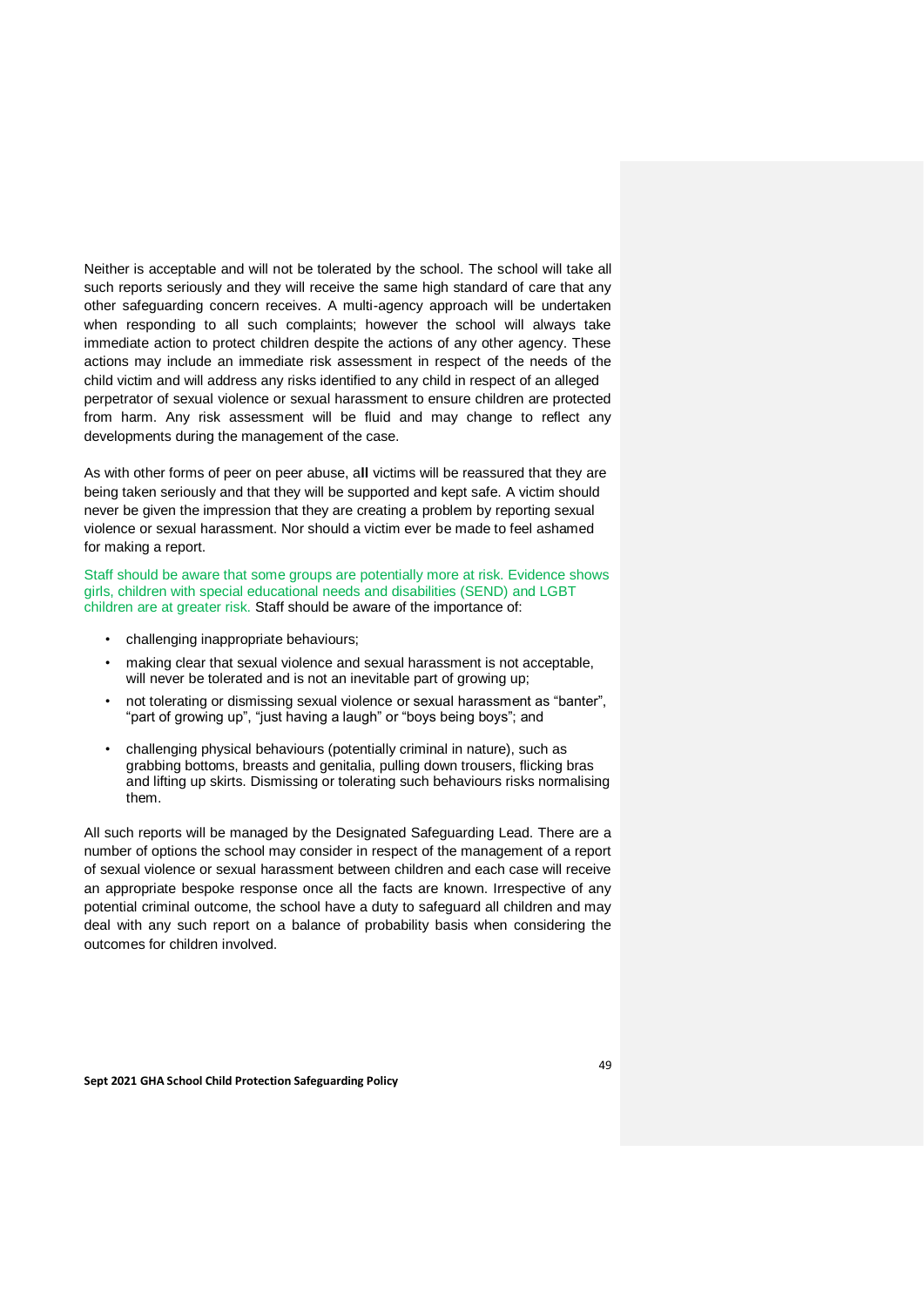Neither is acceptable and will not be tolerated by the school. The school will take all such reports seriously and they will receive the same high standard of care that any other safeguarding concern receives. A multi-agency approach will be undertaken when responding to all such complaints; however the school will always take immediate action to protect children despite the actions of any other agency. These actions may include an immediate risk assessment in respect of the needs of the child victim and will address any risks identified to any child in respect of an alleged perpetrator of sexual violence or sexual harassment to ensure children are protected from harm. Any risk assessment will be fluid and may change to reflect any developments during the management of the case.

As with other forms of peer on peer abuse, a**ll** victims will be reassured that they are being taken seriously and that they will be supported and kept safe. A victim should never be given the impression that they are creating a problem by reporting sexual violence or sexual harassment. Nor should a victim ever be made to feel ashamed for making a report.

Staff should be aware that some groups are potentially more at risk. Evidence shows girls, children with special educational needs and disabilities (SEND) and LGBT children are at greater risk. Staff should be aware of the importance of:

- challenging inappropriate behaviours;
- making clear that sexual violence and sexual harassment is not acceptable, will never be tolerated and is not an inevitable part of growing up;
- not tolerating or dismissing sexual violence or sexual harassment as "banter", "part of growing up", "just having a laugh" or "boys being boys"; and
- challenging physical behaviours (potentially criminal in nature), such as grabbing bottoms, breasts and genitalia, pulling down trousers, flicking bras and lifting up skirts. Dismissing or tolerating such behaviours risks normalising them.

All such reports will be managed by the Designated Safeguarding Lead. There are a number of options the school may consider in respect of the management of a report of sexual violence or sexual harassment between children and each case will receive an appropriate bespoke response once all the facts are known. Irrespective of any potential criminal outcome, the school have a duty to safeguard all children and may deal with any such report on a balance of probability basis when considering the outcomes for children involved.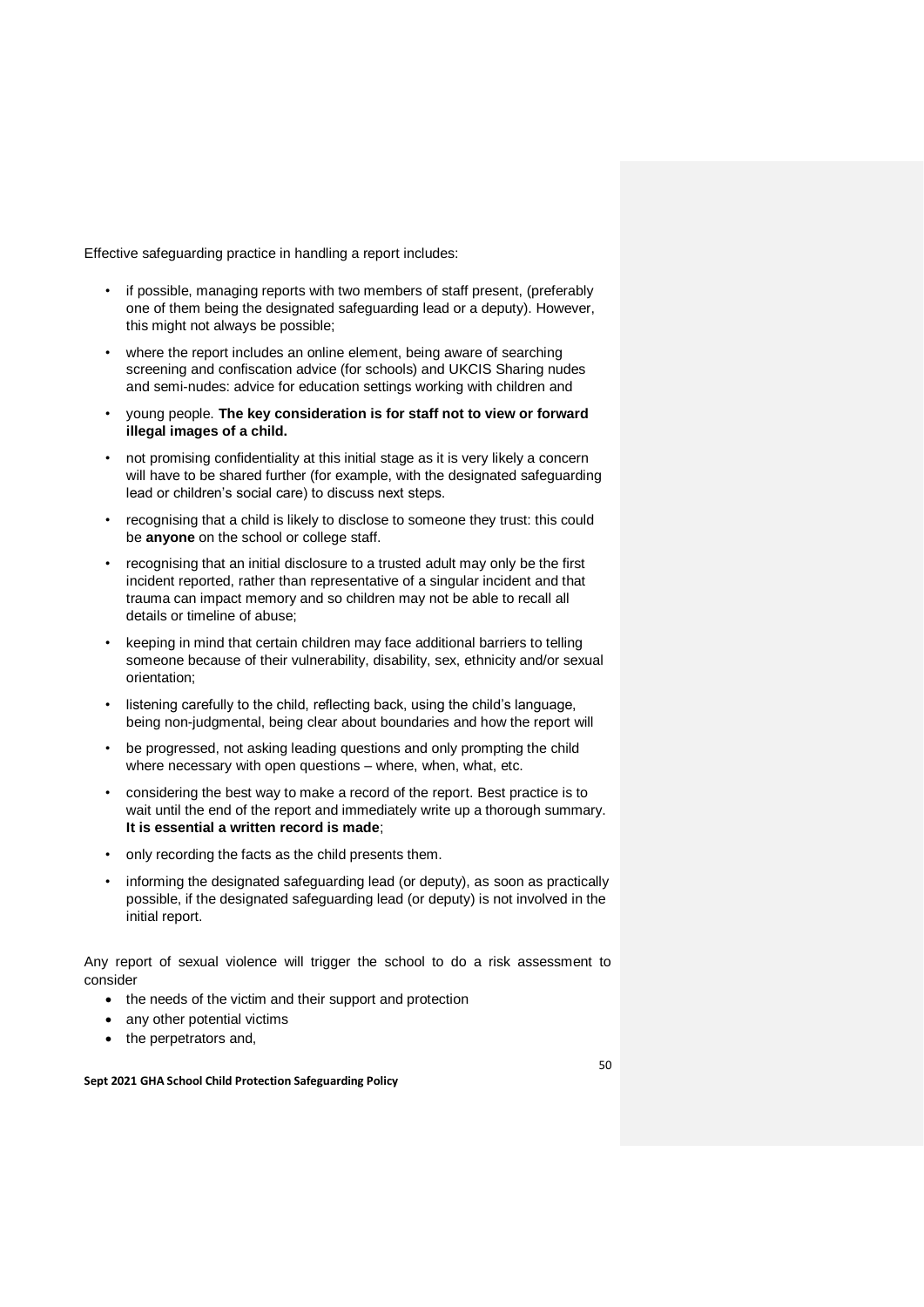Effective safeguarding practice in handling a report includes:

- if possible, managing reports with two members of staff present, (preferably one of them being the designated safeguarding lead or a deputy). However, this might not always be possible;
- where the report includes an online element, being aware of searching screening and confiscation advice (for schools) and UKCIS Sharing nudes and semi-nudes: advice for education settings working with children and
- young people. **The key consideration is for staff not to view or forward illegal images of a child.**
- not promising confidentiality at this initial stage as it is very likely a concern will have to be shared further (for example, with the designated safeguarding lead or children's social care) to discuss next steps.
- recognising that a child is likely to disclose to someone they trust: this could be **anyone** on the school or college staff.
- recognising that an initial disclosure to a trusted adult may only be the first incident reported, rather than representative of a singular incident and that trauma can impact memory and so children may not be able to recall all details or timeline of abuse;
- keeping in mind that certain children may face additional barriers to telling someone because of their vulnerability, disability, sex, ethnicity and/or sexual orientation;
- listening carefully to the child, reflecting back, using the child's language, being non-judgmental, being clear about boundaries and how the report will
- be progressed, not asking leading questions and only prompting the child where necessary with open questions – where, when, what, etc.
- considering the best way to make a record of the report. Best practice is to wait until the end of the report and immediately write up a thorough summary. **It is essential a written record is made**;
- only recording the facts as the child presents them.
- informing the designated safeguarding lead (or deputy), as soon as practically possible, if the designated safeguarding lead (or deputy) is not involved in the initial report.

Any report of sexual violence will trigger the school to do a risk assessment to consider

- the needs of the victim and their support and protection
- any other potential victims
- the perpetrators and,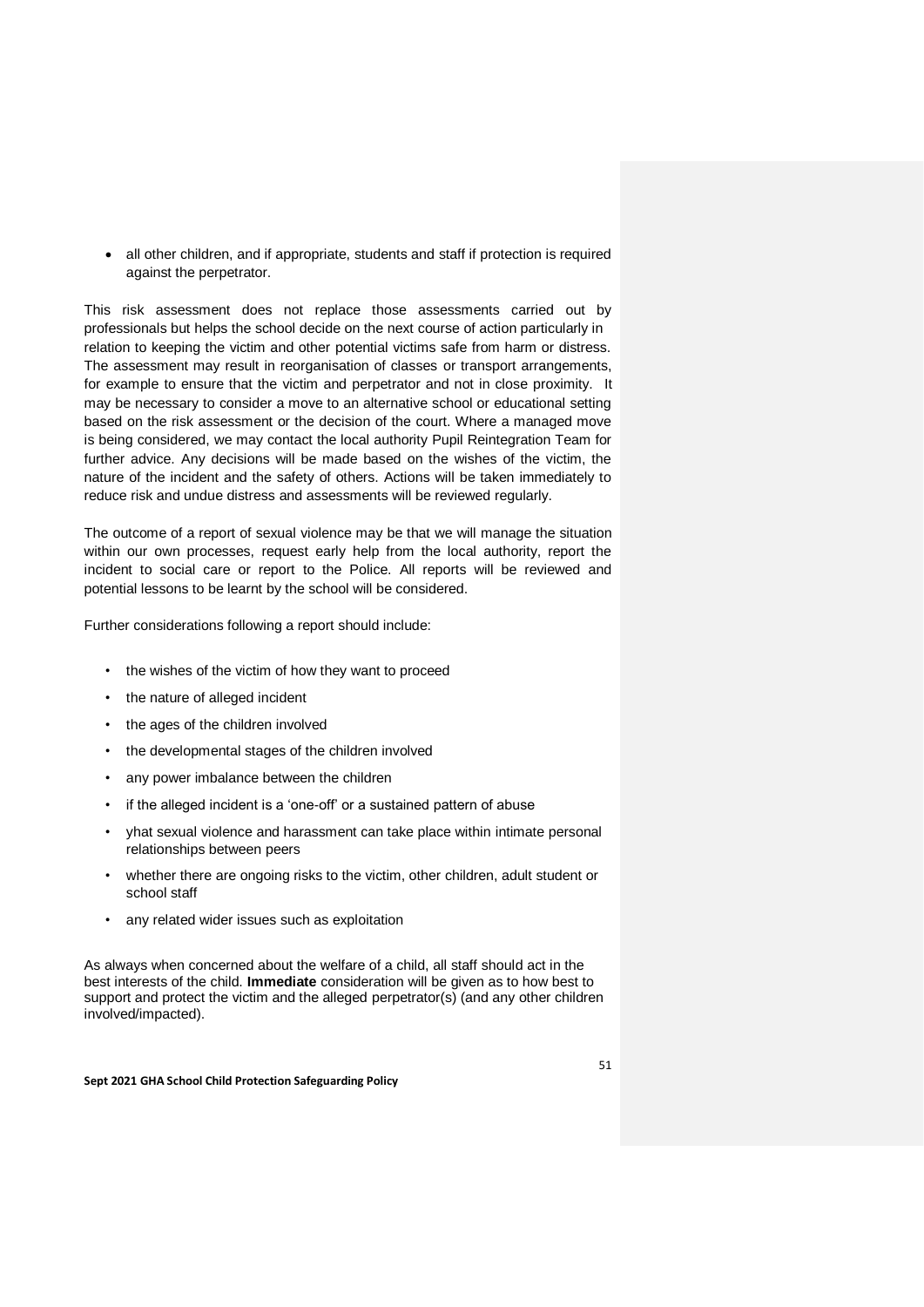• all other children, and if appropriate, students and staff if protection is required against the perpetrator.

This risk assessment does not replace those assessments carried out by professionals but helps the school decide on the next course of action particularly in relation to keeping the victim and other potential victims safe from harm or distress. The assessment may result in reorganisation of classes or transport arrangements, for example to ensure that the victim and perpetrator and not in close proximity. It may be necessary to consider a move to an alternative school or educational setting based on the risk assessment or the decision of the court. Where a managed move is being considered, we may contact the local authority Pupil Reintegration Team for further advice. Any decisions will be made based on the wishes of the victim, the nature of the incident and the safety of others. Actions will be taken immediately to reduce risk and undue distress and assessments will be reviewed regularly.

The outcome of a report of sexual violence may be that we will manage the situation within our own processes, request early help from the local authority, report the incident to social care or report to the Police. All reports will be reviewed and potential lessons to be learnt by the school will be considered.

Further considerations following a report should include:

- the wishes of the victim of how they want to proceed
- the nature of alleged incident
- the ages of the children involved
- the developmental stages of the children involved
- any power imbalance between the children
- if the alleged incident is a 'one-off' or a sustained pattern of abuse
- yhat sexual violence and harassment can take place within intimate personal relationships between peers
- whether there are ongoing risks to the victim, other children, adult student or school staff
- any related wider issues such as exploitation

As always when concerned about the welfare of a child, all staff should act in the best interests of the child. **Immediate** consideration will be given as to how best to support and protect the victim and the alleged perpetrator(s) (and any other children involved/impacted).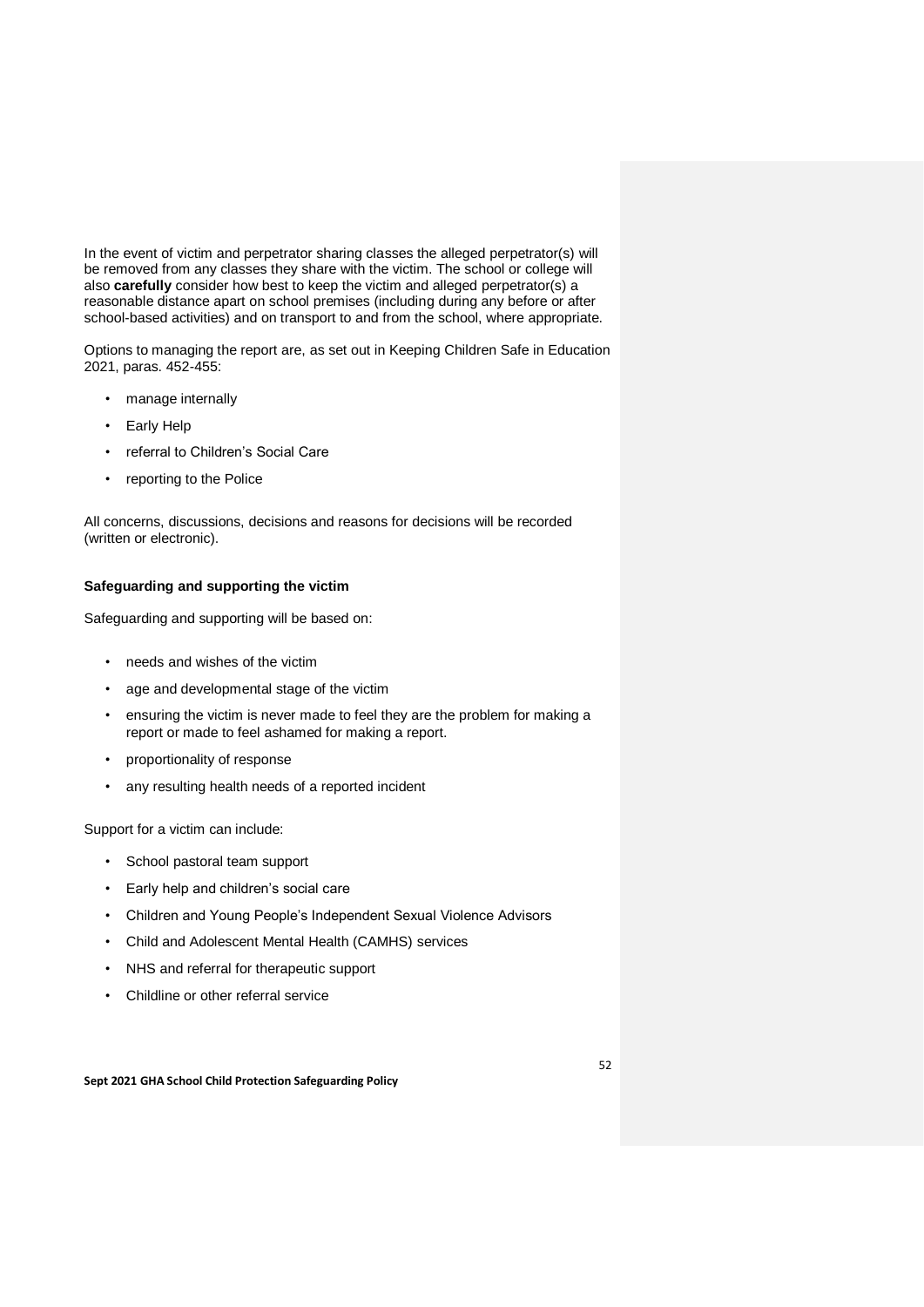In the event of victim and perpetrator sharing classes the alleged perpetrator(s) will be removed from any classes they share with the victim. The school or college will also **carefully** consider how best to keep the victim and alleged perpetrator(s) a reasonable distance apart on school premises (including during any before or after school-based activities) and on transport to and from the school, where appropriate.

Options to managing the report are, as set out in Keeping Children Safe in Education 2021, paras. 452-455:

- manage internally
- Early Help
- referral to Children's Social Care
- reporting to the Police

All concerns, discussions, decisions and reasons for decisions will be recorded (written or electronic).

# **Safeguarding and supporting the victim**

Safeguarding and supporting will be based on:

- needs and wishes of the victim
- age and developmental stage of the victim
- ensuring the victim is never made to feel they are the problem for making a report or made to feel ashamed for making a report.
- proportionality of response
- any resulting health needs of a reported incident

Support for a victim can include:

- School pastoral team support
- Early help and children's social care
- Children and Young People's Independent Sexual Violence Advisors
- Child and Adolescent Mental Health (CAMHS) services
- NHS and referral for therapeutic support
- Childline or other referral service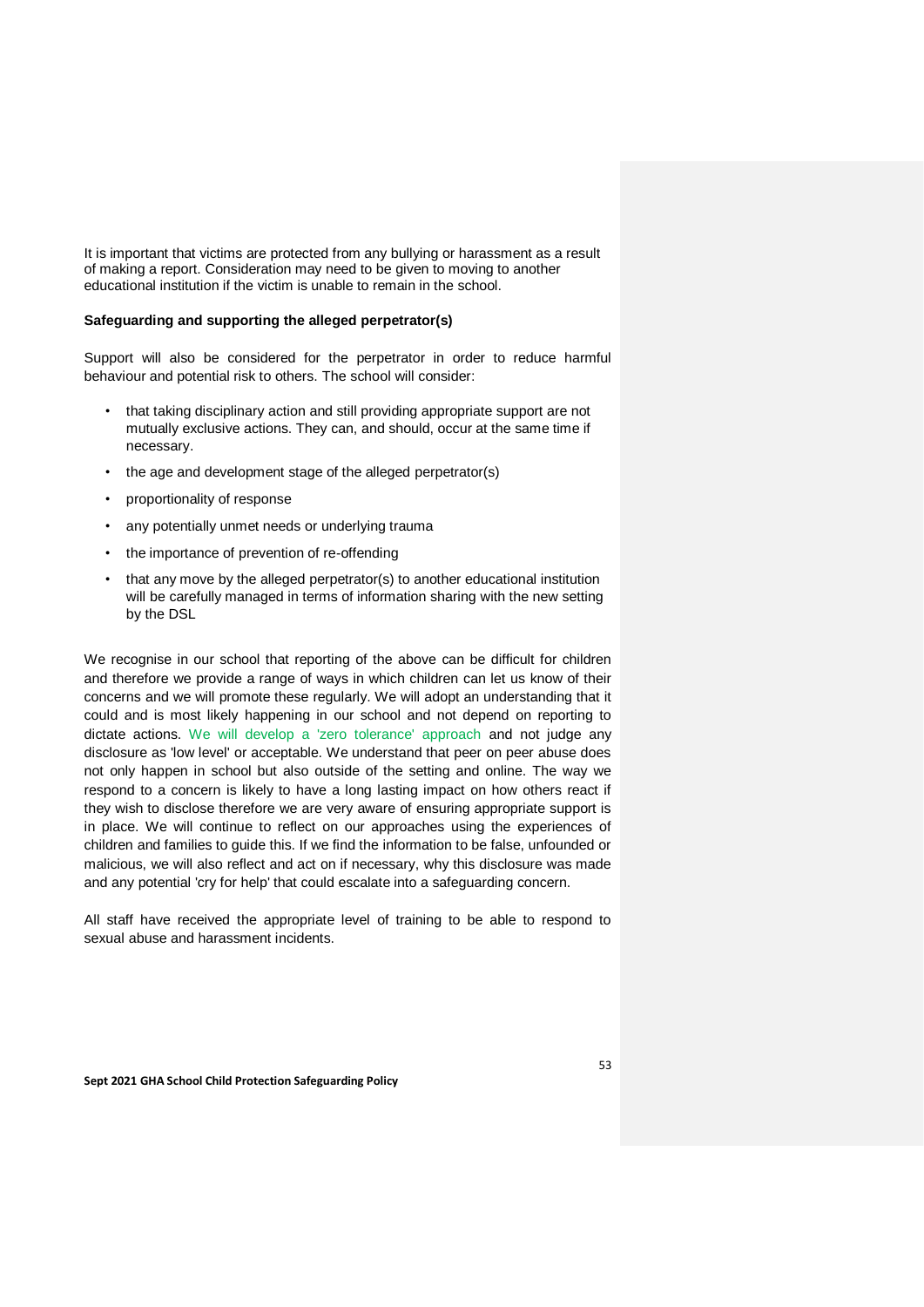It is important that victims are protected from any bullying or harassment as a result of making a report. Consideration may need to be given to moving to another educational institution if the victim is unable to remain in the school.

#### **Safeguarding and supporting the alleged perpetrator(s)**

Support will also be considered for the perpetrator in order to reduce harmful behaviour and potential risk to others. The school will consider:

- that taking disciplinary action and still providing appropriate support are not mutually exclusive actions. They can, and should, occur at the same time if necessary.
- the age and development stage of the alleged perpetrator(s)
- proportionality of response
- any potentially unmet needs or underlying trauma
- the importance of prevention of re-offending
- that any move by the alleged perpetrator(s) to another educational institution will be carefully managed in terms of information sharing with the new setting by the DSL

We recognise in our school that reporting of the above can be difficult for children and therefore we provide a range of ways in which children can let us know of their concerns and we will promote these regularly. We will adopt an understanding that it could and is most likely happening in our school and not depend on reporting to dictate actions. We will develop a 'zero tolerance' approach and not judge any disclosure as 'low level' or acceptable. We understand that peer on peer abuse does not only happen in school but also outside of the setting and online. The way we respond to a concern is likely to have a long lasting impact on how others react if they wish to disclose therefore we are very aware of ensuring appropriate support is in place. We will continue to reflect on our approaches using the experiences of children and families to guide this. If we find the information to be false, unfounded or malicious, we will also reflect and act on if necessary, why this disclosure was made and any potential 'cry for help' that could escalate into a safeguarding concern.

All staff have received the appropriate level of training to be able to respond to sexual abuse and harassment incidents.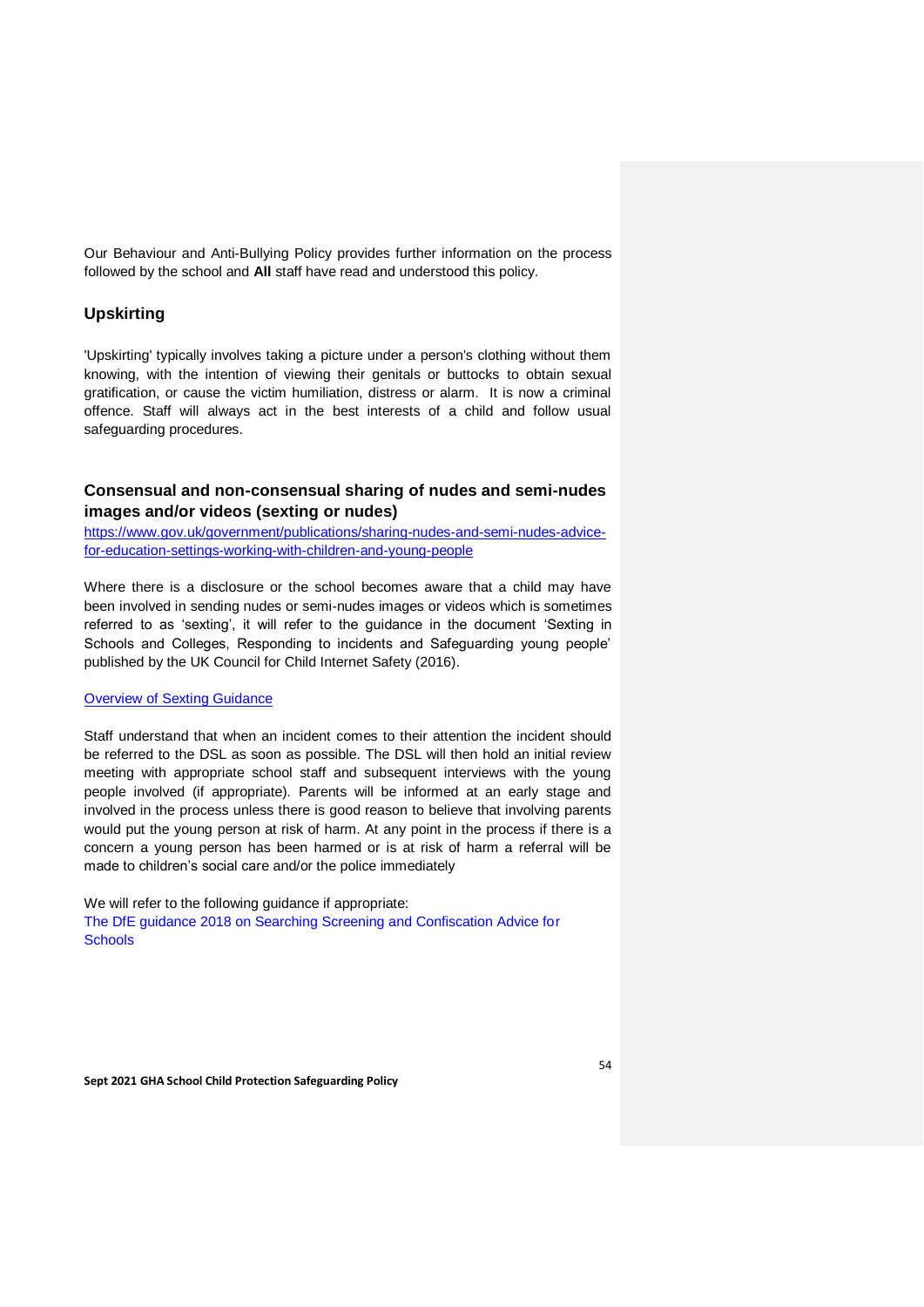Our Behaviour and Anti-Bullying Policy provides further information on the process followed by the school and **All** staff have read and understood this policy.

# **Upskirting**

'Upskirting' typically involves taking a picture under a person's clothing without them knowing, with the intention of viewing their genitals or buttocks to obtain sexual gratification, or cause the victim humiliation, distress or alarm. It is now a criminal offence. Staff will always act in the best interests of a child and follow usual safeguarding procedures.

# **Consensual and non-consensual sharing of nudes and semi-nudes images and/or videos (sexting or nudes)**

[https://www.gov.uk/government/publications/sharing-nudes-and-semi-nudes-advice](https://www.gov.uk/government/publications/sharing-nudes-and-semi-nudes-advice-for-education-settings-working-with-children-and-young-people)[for-education-settings-working-with-children-and-young-people](https://www.gov.uk/government/publications/sharing-nudes-and-semi-nudes-advice-for-education-settings-working-with-children-and-young-people)

Where there is a disclosure or the school becomes aware that a child may have been involved in sending nudes or semi-nudes images or videos which is sometimes referred to as 'sexting', it will refer to the guidance in the document 'Sexting in Schools and Colleges, Responding to incidents and Safeguarding young people' published by the UK Council for Child Internet Safety (2016).

## **[Overview of Sexting Guidance](https://assets.publishing.service.gov.uk/government/uploads/system/uploads/attachment_data/file/647389/Overview_of_Sexting_Guidance.pdf)**

Staff understand that when an incident comes to their attention the incident should be referred to the DSL as soon as possible. The DSL will then hold an initial review meeting with appropriate school staff and subsequent interviews with the young people involved (if appropriate). Parents will be informed at an early stage and involved in the process unless there is good reason to believe that involving parents would put the young person at risk of harm. At any point in the process if there is a concern a young person has been harmed or is at risk of harm a referral will be made to children's social care and/or the police immediately

We will refer to the following guidance if appropriate: [The DfE guidance 2018 on Searching Screening and Confiscation Advice for](https://www.gov.uk/government/publications/searching-screening-and-confiscation)  **[Schools](https://www.gov.uk/government/publications/searching-screening-and-confiscation)**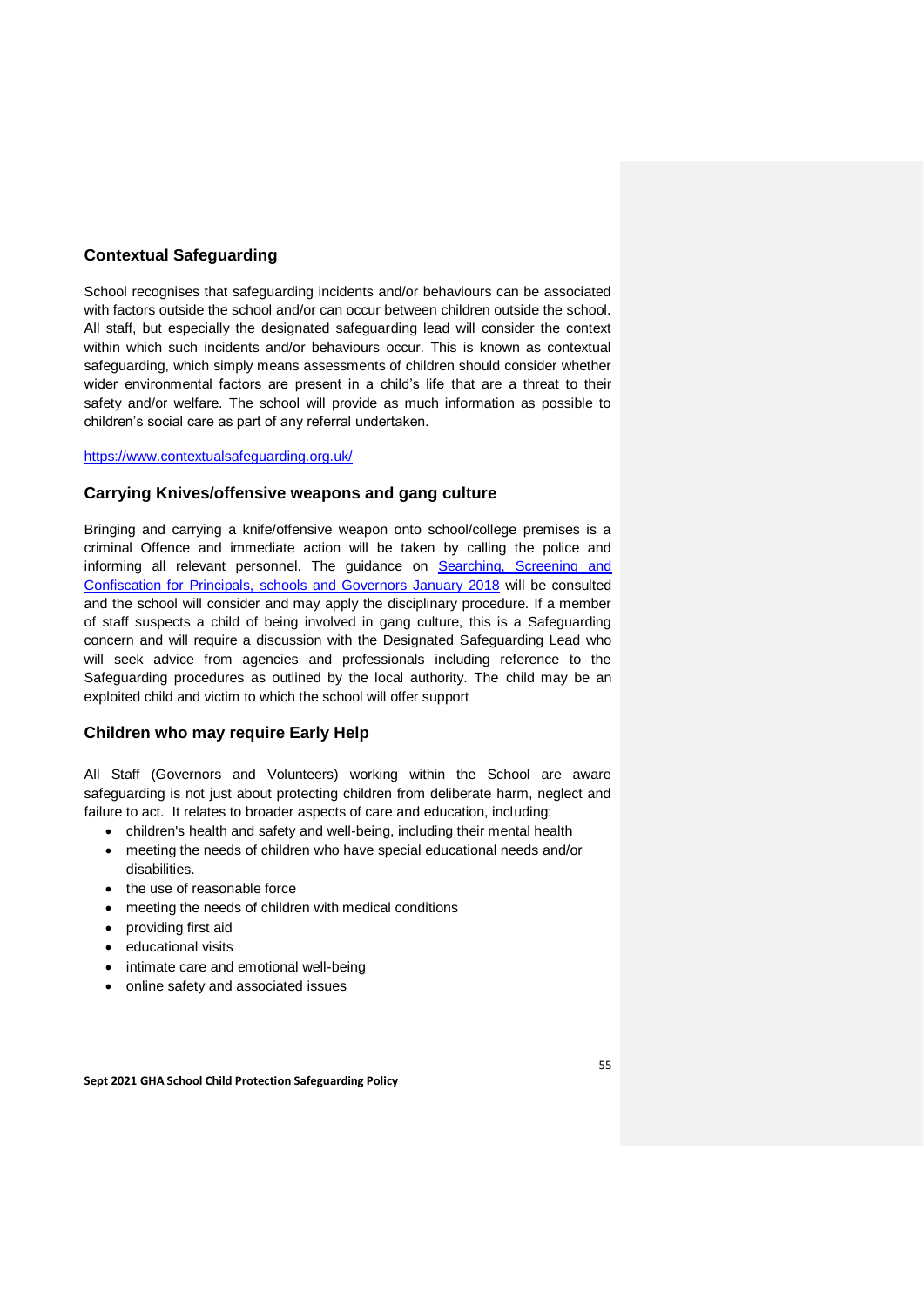# **Contextual Safeguarding**

School recognises that safeguarding incidents and/or behaviours can be associated with factors outside the school and/or can occur between children outside the school. All staff, but especially the designated safeguarding lead will consider the context within which such incidents and/or behaviours occur. This is known as contextual safeguarding, which simply means assessments of children should consider whether wider environmental factors are present in a child's life that are a threat to their safety and/or welfare. The school will provide as much information as possible to children's social care as part of any referral undertaken.

## <https://www.contextualsafeguarding.org.uk/>

# **Carrying Knives/offensive weapons and gang culture**

Bringing and carrying a knife/offensive weapon onto school/college premises is a criminal Offence and immediate action will be taken by calling the police and informing all relevant personnel. The guidance on Searching, Screening and [Confiscation for Principals, schools and Governors January 2018](https://assets.publishing.service.gov.uk/government/uploads/system/uploads/attachment_data/file/674416/Searching_screening_and_confiscation.pdf) will be consulted and the school will consider and may apply the disciplinary procedure. If a member of staff suspects a child of being involved in gang culture, this is a Safeguarding concern and will require a discussion with the Designated Safeguarding Lead who will seek advice from agencies and professionals including reference to the Safeguarding procedures as outlined by the local authority. The child may be an exploited child and victim to which the school will offer support

# **Children who may require Early Help**

All Staff (Governors and Volunteers) working within the School are aware safeguarding is not just about protecting children from deliberate harm, neglect and failure to act. It relates to broader aspects of care and education, including:

- children's health and safety and well-being, including their mental health
- meeting the needs of children who have special educational needs and/or disabilities.
- the use of reasonable force
- meeting the needs of children with medical conditions
- providing first aid
- educational visits
- intimate care and emotional well-being
- online safety and associated issues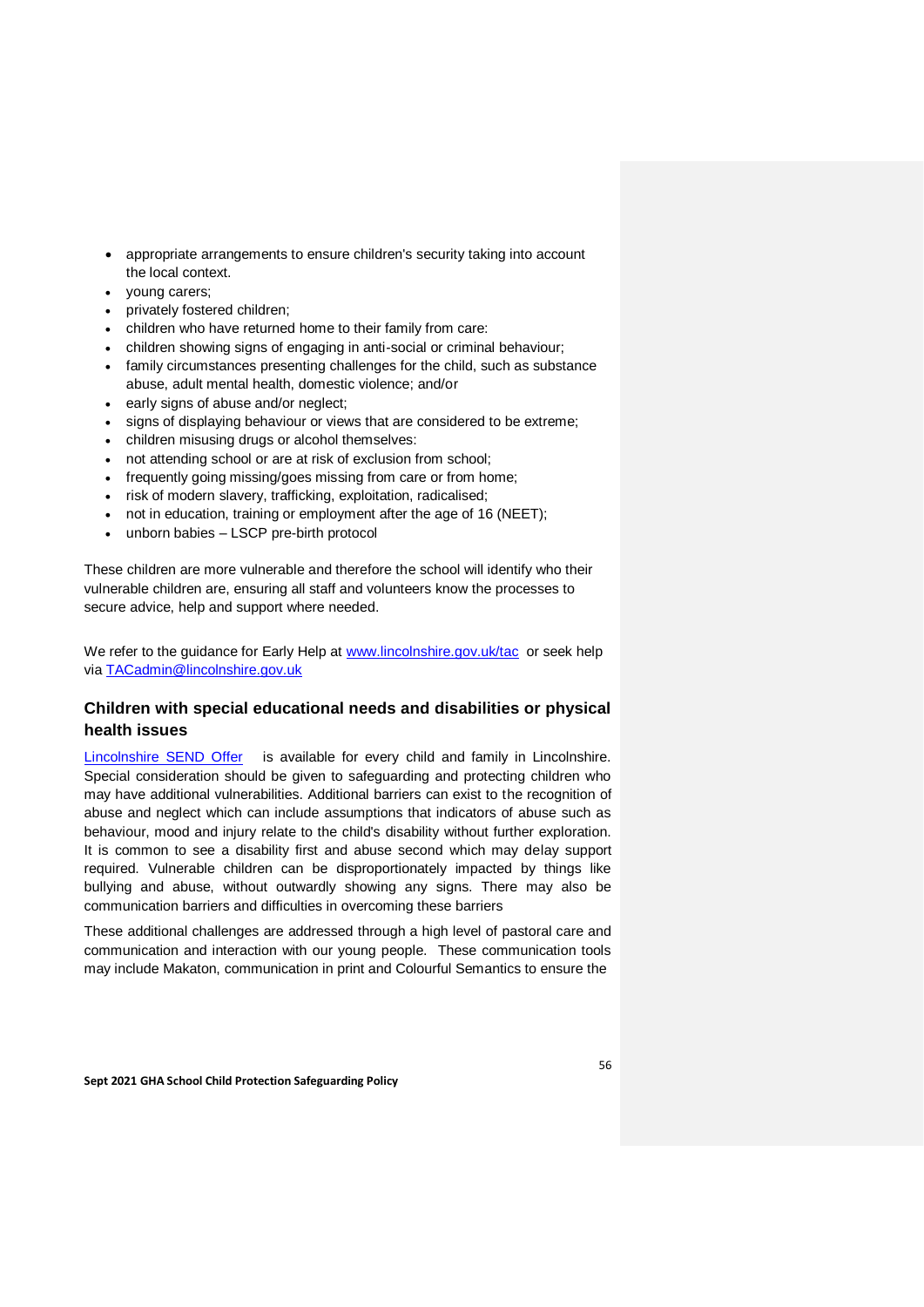- appropriate arrangements to ensure children's security taking into account the local context.
- young carers;
- privately fostered children;
- children who have returned home to their family from care:
- children showing signs of engaging in anti-social or criminal behaviour;
- family circumstances presenting challenges for the child, such as substance abuse, adult mental health, domestic violence; and/or
- early signs of abuse and/or neglect:
- signs of displaying behaviour or views that are considered to be extreme;
- children misusing drugs or alcohol themselves:
- not attending school or are at risk of exclusion from school;
- frequently going missing/goes missing from care or from home;
- risk of modern slavery, trafficking, exploitation, radicalised;
- not in education, training or employment after the age of 16 (NEET);
- unborn babies LSCP pre-birth protocol

These children are more vulnerable and therefore the school will identify who their vulnerable children are, ensuring all staff and volunteers know the processes to secure advice, help and support where needed.

We refer to the guidance for Early Help at [www.lincolnshire.gov.uk/tac](http://www.lincolnshire.gov.uk/tac) or seek help via [TACadmin@lincolnshire.gov.uk](mailto:TACadmin@lincolnshire.gov.uk)

# **Children with special educational needs and disabilities or physical health issues**

[Lincolnshire SEND Offer](https://www.lincolnshire.gov.uk/send-local-offer) is available for every child and family in Lincolnshire. Special consideration should be given to safeguarding and protecting children who may have additional vulnerabilities. Additional barriers can exist to the recognition of abuse and neglect which can include assumptions that indicators of abuse such as behaviour, mood and injury relate to the child's disability without further exploration. It is common to see a disability first and abuse second which may delay support required. Vulnerable children can be disproportionately impacted by things like bullying and abuse, without outwardly showing any signs. There may also be communication barriers and difficulties in overcoming these barriers

These additional challenges are addressed through a high level of pastoral care and communication and interaction with our young people. These communication tools may include Makaton, communication in print and Colourful Semantics to ensure the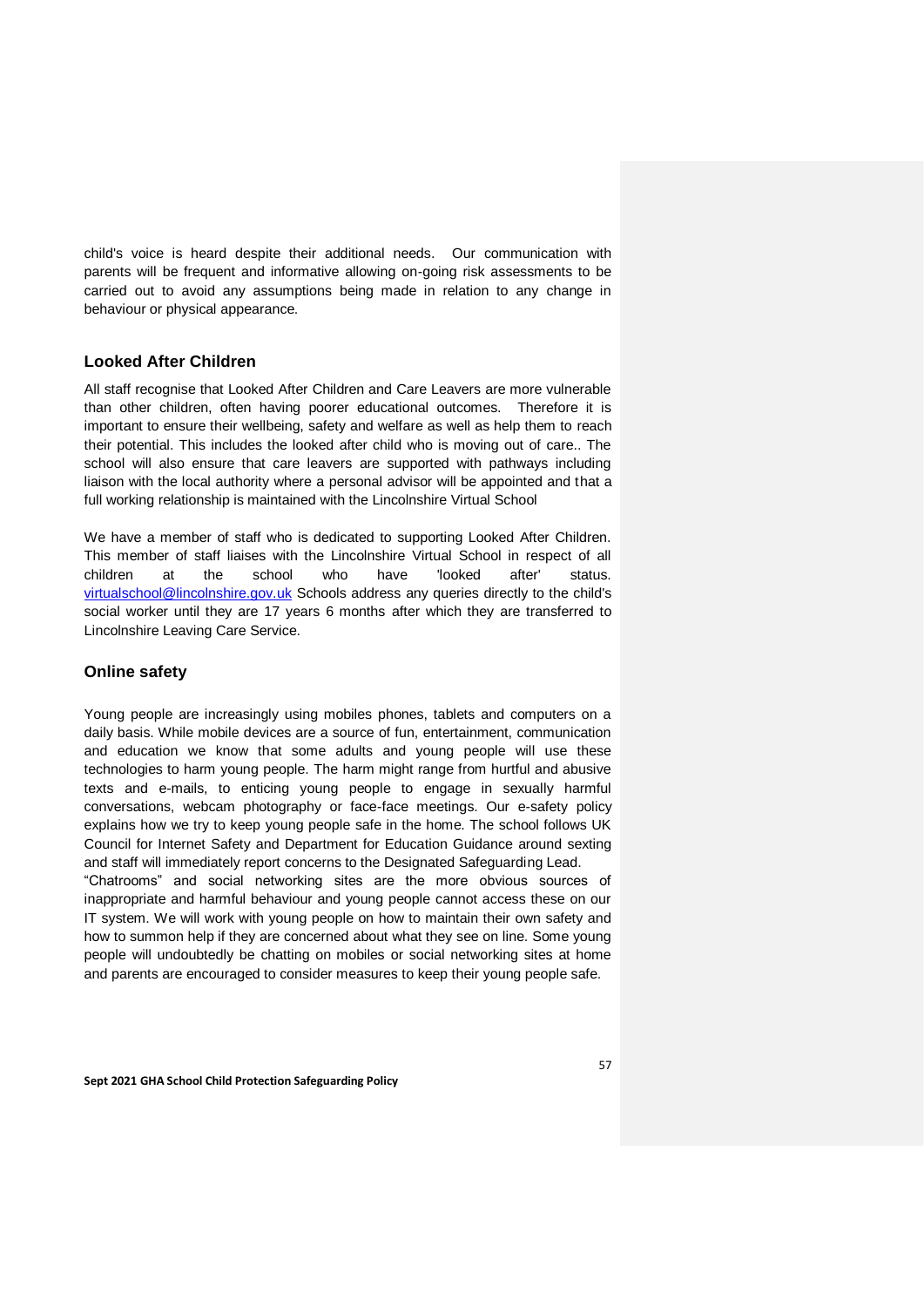child's voice is heard despite their additional needs. Our communication with parents will be frequent and informative allowing on-going risk assessments to be carried out to avoid any assumptions being made in relation to any change in behaviour or physical appearance.

# **Looked After Children**

All staff recognise that Looked After Children and Care Leavers are more vulnerable than other children, often having poorer educational outcomes. Therefore it is important to ensure their wellbeing, safety and welfare as well as help them to reach their potential. This includes the looked after child who is moving out of care.. The school will also ensure that care leavers are supported with pathways including liaison with the local authority where a personal advisor will be appointed and that a full working relationship is maintained with the Lincolnshire Virtual School

We have a member of staff who is dedicated to supporting Looked After Children. This member of staff liaises with the Lincolnshire Virtual School in respect of all children at the school who have 'looked after' status. [virtualschool@lincolnshire.gov.uk](mailto:virtualschool@lincolnshire.gov.uk) Schools address any queries directly to the child's social worker until they are 17 years 6 months after which they are transferred to Lincolnshire Leaving Care Service.

# **Online safety**

Young people are increasingly using mobiles phones, tablets and computers on a daily basis. While mobile devices are a source of fun, entertainment, communication and education we know that some adults and young people will use these technologies to harm young people. The harm might range from hurtful and abusive texts and e-mails, to enticing young people to engage in sexually harmful conversations, webcam photography or face-face meetings. Our e-safety policy explains how we try to keep young people safe in the home. The school follows UK Council for Internet Safety and Department for Education Guidance around sexting and staff will immediately report concerns to the Designated Safeguarding Lead.

"Chatrooms" and social networking sites are the more obvious sources of inappropriate and harmful behaviour and young people cannot access these on our IT system. We will work with young people on how to maintain their own safety and how to summon help if they are concerned about what they see on line. Some young people will undoubtedly be chatting on mobiles or social networking sites at home and parents are encouraged to consider measures to keep their young people safe.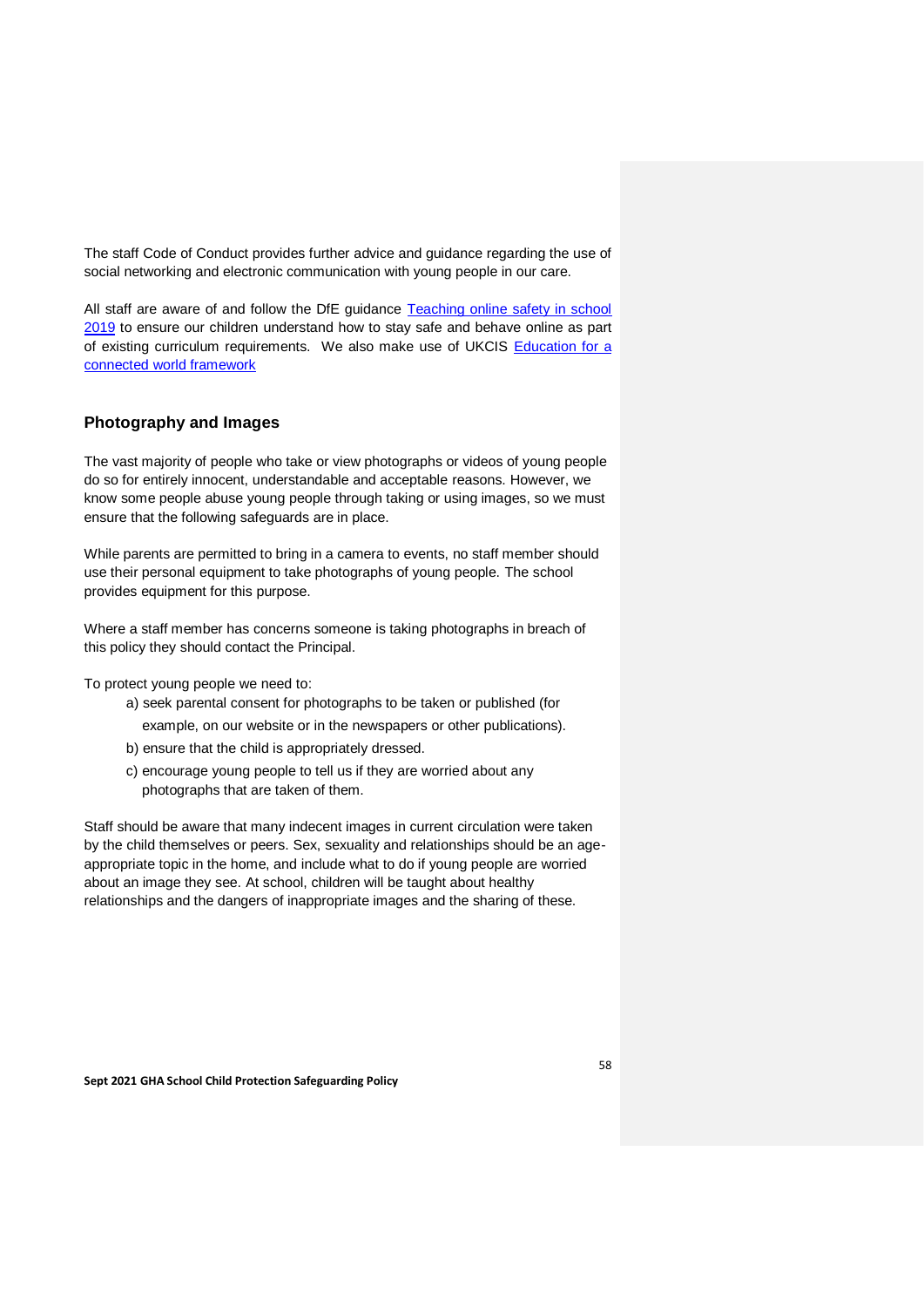The staff Code of Conduct provides further advice and guidance regarding the use of social networking and electronic communication with young people in our care.

All staff are aware of and follow the DfE guidance [Teaching online safety in school](https://www.gov.uk/government/publications/teaching-online-safety-in-schools)  [2019](https://www.gov.uk/government/publications/teaching-online-safety-in-schools) to ensure our children understand how to stay safe and behave online as part of existing curriculum requirements. We also make use of UKCIS Education for a [connected world framework](https://www.gov.uk/government/publications/education-for-a-connected-world)

# **Photography and Images**

The vast majority of people who take or view photographs or videos of young people do so for entirely innocent, understandable and acceptable reasons. However, we know some people abuse young people through taking or using images, so we must ensure that the following safeguards are in place.

While parents are permitted to bring in a camera to events, no staff member should use their personal equipment to take photographs of young people. The school provides equipment for this purpose.

Where a staff member has concerns someone is taking photographs in breach of this policy they should contact the Principal.

To protect young people we need to:

- a) seek parental consent for photographs to be taken or published (for
	- example, on our website or in the newspapers or other publications).
- b) ensure that the child is appropriately dressed.
- c) encourage young people to tell us if they are worried about any photographs that are taken of them.

Staff should be aware that many indecent images in current circulation were taken by the child themselves or peers. Sex, sexuality and relationships should be an ageappropriate topic in the home, and include what to do if young people are worried about an image they see. At school, children will be taught about healthy relationships and the dangers of inappropriate images and the sharing of these.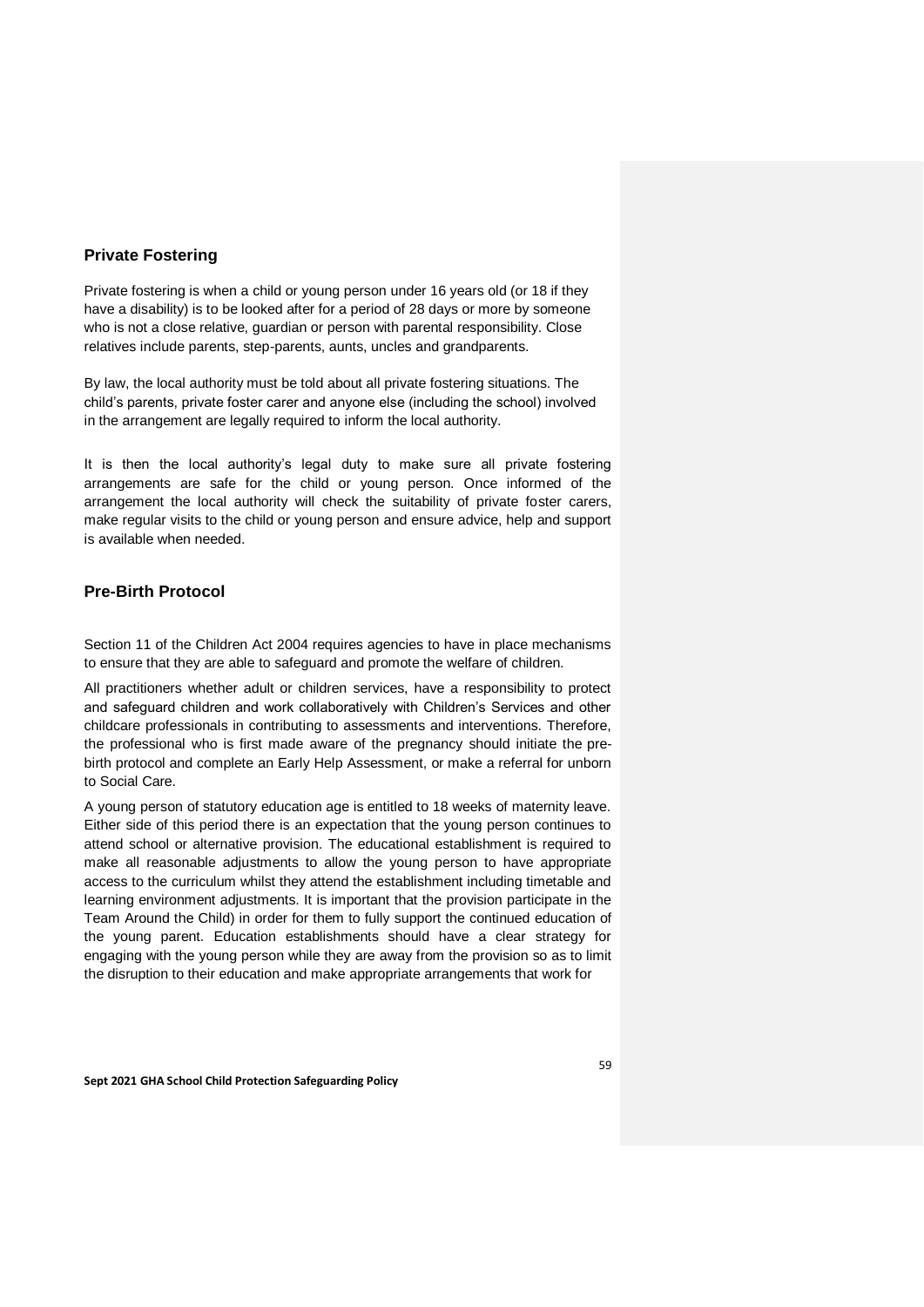# **Private Fostering**

Private fostering is when a child or young person under 16 years old (or 18 if they have a disability) is to be looked after for a period of 28 days or more by someone who is not a close relative, guardian or person with parental responsibility. Close relatives include parents, step-parents, aunts, uncles and grandparents.

By law, the local authority must be told about all private fostering situations. The child's parents, private foster carer and anyone else (including the school) involved in the arrangement are legally required to inform the local authority.

It is then the local authority's legal duty to make sure all private fostering arrangements are safe for the child or young person. Once informed of the arrangement the local authority will check the suitability of private foster carers, make regular visits to the child or young person and ensure advice, help and support is available when needed.

# **Pre-Birth Protocol**

Section 11 of the Children Act 2004 requires agencies to have in place mechanisms to ensure that they are able to safeguard and promote the welfare of children.

All practitioners whether adult or children services, have a responsibility to protect and safeguard children and work collaboratively with Children's Services and other childcare professionals in contributing to assessments and interventions. Therefore, the professional who is first made aware of the pregnancy should initiate the prebirth protocol and complete an Early Help Assessment, or make a referral for unborn to Social Care.

A young person of statutory education age is entitled to 18 weeks of maternity leave. Either side of this period there is an expectation that the young person continues to attend school or alternative provision. The educational establishment is required to make all reasonable adjustments to allow the young person to have appropriate access to the curriculum whilst they attend the establishment including timetable and learning environment adjustments. It is important that the provision participate in the Team Around the Child) in order for them to fully support the continued education of the young parent. Education establishments should have a clear strategy for engaging with the young person while they are away from the provision so as to limit the disruption to their education and make appropriate arrangements that work for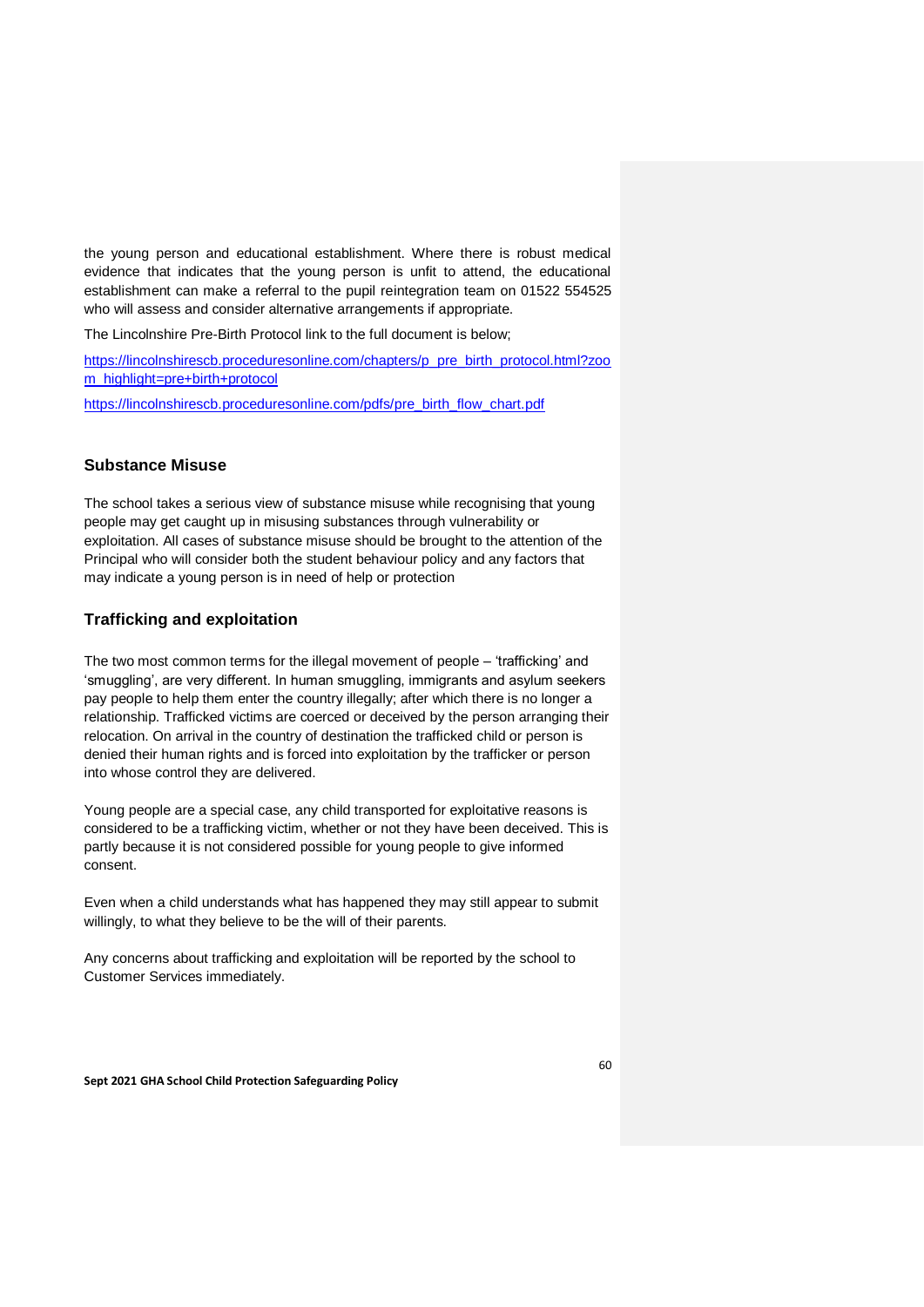the young person and educational establishment. Where there is robust medical evidence that indicates that the young person is unfit to attend, the educational establishment can make a referral to the pupil reintegration team on 01522 554525 who will assess and consider alternative arrangements if appropriate.

The Lincolnshire Pre-Birth Protocol link to the full document is below;

[https://lincolnshirescb.proceduresonline.com/chapters/p\\_pre\\_birth\\_protocol.html?zoo](https://lincolnshirescb.proceduresonline.com/chapters/p_pre_birth_protocol.html?zoom_highlight=pre+birth+protocol) [m\\_highlight=pre+birth+protocol](https://lincolnshirescb.proceduresonline.com/chapters/p_pre_birth_protocol.html?zoom_highlight=pre+birth+protocol) 

[https://lincolnshirescb.proceduresonline.com/pdfs/pre\\_birth\\_flow\\_chart.pdf](https://lincolnshirescb.proceduresonline.com/pdfs/pre_birth_flow_chart.pdf)

# **Substance Misuse**

The school takes a serious view of substance misuse while recognising that young people may get caught up in misusing substances through vulnerability or exploitation. All cases of substance misuse should be brought to the attention of the Principal who will consider both the student behaviour policy and any factors that may indicate a young person is in need of help or protection

# **Trafficking and exploitation**

The two most common terms for the illegal movement of people – 'trafficking' and 'smuggling', are very different. In human smuggling, immigrants and asylum seekers pay people to help them enter the country illegally; after which there is no longer a relationship. Trafficked victims are coerced or deceived by the person arranging their relocation. On arrival in the country of destination the trafficked child or person is denied their human rights and is forced into exploitation by the trafficker or person into whose control they are delivered.

Young people are a special case, any child transported for exploitative reasons is considered to be a trafficking victim, whether or not they have been deceived. This is partly because it is not considered possible for young people to give informed consent.

Even when a child understands what has happened they may still appear to submit willingly, to what they believe to be the will of their parents.

Any concerns about trafficking and exploitation will be reported by the school to Customer Services immediately.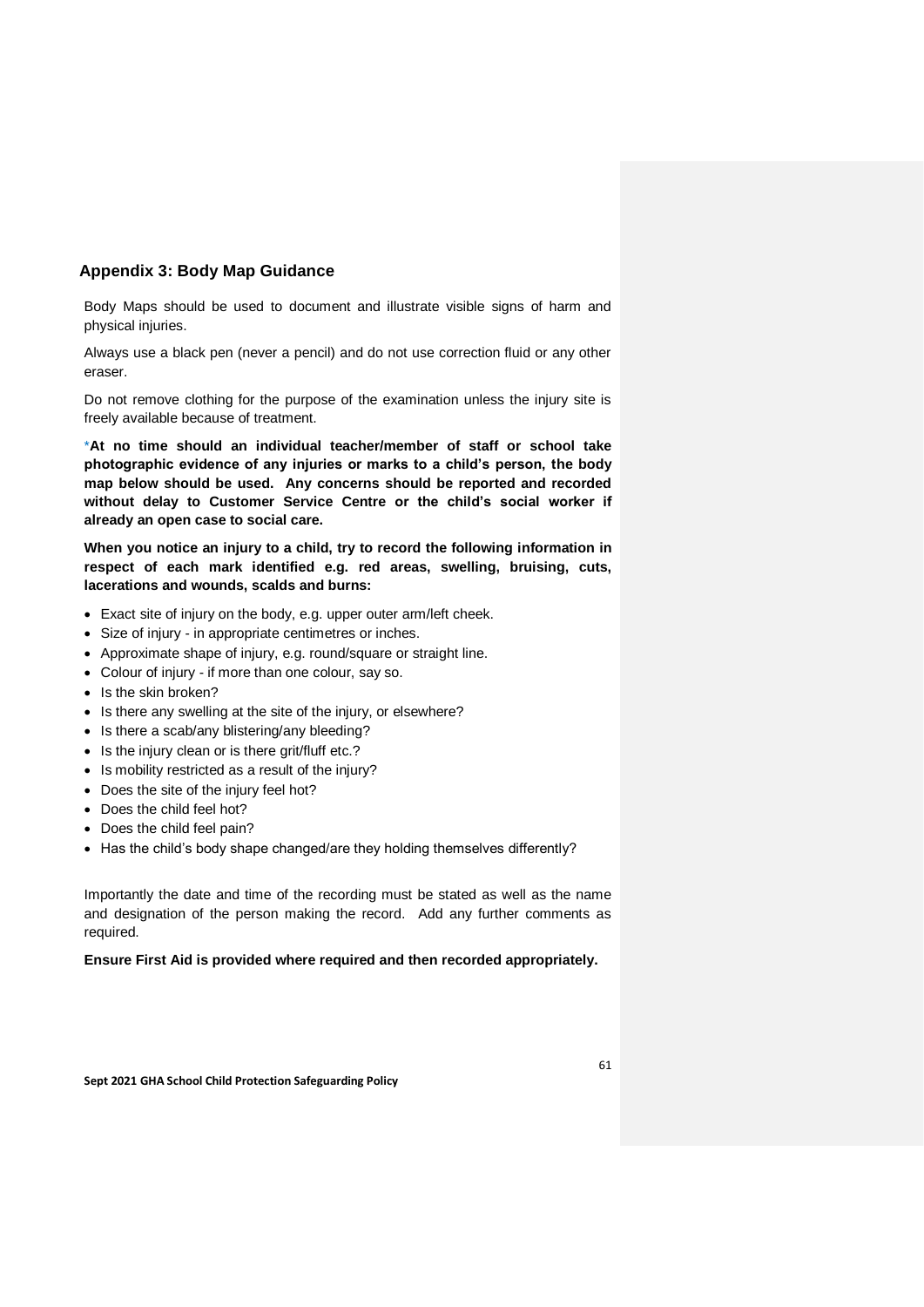# **Appendix 3: Body Map Guidance**

Body Maps should be used to document and illustrate visible signs of harm and physical injuries.

Always use a black pen (never a pencil) and do not use correction fluid or any other eraser.

Do not remove clothing for the purpose of the examination unless the injury site is freely available because of treatment.

\***At no time should an individual teacher/member of staff or school take photographic evidence of any injuries or marks to a child's person, the body map below should be used. Any concerns should be reported and recorded without delay to Customer Service Centre or the child's social worker if already an open case to social care.**

**When you notice an injury to a child, try to record the following information in respect of each mark identified e.g. red areas, swelling, bruising, cuts, lacerations and wounds, scalds and burns:**

- Exact site of injury on the body, e.g. upper outer arm/left cheek.
- Size of injury in appropriate centimetres or inches.
- Approximate shape of injury, e.g. round/square or straight line.
- Colour of injury if more than one colour, say so.
- Is the skin broken?
- Is there any swelling at the site of the injury, or elsewhere?
- Is there a scab/any blistering/any bleeding?
- Is the injury clean or is there grit/fluff etc.?
- Is mobility restricted as a result of the injury?
- Does the site of the injury feel hot?
- Does the child feel hot?
- Does the child feel pain?
- Has the child's body shape changed/are they holding themselves differently?

Importantly the date and time of the recording must be stated as well as the name and designation of the person making the record. Add any further comments as required.

# **Ensure First Aid is provided where required and then recorded appropriately.**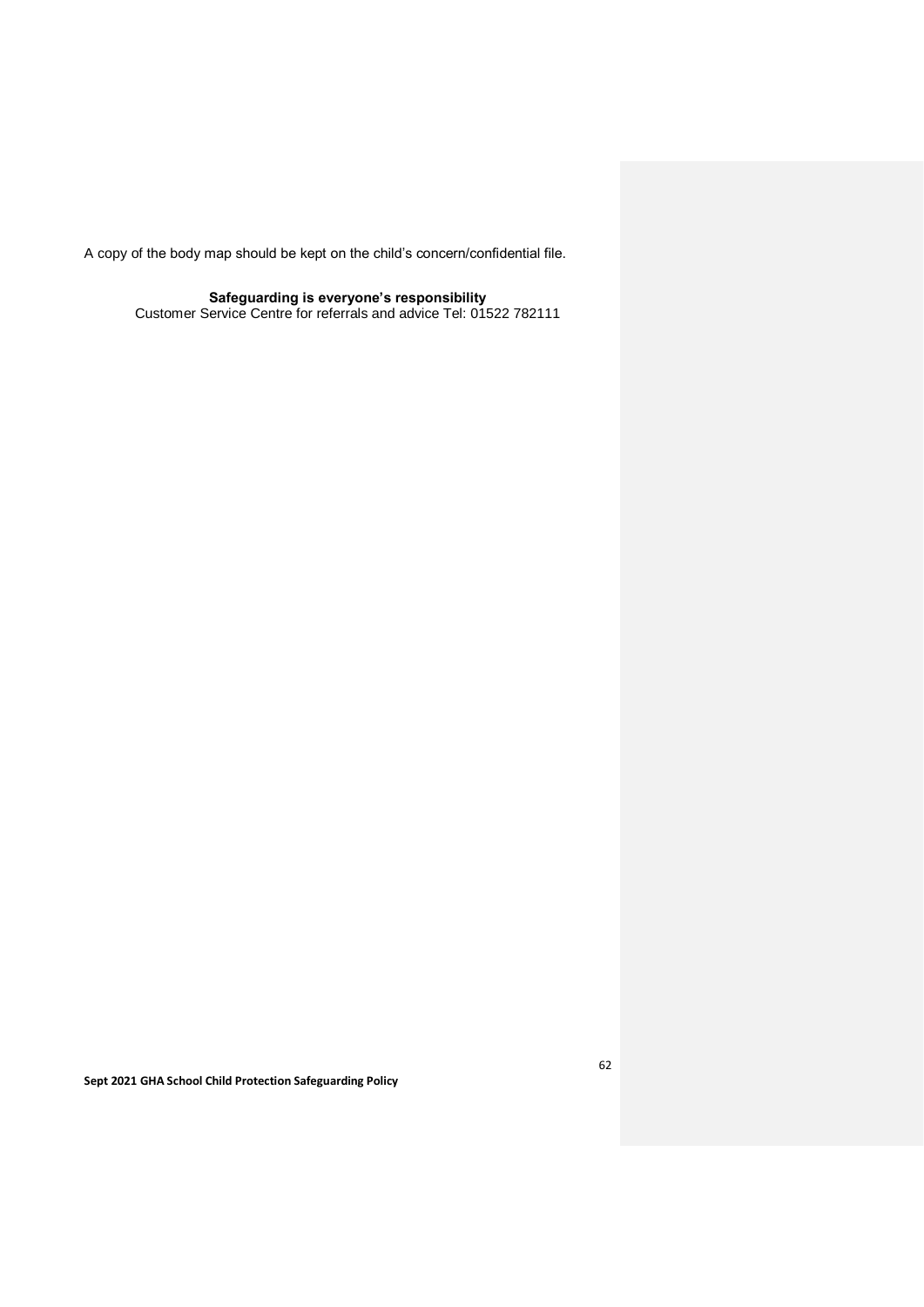A copy of the body map should be kept on the child's concern/confidential file.

**Safeguarding is everyone's responsibility** Customer Service Centre for referrals and advice Tel: 01522 782111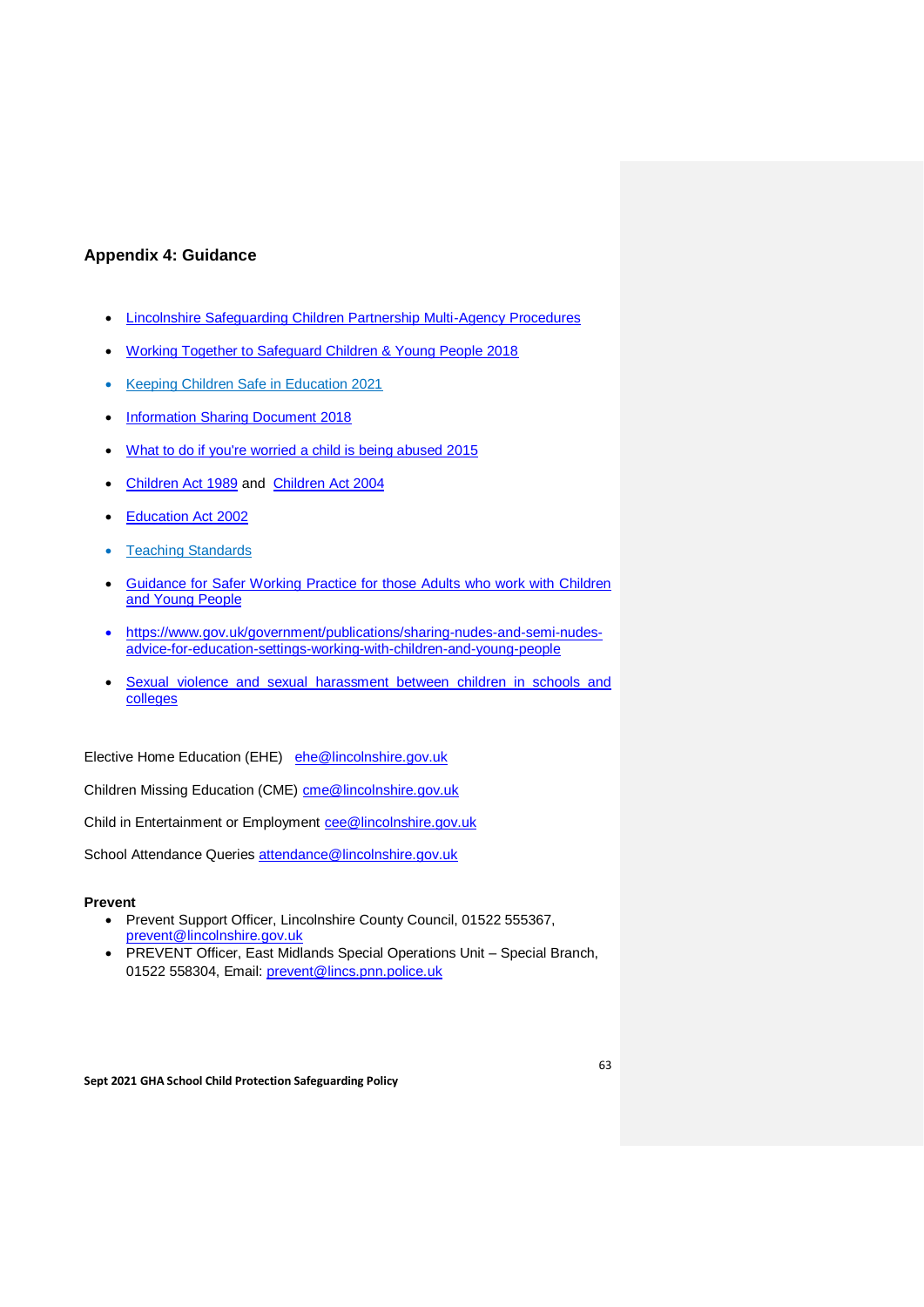# **Appendix 4: Guidance**

- [Lincolnshire Safeguarding Children Partnership Multi-Agency Procedures](http://lincolnshirescb.proceduresonline.com/)
- [Working Together to Safeguard Children & Young People 2018](https://www.gov.uk/government/publications/working-together-to-safeguard-children--2)
- [Keeping Children Safe in Education 2021](https://www.gov.uk/government/publications/keeping-children-safe-in-education--2)
- [Information Sharing Document 2018](https://assets.publishing.service.gov.uk/government/uploads/system/uploads/attachment_data/file/721581/Information_sharing_advice_practitioners_safeguarding_services.pdf)
- [What to do if you're worried a child is being abused 2015](https://assets.publishing.service.gov.uk/government/uploads/system/uploads/attachment_data/file/419604/What_to_do_if_you_re_worried_a_child_is_being_abused.pdf)
- Children Act 1989 and [Children Act 2004](https://www.legislation.gov.uk/ukpga/2004/31/contents)
- [Education Act 2002](https://www.legislation.gov.uk/ukpga/2002/32/section/175)
- **[Teaching Standards](https://assets.publishing.service.gov.uk/government/uploads/system/uploads/attachment_data/file/665522/Teachers_standard_information.pdf)**
- [Guidance for Safer Working Practice for those Adults who work with Children](https://c-cluster-110.uploads.documents.cimpress.io/v1/uploads/13ecce28-e8f2-49e9-83c6-c29337cd8071~110/original?tenant=vbu-digital)  [and Young People](https://c-cluster-110.uploads.documents.cimpress.io/v1/uploads/13ecce28-e8f2-49e9-83c6-c29337cd8071~110/original?tenant=vbu-digital)
- [https://www.gov.uk/government/publications/sharing-nudes-and-semi-nudes](https://www.gov.uk/government/publications/sharing-nudes-and-semi-nudes-advice-for-education-settings-working-with-children-and-young-people)[advice-for-education-settings-working-with-children-and-young-people](https://www.gov.uk/government/publications/sharing-nudes-and-semi-nudes-advice-for-education-settings-working-with-children-and-young-people)
- [Sexual violence and sexual harassment between children in schools and](https://www.gov.uk/government/publications/sexual-violence-and-sexual-harassment-between-children-in-schools-and-colleges)  [colleges](https://www.gov.uk/government/publications/sexual-violence-and-sexual-harassment-between-children-in-schools-and-colleges)

Elective Home Education (EHE) [ehe@lincolnshire.gov.uk](mailto:attendance.pupilsupport@kirklees.gov.uk)

Children Missing Education (CME) [cme@lincolnshire.gov.uk](mailto:cme@lincolnshire.gov.uk)

Child in Entertainment or Employment [cee@lincolnshire.gov.uk](mailto:cee@lincolnshire.gov.uk)

School Attendance Queries [attendance@lincolnshire.gov.uk](mailto:attendance@lincolnshire.gov.uk)

#### **Prevent**

- Prevent Support Officer, Lincolnshire County Council, 01522 555367, [prevent@lincolnshire.gov.uk](mailto:prevent@lincolnshire.gov.uk)
- PREVENT Officer, East Midlands Special Operations Unit Special Branch, 01522 558304, Email: [prevent@lincs.pnn.police.uk](mailto:prevent@lincs.pnn.police.uk)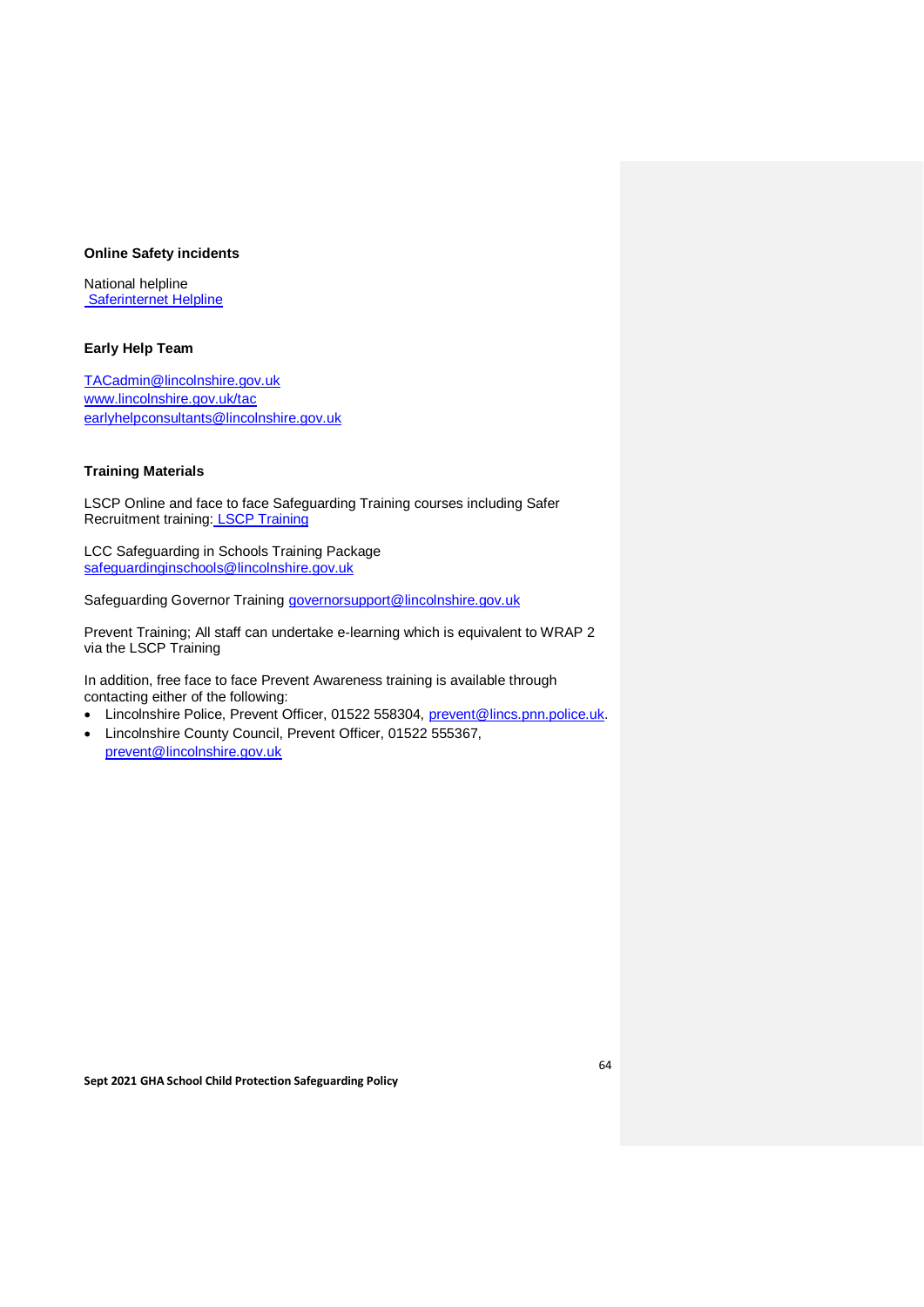## **Online Safety incidents**

National helpline [Saferinternet Helpline](https://www.saferinternet.org.uk/our-helplines) 

# **Early Help Team**

[TACadmin@lincolnshire.gov.uk](mailto:TACadmin@lincolnshire.gov.uk)  [www.lincolnshire.gov.uk/tac](http://www.lincolnshire.gov.uk/tac) [earlyhelpconsultants@lincolnshire.gov.uk](mailto:earlyhelpconsultants@lincolnshire.gov.uk)

# **Training Materials**

LSCP Online and face to face Safeguarding Training courses including Safer Recruitment training: [LSCP Training](https://www.lincolnshire.gov.uk/safeguarding/lscp/3?documentId=258&categoryId=20076)

LCC Safeguarding in Schools Training Package [safeguardinginschools@lincolnshire.gov.uk](mailto:safeguardinginschools@lincolnshire.gov.uk)

Safeguarding Governor Training [governorsupport@lincolnshire.gov.uk](mailto:governorsupport@lincolnshire.gov.uk)

Prevent Training; All staff can undertake e-learning which is equivalent to WRAP 2 via the LSCP Training

In addition, free face to face Prevent Awareness training is available through contacting either of the following:

- Lincolnshire Police, Prevent Officer, 01522 558304, [prevent@lincs.pnn.police.uk.](mailto:prevent@lincs.pnn.police.uk)
- Lincolnshire County Council, Prevent Officer, 01522 555367, [prevent@lincolnshire.gov.uk](mailto:prevent@lincolnshire.gov.uk)